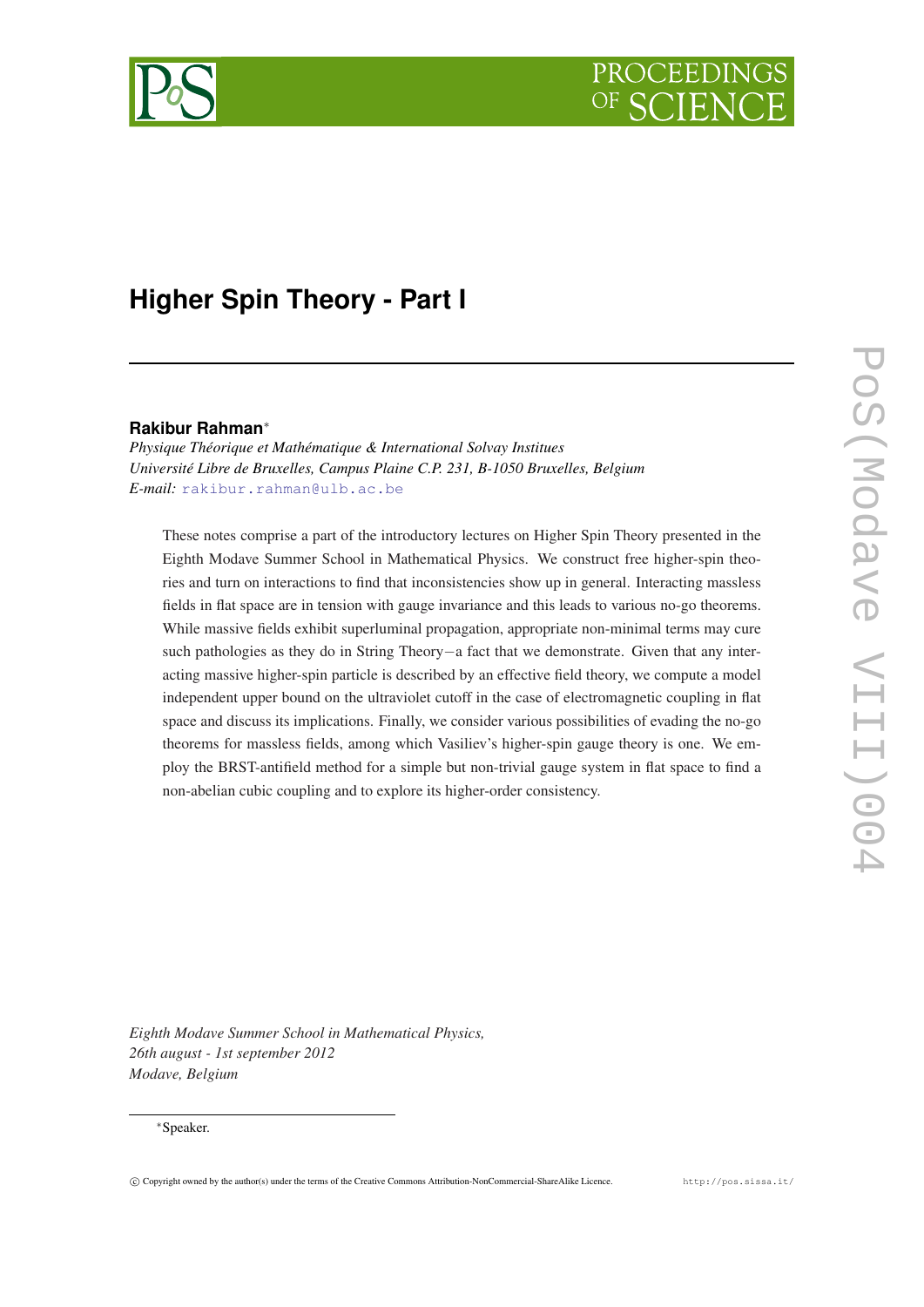

# **Higher Spin Theory - Part I**

# **Rakibur Rahman**<sup>∗</sup>

*Physique Théorique et Mathématique & International Solvay Institues Université Libre de Bruxelles, Campus Plaine C.P. 231, B-1050 Bruxelles, Belgium E-mail:* [rakibur.rahman@ulb.ac.be](mailto:rakibur.rahman@ulb.ac.be)

These notes comprise a part of the introductory lectures on Higher Spin Theory presented in the Eighth Modave Summer School in Mathematical Physics. We construct free higher-spin theories and turn on interactions to find that inconsistencies show up in general. Interacting massless fields in flat space are in tension with gauge invariance and this leads to various no-go theorems. While massive fields exhibit superluminal propagation, appropriate non-minimal terms may cure such pathologies as they do in String Theory−a fact that we demonstrate. Given that any interacting massive higher-spin particle is described by an effective field theory, we compute a model independent upper bound on the ultraviolet cutoff in the case of electromagnetic coupling in flat space and discuss its implications. Finally, we consider various possibilities of evading the no-go theorems for massless fields, among which Vasiliev's higher-spin gauge theory is one. We employ the BRST-antifield method for a simple but non-trivial gauge system in flat space to find a non-abelian cubic coupling and to explore its higher-order consistency.

*Eighth Modave Summer School in Mathematical Physics, 26th august - 1st september 2012 Modave, Belgium*

## <sup>∗</sup>Speaker.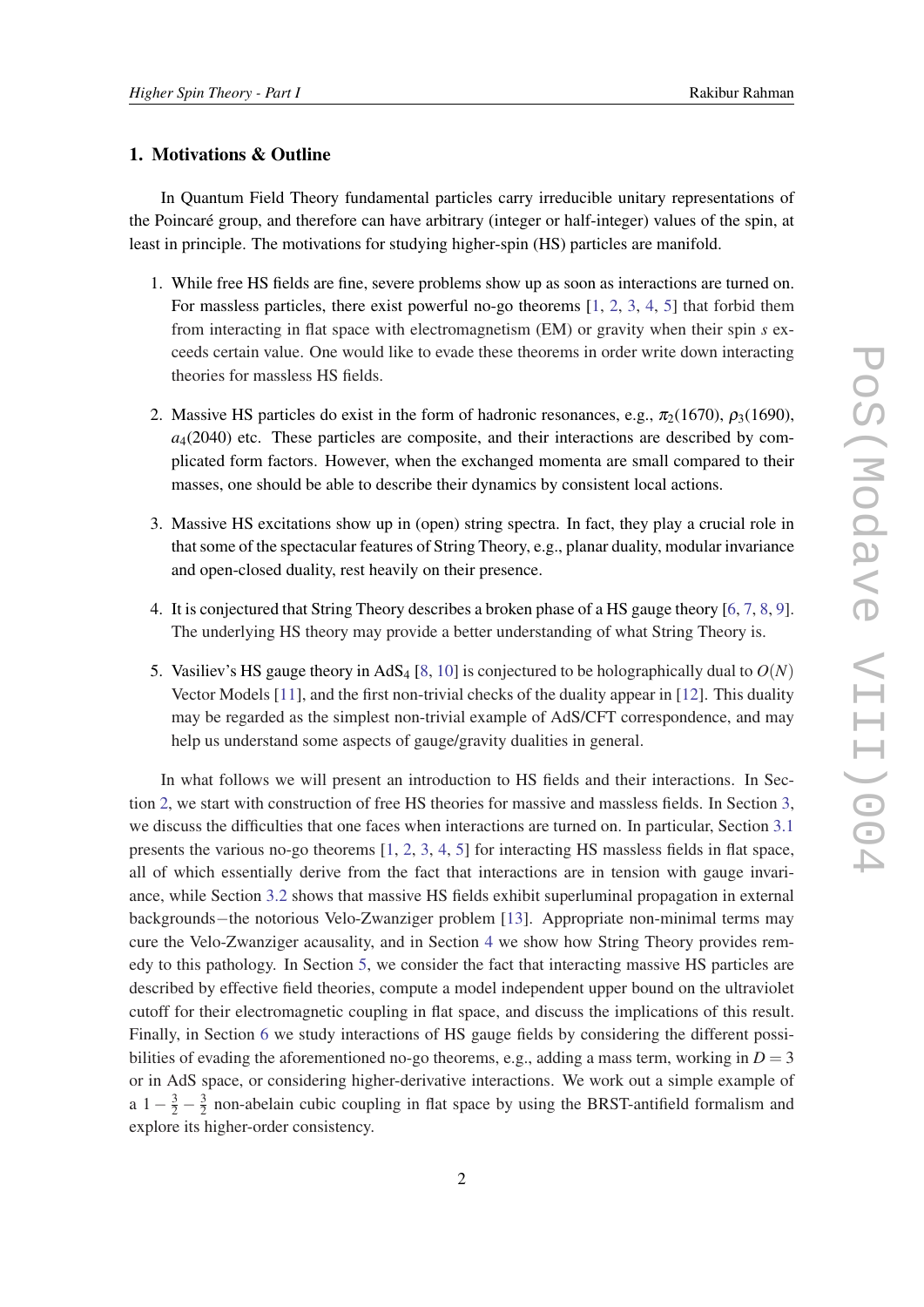# 1. Motivations & Outline

In Quantum Field Theory fundamental particles carry irreducible unitary representations of the Poincaré group, and therefore can have arbitrary (integer or half-integer) values of the spin, at least in principle. The motivations for studying higher-spin (HS) particles are manifold.

- 1. While free HS fields are fine, severe problems show up as soon as interactions are turned on. For massless particles, there exist powerful no-go theorems  $[1, 2, 3, 4, 5]$  $[1, 2, 3, 4, 5]$  $[1, 2, 3, 4, 5]$  $[1, 2, 3, 4, 5]$  $[1, 2, 3, 4, 5]$  $[1, 2, 3, 4, 5]$  $[1, 2, 3, 4, 5]$  $[1, 2, 3, 4, 5]$  $[1, 2, 3, 4, 5]$  $[1, 2, 3, 4, 5]$  that forbid them from interacting in flat space with electromagnetism (EM) or gravity when their spin *s* exceeds certain value. One would like to evade these theorems in order write down interacting theories for massless HS fields.
- 2. Massive HS particles do exist in the form of hadronic resonances, e.g.,  $\pi_2(1670)$ ,  $\rho_3(1690)$ ,  $a<sub>4</sub>(2040)$  etc. These particles are composite, and their interactions are described by complicated form factors. However, when the exchanged momenta are small compared to their masses, one should be able to describe their dynamics by consistent local actions.
- 3. Massive HS excitations show up in (open) string spectra. In fact, they play a crucial role in that some of the spectacular features of String Theory, e.g., planar duality, modular invariance and open-closed duality, rest heavily on their presence.
- 4. It is conjectured that String Theory describes a broken phase of a HS gauge theory [[6](#page-28-0), [7,](#page-28-0) [8](#page-28-0), [9\]](#page-28-0). The underlying HS theory may provide a better understanding of what String Theory is.
- 5. Vasiliev's HS gauge theory in AdS<sub>4</sub> [[8](#page-28-0), [10](#page-28-0)] is conjectured to be holographically dual to  $O(N)$ Vector Models [\[11](#page-29-0)], and the first non-trivial checks of the duality appear in [\[12](#page-29-0)]. This duality may be regarded as the simplest non-trivial example of AdS/CFT correspondence, and may help us understand some aspects of gauge/gravity dualities in general.

In what follows we will present an introduction to HS fields and their interactions. In Section [2](#page-2-0), we start with construction of free HS theories for massive and massless fields. In Section [3](#page-8-0), we discuss the difficulties that one faces when interactions are turned on. In particular, Section [3.1](#page-8-0) presents the various no-go theorems [[1](#page-28-0), [2](#page-28-0), [3,](#page-28-0) [4,](#page-28-0) [5](#page-28-0)] for interacting HS massless fields in flat space, all of which essentially derive from the fact that interactions are in tension with gauge invariance, while Section [3.2](#page-11-0) shows that massive HS fields exhibit superluminal propagation in external backgrounds−the notorious Velo-Zwanziger problem [\[13](#page-29-0)]. Appropriate non-minimal terms may cure the Velo-Zwanziger acausality, and in Section [4](#page-13-0) we show how String Theory provides remedy to this pathology. In Section [5,](#page-18-0) we consider the fact that interacting massive HS particles are described by effective field theories, compute a model independent upper bound on the ultraviolet cutoff for their electromagnetic coupling in flat space, and discuss the implications of this result. Finally, in Section [6](#page-22-0) we study interactions of HS gauge fields by considering the different possibilities of evading the aforementioned no-go theorems, e.g., adding a mass term, working in  $D = 3$ or in AdS space, or considering higher-derivative interactions. We work out a simple example of a  $1-\frac{3}{2}-\frac{3}{2}$  $\frac{3}{2}$  non-abelain cubic coupling in flat space by using the BRST-antifield formalism and explore its higher-order consistency.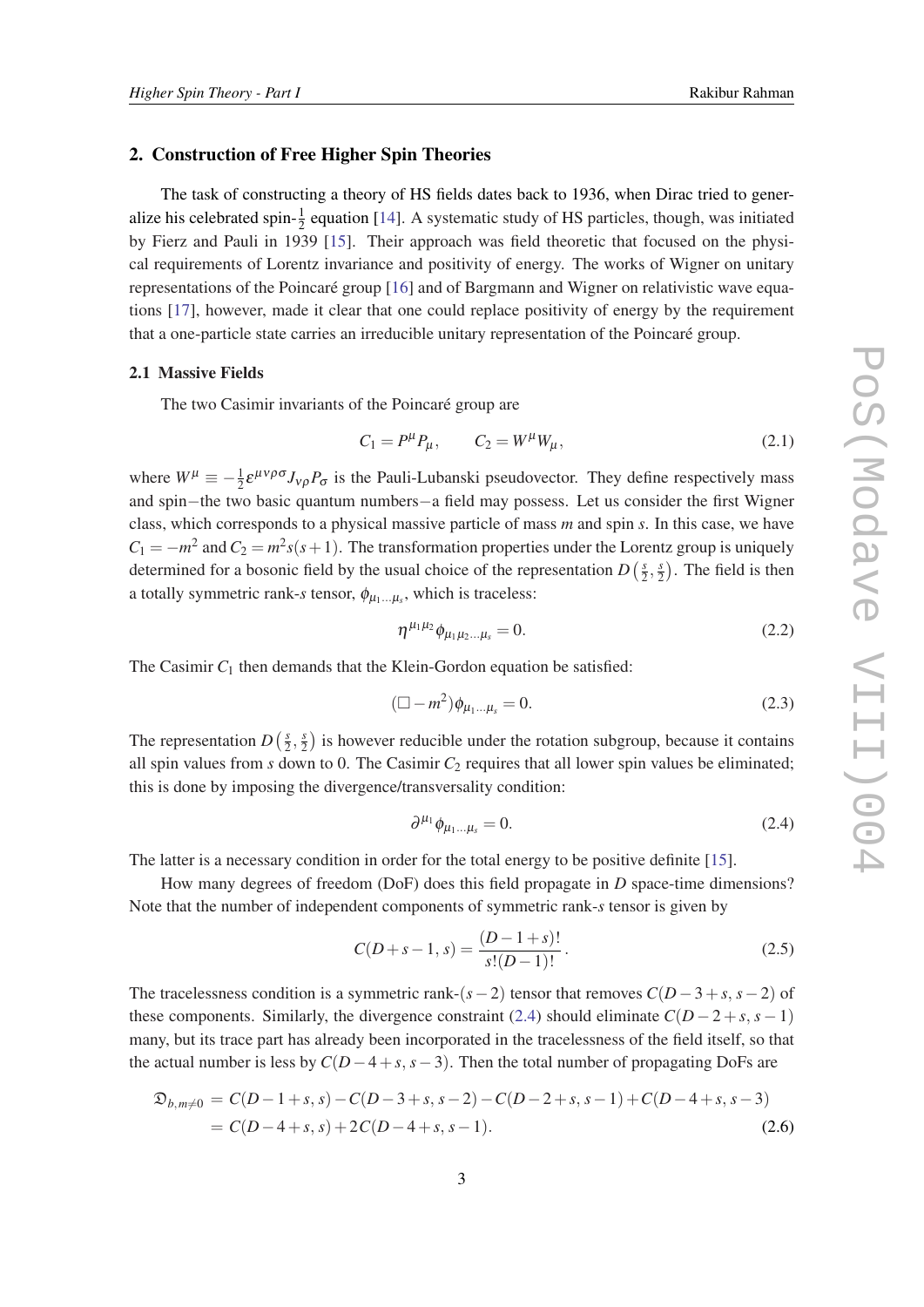## <span id="page-2-0"></span>2. Construction of Free Higher Spin Theories

The task of constructing a theory of HS fields dates back to 1936, when Dirac tried to generalize his celebrated spin- $\frac{1}{2}$  equation [\[14](#page-29-0)]. A systematic study of HS particles, though, was initiated by Fierz and Pauli in 1939 [\[15](#page-29-0)]. Their approach was field theoretic that focused on the physical requirements of Lorentz invariance and positivity of energy. The works of Wigner on unitary representations of the Poincaré group [\[16](#page-29-0)] and of Bargmann and Wigner on relativistic wave equations [[17\]](#page-29-0), however, made it clear that one could replace positivity of energy by the requirement that a one-particle state carries an irreducible unitary representation of the Poincaré group.

#### 2.1 Massive Fields

The two Casimir invariants of the Poincaré group are

$$
C_1 = P^{\mu} P_{\mu}, \qquad C_2 = W^{\mu} W_{\mu}, \tag{2.1}
$$

where  $W^{\mu} \equiv -\frac{1}{2} \varepsilon^{\mu\nu\rho\sigma} J_{\nu\rho} P_{\sigma}$  is the Pauli-Lubanski pseudovector. They define respectively mass and spin−the two basic quantum numbers−a field may possess. Let us consider the first Wigner class, which corresponds to a physical massive particle of mass *m* and spin *s*. In this case, we have  $C_1 = -m^2$  and  $C_2 = m^2 s(s+1)$ . The transformation properties under the Lorentz group is uniquely determined for a bosonic field by the usual choice of the representation  $D\left(\frac{s}{2}\right)$  $\frac{s}{2}, \frac{s}{2}$  $\frac{s}{2}$ ). The field is then a totally symmetric rank-*s* tensor,  $\phi_{\mu_1...\mu_s}$ , which is traceless:

$$
\eta^{\mu_1 \mu_2} \phi_{\mu_1 \mu_2 \dots \mu_s} = 0. \tag{2.2}
$$

The Casimir  $C_1$  then demands that the Klein-Gordon equation be satisfied:

$$
(\Box - m^2) \phi_{\mu_1...\mu_s} = 0.
$$
 (2.3)

The representation  $D\left(\frac{s}{2}\right)$  $\frac{s}{2}, \frac{s}{2}$  $\frac{s}{2}$ ) is however reducible under the rotation subgroup, because it contains all spin values from  $s$  down to 0. The Casimir  $C_2$  requires that all lower spin values be eliminated; this is done by imposing the divergence/transversality condition:

$$
\partial^{\mu_1} \phi_{\mu_1 \dots \mu_s} = 0. \tag{2.4}
$$

The latter is a necessary condition in order for the total energy to be positive definite [[15\]](#page-29-0).

How many degrees of freedom (DoF) does this field propagate in *D* space-time dimensions? Note that the number of independent components of symmetric rank-*s* tensor is given by

$$
C(D+s-1, s) = \frac{(D-1+s)!}{s!(D-1)!}.
$$
\n(2.5)

The tracelessness condition is a symmetric rank- $(s-2)$  tensor that removes  $C(D-3+s, s-2)$  of these components. Similarly, the divergence constraint (2.4) should eliminate  $C(D-2+s, s-1)$ many, but its trace part has already been incorporated in the tracelessness of the field itself, so that the actual number is less by  $C(D-4+s, s-3)$ . Then the total number of propagating DoFs are

$$
\mathfrak{D}_{b,m\neq 0} = C(D-1+s,s) - C(D-3+s,s-2) - C(D-2+s,s-1) + C(D-4+s,s-3)
$$
  
=  $C(D-4+s,s) + 2C(D-4+s,s-1).$  (2.6)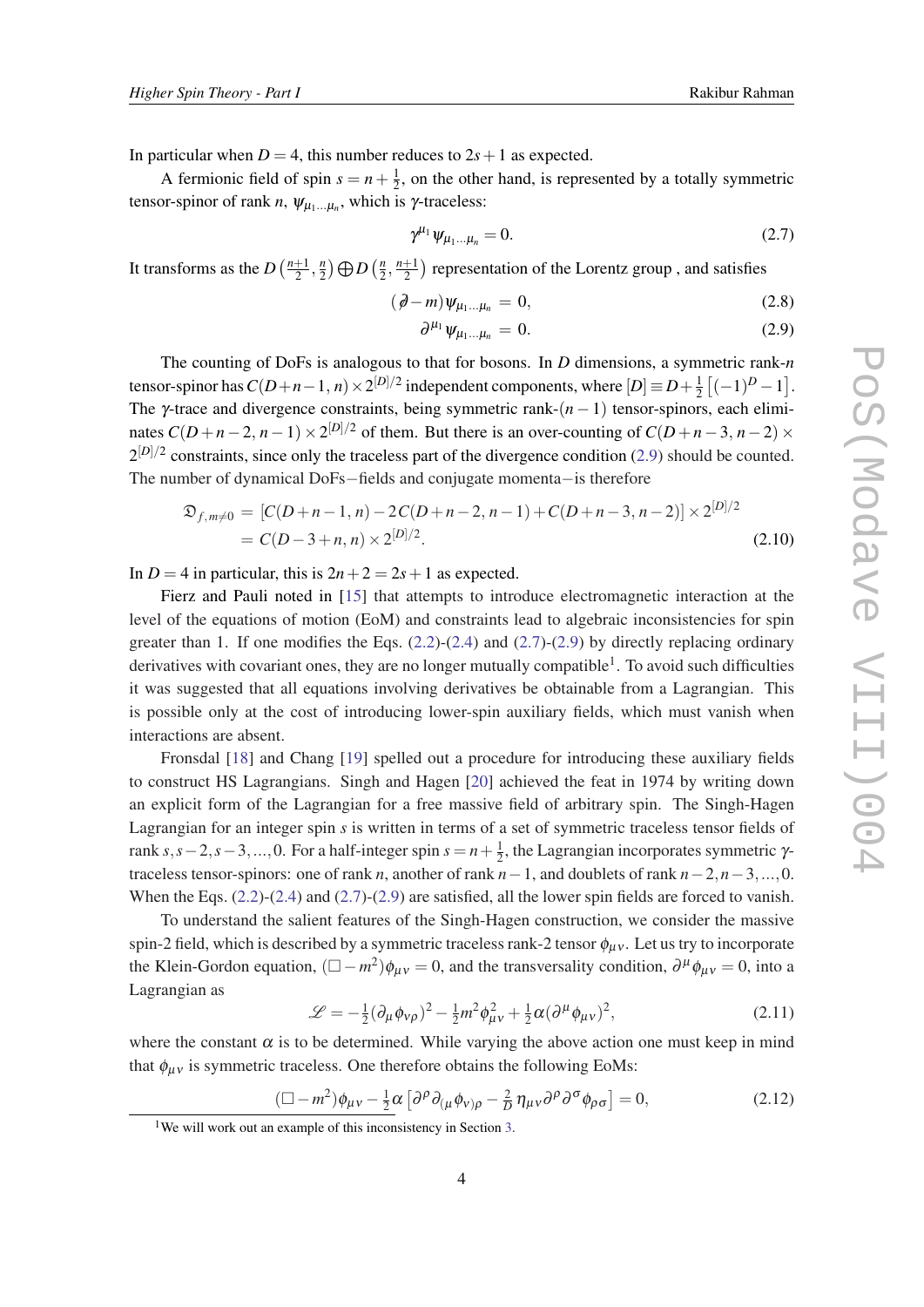<span id="page-3-0"></span>In particular when  $D = 4$ , this number reduces to  $2s + 1$  as expected.

A fermionic field of spin  $s = n + \frac{1}{2}$  $\frac{1}{2}$ , on the other hand, is represented by a totally symmetric tensor-spinor of rank *n*,  $\psi_{\mu_1...\mu_n}$ , which is *γ*-traceless:

$$
\gamma^{\mu_1} \psi_{\mu_1 \dots \mu_n} = 0. \tag{2.7}
$$

It transforms as the  $D\left(\frac{n+1}{2}\right)$  $\frac{+1}{2}, \frac{n}{2}$  $\binom{n}{2}$   $\bigoplus D$   $\left(\frac{n}{2}\right)$  $\frac{n}{2}, \frac{n+1}{2}$  $\frac{+1}{2}$ ) representation of the Lorentz group, and satisfies

$$
(\partial \hspace{-.05cm} - m) \psi_{\mu_1 \dots \mu_n} = 0, \tag{2.8}
$$

$$
\partial^{\mu_1} \psi_{\mu_1...\mu_n} = 0. \tag{2.9}
$$

The counting of DoFs is analogous to that for bosons. In *D* dimensions, a symmetric rank-*n* tensor-spinor has  $C(D+n-1, n) \times 2^{[D]/2}$  independent components, where  $[D] \equiv D + \frac{1}{2}$  $\frac{1}{2} \left[ (-1)^{D} - 1 \right]$ . The  $\gamma$ -trace and divergence constraints, being symmetric rank- $(n-1)$  tensor-spinors, each eliminates  $C(D+n-2, n-1) \times 2^{|D|/2}$  of them. But there is an over-counting of  $C(D+n-3, n-2) \times$  $2^{[D]/2}$  constraints, since only the traceless part of the divergence condition (2.9) should be counted. The number of dynamical DoFs−fields and conjugate momenta−is therefore

$$
\mathfrak{D}_{f,m\neq 0} = [C(D+n-1,n) - 2C(D+n-2,n-1) + C(D+n-3,n-2)] \times 2^{|D|/2}
$$
  
=  $C(D-3+n,n) \times 2^{|D|/2}$ . (2.10)

In  $D = 4$  in particular, this is  $2n + 2 = 2s + 1$  as expected.

Fierz and Pauli noted in [\[15](#page-29-0)] that attempts to introduce electromagnetic interaction at the level of the equations of motion (EoM) and constraints lead to algebraic inconsistencies for spin greater than 1. If one modifies the Eqs.  $(2.2)-(2.4)$  $(2.2)-(2.4)$  $(2.2)-(2.4)$  $(2.2)-(2.4)$  and  $(2.7)-(2.9)$  by directly replacing ordinary derivatives with covariant ones, they are no longer mutually compatible<sup>1</sup>. To avoid such difficulties it was suggested that all equations involving derivatives be obtainable from a Lagrangian. This is possible only at the cost of introducing lower-spin auxiliary fields, which must vanish when interactions are absent.

Fronsdal [\[18](#page-29-0)] and Chang [[19\]](#page-29-0) spelled out a procedure for introducing these auxiliary fields to construct HS Lagrangians. Singh and Hagen [[20\]](#page-29-0) achieved the feat in 1974 by writing down an explicit form of the Lagrangian for a free massive field of arbitrary spin. The Singh-Hagen Lagrangian for an integer spin *s* is written in terms of a set of symmetric traceless tensor fields of rank  $s, s-2, s-3, ..., 0$ . For a half-integer spin  $s = n + \frac{1}{2}$  $\frac{1}{2}$ , the Lagrangian incorporates symmetric  $\gamma$ traceless tensor-spinors: one of rank *n*, another of rank  $n-1$ , and doublets of rank  $n-2, n-3, ..., 0$ . When the Eqs.  $(2.2)-(2.4)$  $(2.2)-(2.4)$  $(2.2)-(2.4)$  $(2.2)-(2.4)$  and  $(2.7)-(2.9)$  are satisfied, all the lower spin fields are forced to vanish.

To understand the salient features of the Singh-Hagen construction, we consider the massive spin-2 field, which is described by a symmetric traceless rank-2 tensor  $\phi_{\mu\nu}$ . Let us try to incorporate the Klein-Gordon equation,  $(\Box - m^2)\phi_{\mu\nu} = 0$ , and the transversality condition,  $\partial^\mu \phi_{\mu\nu} = 0$ , into a Lagrangian as

$$
\mathcal{L} = -\frac{1}{2}(\partial_{\mu}\phi_{V\rho})^2 - \frac{1}{2}m^2\phi_{\mu V}^2 + \frac{1}{2}\alpha(\partial^{\mu}\phi_{\mu V})^2, \qquad (2.11)
$$

where the constant  $\alpha$  is to be determined. While varying the above action one must keep in mind that  $\phi_{\mu\nu}$  is symmetric traceless. One therefore obtains the following EoMs:

$$
\left(\Box - m^2\right)\phi_{\mu\nu} - \frac{1}{2}\alpha \left[\partial^\rho \partial_{(\mu}\phi_{\nu)\rho} - \frac{2}{D}\eta_{\mu\nu}\partial^\rho \partial^\sigma \phi_{\rho\sigma}\right] = 0, \tag{2.12}
$$

 $[D_1]$ /2

<sup>&</sup>lt;sup>1</sup>We will work out an example of this inconsistency in Section [3.](#page-8-0)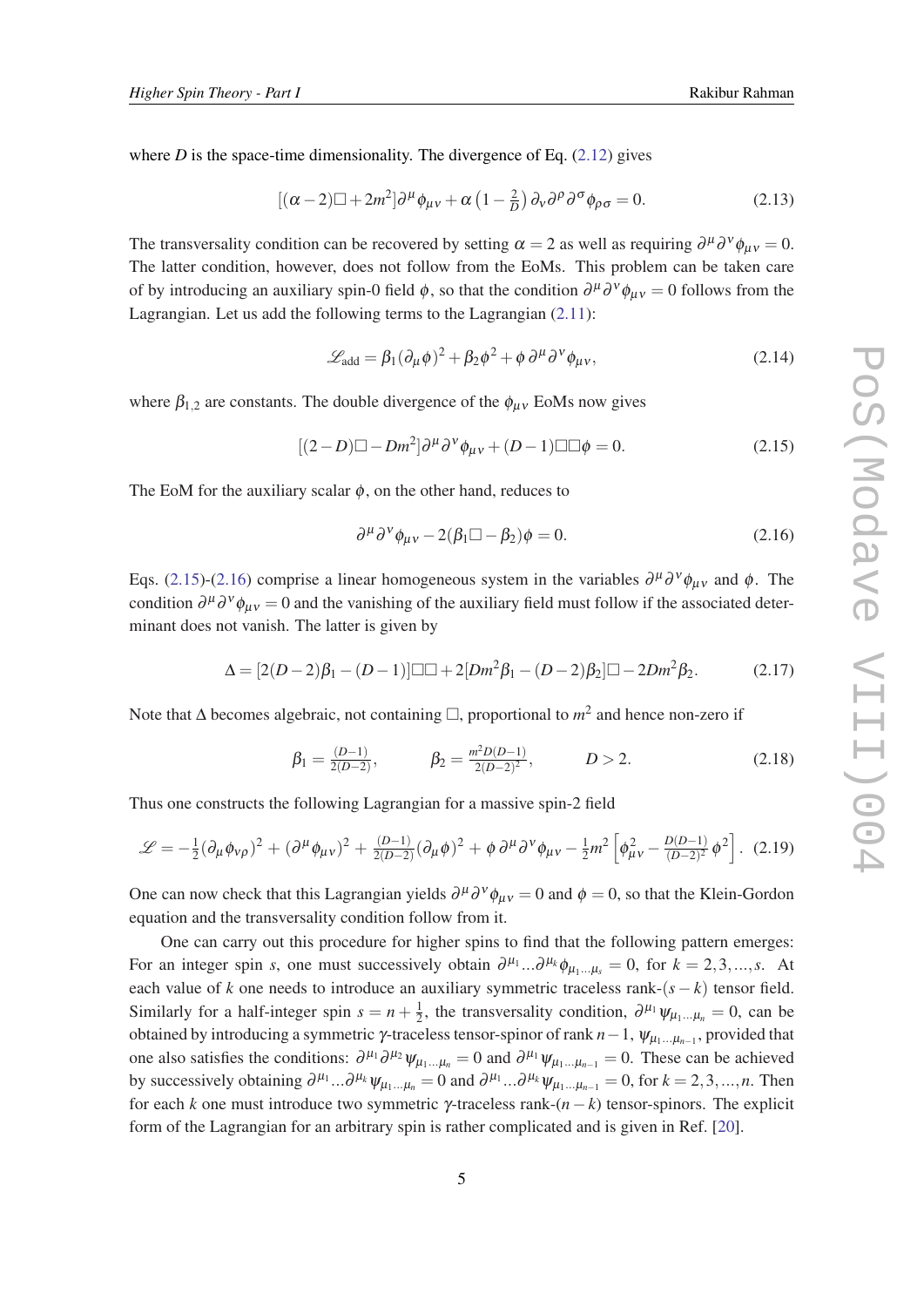<span id="page-4-0"></span>where  $D$  is the space-time dimensionality. The divergence of Eq.  $(2.12)$  $(2.12)$  gives

$$
\left[ (\alpha - 2)\Box + 2m^2 \right] \partial^\mu \phi_{\mu\nu} + \alpha \left( 1 - \frac{2}{D} \right) \partial_\nu \partial^\rho \partial^\sigma \phi_{\rho\sigma} = 0. \tag{2.13}
$$

The transversality condition can be recovered by setting  $\alpha = 2$  as well as requiring  $\partial^{\mu} \partial^{\nu} \phi_{\mu\nu} = 0$ . The latter condition, however, does not follow from the EoMs. This problem can be taken care of by introducing an auxiliary spin-0 field  $\phi$ , so that the condition  $\partial^{\mu}\partial^{\nu}\phi_{\mu\nu} = 0$  follows from the Lagrangian. Let us add the following terms to the Lagrangian ([2.11\)](#page-3-0):

$$
\mathcal{L}_{\text{add}} = \beta_1 (\partial_\mu \phi)^2 + \beta_2 \phi^2 + \phi \partial^\mu \partial^\nu \phi_{\mu\nu},\tag{2.14}
$$

where  $\beta_{1,2}$  are constants. The double divergence of the  $\phi_{\mu\nu}$  EoMs now gives

$$
[(2-D)\Box - Dm^2]\partial^{\mu}\partial^{\nu}\phi_{\mu\nu} + (D-1)\Box \Box \phi = 0. \qquad (2.15)
$$

The EoM for the auxiliary scalar  $\phi$ , on the other hand, reduces to

$$
\partial^{\mu} \partial^{\nu} \phi_{\mu\nu} - 2(\beta_1 \Box - \beta_2) \phi = 0. \tag{2.16}
$$

Eqs. (2.15)-(2.16) comprise a linear homogeneous system in the variables  $\partial^{\mu}\partial^{\nu}\phi_{\mu\nu}$  and  $\phi$ . The condition  $\partial^{\mu}\partial^{\nu}\phi_{\mu\nu} = 0$  and the vanishing of the auxiliary field must follow if the associated determinant does not vanish. The latter is given by

$$
\Delta = [2(D-2)\beta_1 - (D-1)]\Box \Box + 2[Dm^2\beta_1 - (D-2)\beta_2]\Box - 2Dm^2\beta_2. \tag{2.17}
$$

Note that  $\Delta$  becomes algebraic, not containing  $\Box$ , proportional to  $m^2$  and hence non-zero if

$$
\beta_1 = \frac{(D-1)}{2(D-2)}, \qquad \beta_2 = \frac{m^2 D(D-1)}{2(D-2)^2}, \qquad D > 2.
$$
 (2.18)

Thus one constructs the following Lagrangian for a massive spin-2 field

$$
\mathcal{L} = -\frac{1}{2}(\partial_{\mu}\phi_{\nu\rho})^{2} + (\partial^{\mu}\phi_{\mu\nu})^{2} + \frac{(D-1)}{2(D-2)}(\partial_{\mu}\phi)^{2} + \phi \partial^{\mu}\partial^{\nu}\phi_{\mu\nu} - \frac{1}{2}m^{2}\left[\phi_{\mu\nu}^{2} - \frac{D(D-1)}{(D-2)^{2}}\phi^{2}\right].
$$
 (2.19)

One can now check that this Lagrangian yields  $\partial^{\mu}\partial^{\nu}\phi_{\mu\nu} = 0$  and  $\phi = 0$ , so that the Klein-Gordon equation and the transversality condition follow from it.

One can carry out this procedure for higher spins to find that the following pattern emerges: For an integer spin *s*, one must successively obtain  $\partial^{\mu_1}...\partial^{\mu_k}\phi_{\mu_1...\mu_s} = 0$ , for  $k = 2,3,...,s$ . At each value of *k* one needs to introduce an auxiliary symmetric traceless rank- $(s - k)$  tensor field. Similarly for a half-integer spin  $s = n + \frac{1}{2}$  $\frac{1}{2}$ , the transversality condition,  $\partial^{\mu_1} \psi_{\mu_1...\mu_n} = 0$ , can be obtained by introducing a symmetric γ-traceless tensor-spinor of rank  $n-1$ ,  $\psi_{\mu_1...\mu_{n-1}}$ , provided that one also satisfies the conditions:  $\partial^{\mu_1} \partial^{\mu_2} \psi_{\mu_1...\mu_n} = 0$  and  $\partial^{\mu_1} \psi_{\mu_1...\mu_{n-1}} = 0$ . These can be achieved by successively obtaining  $\partial^{\mu_1}...\partial^{\mu_k}\psi_{\mu_1...\mu_n} = 0$  and  $\partial^{\mu_1}...\partial^{\mu_k}\psi_{\mu_1...\mu_{n-1}} = 0$ , for  $k = 2, 3, ..., n$ . Then for each *k* one must introduce two symmetric γ-traceless rank-(*n*−*k*) tensor-spinors. The explicit form of the Lagrangian for an arbitrary spin is rather complicated and is given in Ref. [[20](#page-29-0)].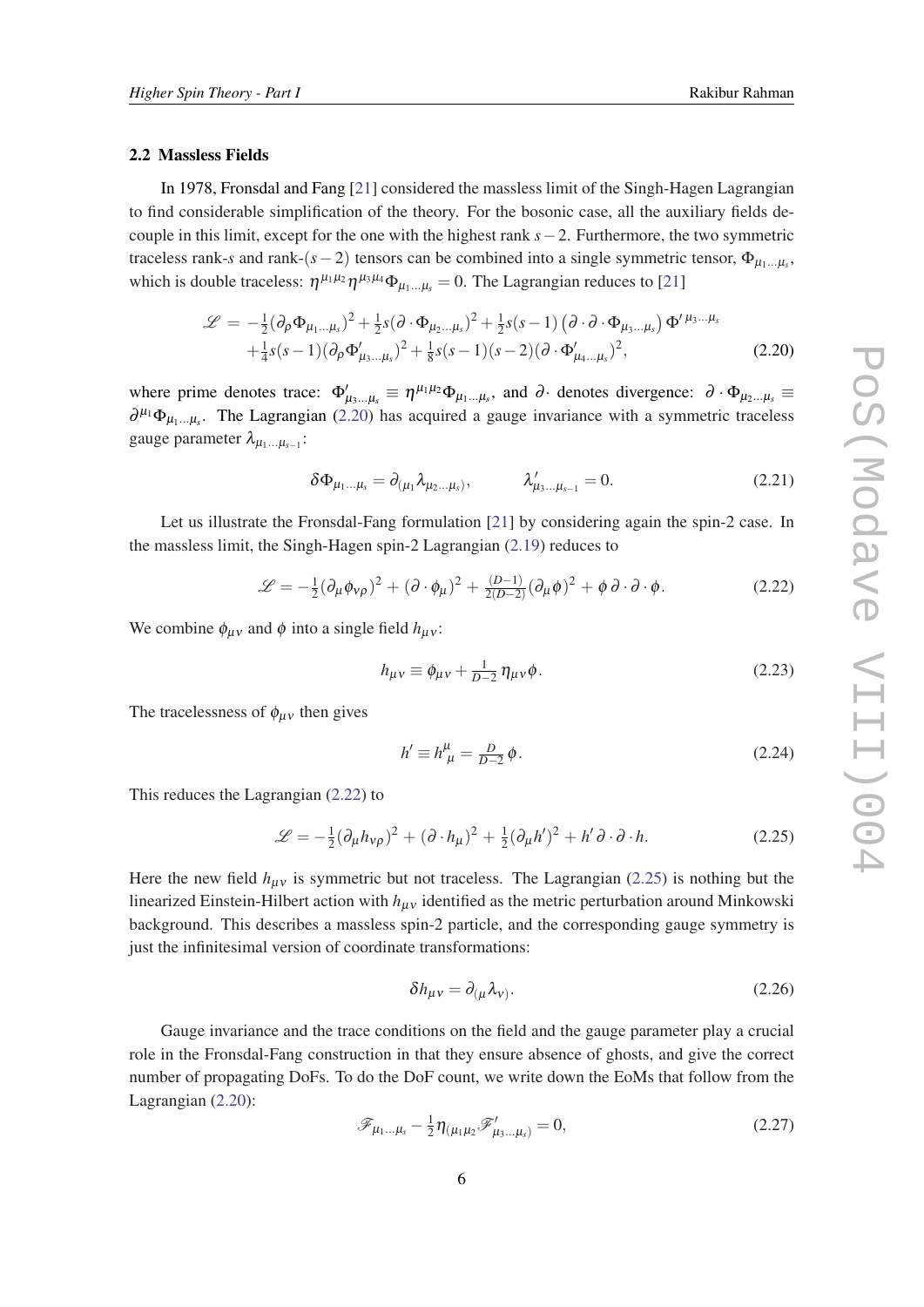#### <span id="page-5-0"></span>2.2 Massless Fields

In 1978, Fronsdal and Fang [[21\]](#page-29-0) considered the massless limit of the Singh-Hagen Lagrangian to find considerable simplification of the theory. For the bosonic case, all the auxiliary fields decouple in this limit, except for the one with the highest rank *s*−2. Furthermore, the two symmetric traceless rank-*s* and rank-( $s - 2$ ) tensors can be combined into a single symmetric tensor,  $\Phi_{\mu_1...\mu_s}$ , which is double traceless:  $\eta^{\mu_1\mu_2}\eta^{\mu_3\mu_4}\Phi_{\mu_1...\mu_s}=0$ . The Lagrangian reduces to [\[21](#page-29-0)]

$$
\mathcal{L} = -\frac{1}{2} (\partial_{\rho} \Phi_{\mu_1...\mu_s})^2 + \frac{1}{2} s (\partial \Phi_{\mu_2...\mu_s})^2 + \frac{1}{2} s (s-1) (\partial \Phi_{\mu_3...\mu_s}) \Phi^{\prime \mu_3...\mu_s} + \frac{1}{4} s (s-1) (\partial_{\rho} \Phi^{\prime}_{\mu_3...\mu_s})^2 + \frac{1}{8} s (s-1) (s-2) (\partial \Phi^{\prime}_{\mu_4...\mu_s})^2,
$$
(2.20)

where prime denotes trace:  $\Phi'_{\mu_3...\mu_s} \equiv \eta^{\mu_1\mu_2}\Phi_{\mu_1...\mu_s}$ , and  $\partial$  denotes divergence:  $\partial \cdot \Phi_{\mu_2...\mu_s} \equiv$  $\partial^{\mu_1} \Phi_{\mu_1...\mu_s}$ . The Lagrangian (2.20) has acquired a gauge invariance with a symmetric traceless gauge parameter  $\lambda_{\mu_1...\mu_{s-1}}$ :

$$
\delta \Phi_{\mu_1...\mu_s} = \partial_{(\mu_1} \lambda_{\mu_2...\mu_s)}, \qquad \lambda'_{\mu_3...\mu_{s-1}} = 0.
$$
 (2.21)

Let us illustrate the Fronsdal-Fang formulation [\[21\]](#page-29-0) by considering again the spin-2 case. In the massless limit, the Singh-Hagen spin-2 Lagrangian ([2.19\)](#page-4-0) reduces to

$$
\mathcal{L} = -\frac{1}{2}(\partial_{\mu}\phi_{\nu\rho})^2 + (\partial \cdot \phi_{\mu})^2 + \frac{(D-1)}{2(D-2)}(\partial_{\mu}\phi)^2 + \phi \partial \cdot \partial \cdot \phi.
$$
 (2.22)

We combine  $\phi_{\mu\nu}$  and  $\phi$  into a single field  $h_{\mu\nu}$ :

$$
h_{\mu\nu} \equiv \phi_{\mu\nu} + \frac{1}{D-2} \eta_{\mu\nu} \phi. \tag{2.23}
$$

The tracelessness of  $\phi_{\mu\nu}$  then gives

$$
h' \equiv h^{\mu}_{\ \mu} = \frac{D}{D-2} \phi. \tag{2.24}
$$

This reduces the Lagrangian (2.22) to

$$
\mathcal{L} = -\frac{1}{2}(\partial_{\mu}h_{\nu\rho})^2 + (\partial \cdot h_{\mu})^2 + \frac{1}{2}(\partial_{\mu}h')^2 + h'\partial \cdot \partial \cdot h.
$$
 (2.25)

Here the new field  $h_{\mu\nu}$  is symmetric but not traceless. The Lagrangian (2.25) is nothing but the linearized Einstein-Hilbert action with  $h_{\mu\nu}$  identified as the metric perturbation around Minkowski background. This describes a massless spin-2 particle, and the corresponding gauge symmetry is just the infinitesimal version of coordinate transformations:

$$
\delta h_{\mu\nu} = \partial_{(\mu} \lambda_{\nu)}.
$$
\n(2.26)

Gauge invariance and the trace conditions on the field and the gauge parameter play a crucial role in the Fronsdal-Fang construction in that they ensure absence of ghosts, and give the correct number of propagating DoFs. To do the DoF count, we write down the EoMs that follow from the Lagrangian (2.20):

$$
\mathscr{F}_{\mu_1\ldots\mu_s} - \frac{1}{2} \eta_{(\mu_1\mu_2)} \mathscr{F}'_{\mu_3\ldots\mu_s} = 0, \qquad (2.27)
$$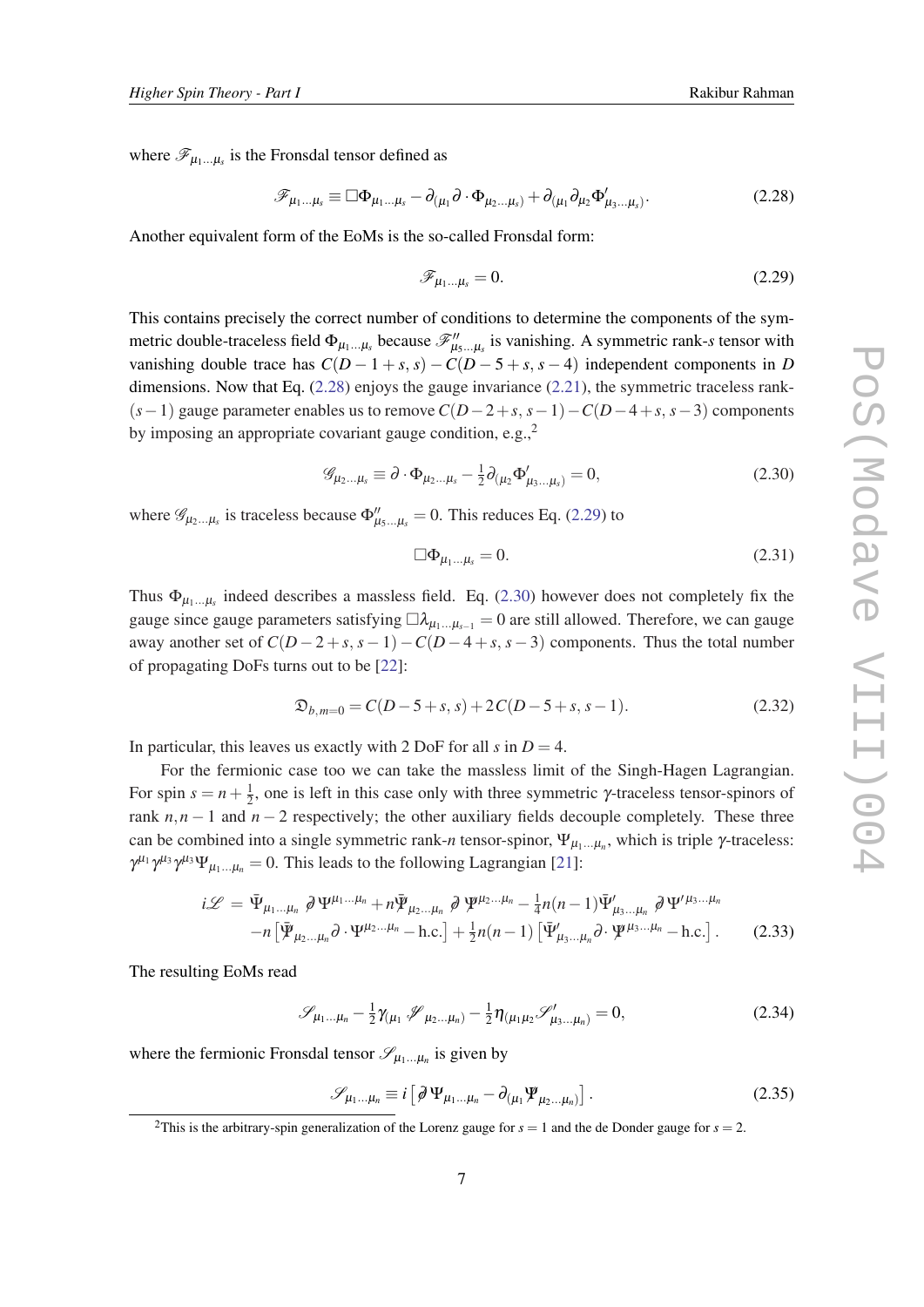<span id="page-6-0"></span>where  $\mathscr{F}_{\mu_1...\mu_s}$  is the Fronsdal tensor defined as

$$
\mathscr{F}_{\mu_1\ldots\mu_s} \equiv \Box \Phi_{\mu_1\ldots\mu_s} - \partial_{(\mu_1} \partial \cdot \Phi_{\mu_2\ldots\mu_s)} + \partial_{(\mu_1} \partial_{\mu_2} \Phi'_{\mu_3\ldots\mu_s)}.
$$
\n(2.28)

Another equivalent form of the EoMs is the so-called Fronsdal form:

$$
\mathscr{F}_{\mu_1\dots\mu_s} = 0.\tag{2.29}
$$

This contains precisely the correct number of conditions to determine the components of the symmetric double-traceless field  $\Phi_{\mu_1...\mu_s}$  because  $\mathscr{F}''_{\mu_5...\mu_s}$  is vanishing. A symmetric rank-*s* tensor with vanishing double trace has  $C(D-1+s, s) - C(D-5+s, s-4)$  independent components in *D* dimensions. Now that Eq.  $(2.28)$  enjoys the gauge invariance  $(2.21)$  $(2.21)$ , the symmetric traceless rank-(*s*−1) gauge parameter enables us to remove *C*(*D*−2+*s*, *s*−1)−*C*(*D*−4+*s*, *s*−3) components by imposing an appropriate covariant gauge condition, e.g., $^2$ 

$$
\mathscr{G}_{\mu_2\ldots\mu_s} \equiv \partial \cdot \Phi_{\mu_2\ldots\mu_s} - \frac{1}{2} \partial_{(\mu_2} \Phi'_{\mu_3\ldots\mu_s)} = 0, \tag{2.30}
$$

where  $\mathscr{G}_{\mu_2...\mu_s}$  is traceless because  $\Phi''_{\mu_5...\mu_s} = 0$ . This reduces Eq. (2.29) to

$$
\Box \Phi_{\mu_1...\mu_s} = 0. \tag{2.31}
$$

Thus  $\Phi_{\mu_1...\mu_s}$  indeed describes a massless field. Eq. (2.30) however does not completely fix the gauge since gauge parameters satisfying  $\Box \lambda_{\mu_1...\mu_{s-1}} = 0$  are still allowed. Therefore, we can gauge away another set of  $C(D-2+s, s-1)-C(D-4+s, s-3)$  components. Thus the total number of propagating DoFs turns out to be [\[22](#page-29-0)]:

$$
\mathfrak{D}_{b,m=0} = C(D-5+s, s) + 2C(D-5+s, s-1). \tag{2.32}
$$

In particular, this leaves us exactly with 2 DoF for all  $s$  in  $D = 4$ .

For the fermionic case too we can take the massless limit of the Singh-Hagen Lagrangian. For spin  $s = n + \frac{1}{2}$  $\frac{1}{2}$ , one is left in this case only with three symmetric  $\gamma$ -traceless tensor-spinors of rank  $n, n - 1$  and  $n - 2$  respectively; the other auxiliary fields decouple completely. These three can be combined into a single symmetric rank-*n* tensor-spinor,  $\Psi_{\mu_1...\mu_n}$ , which is triple  $\gamma$ -traceless:  $\gamma^{\mu_1} \gamma^{\mu_3} \gamma^{\mu_3} \Psi_{\mu_1...\mu_n} = 0$ . This leads to the following Lagrangian [[21](#page-29-0)]:

$$
i\mathscr{L} = \bar{\Psi}_{\mu_1\ldots\mu_n} \partial \Psi^{\mu_1\ldots\mu_n} + n\bar{\Psi}_{\mu_2\ldots\mu_n} \partial \Psi^{\mu_2\ldots\mu_n} - \frac{1}{4}n(n-1)\bar{\Psi}'_{\mu_3\ldots\mu_n} \partial \Psi'^{\mu_3\ldots\mu_n}
$$

$$
-n\left[\bar{\Psi}_{\mu_2\ldots\mu_n}\partial \cdot \Psi^{\mu_2\ldots\mu_n} - \text{h.c.}\right] + \frac{1}{2}n(n-1)\left[\bar{\Psi}'_{\mu_3\ldots\mu_n}\partial \cdot \Psi^{\mu_3\ldots\mu_n} - \text{h.c.}\right].
$$
 (2.33)

The resulting EoMs read

$$
\mathscr{S}_{\mu_1...\mu_n} - \frac{1}{2} \gamma_{(\mu_1} \mathscr{J}_{\mu_2...\mu_n)} - \frac{1}{2} \eta_{(\mu_1 \mu_2} \mathscr{S}'_{\mu_3...\mu_n)} = 0, \qquad (2.34)
$$

where the fermionic Fronsdal tensor  $\mathscr{S}_{\mu_1...\mu_n}$  is given by

$$
\mathscr{S}_{\mu_1...\mu_n} \equiv i \left[ \partial \Psi_{\mu_1...\mu_n} - \partial_{(\mu_1)} \Psi_{\mu_2...\mu_n)} \right]. \tag{2.35}
$$

<sup>&</sup>lt;sup>2</sup>This is the arbitrary-spin generalization of the Lorenz gauge for  $s = 1$  and the de Donder gauge for  $s = 2$ .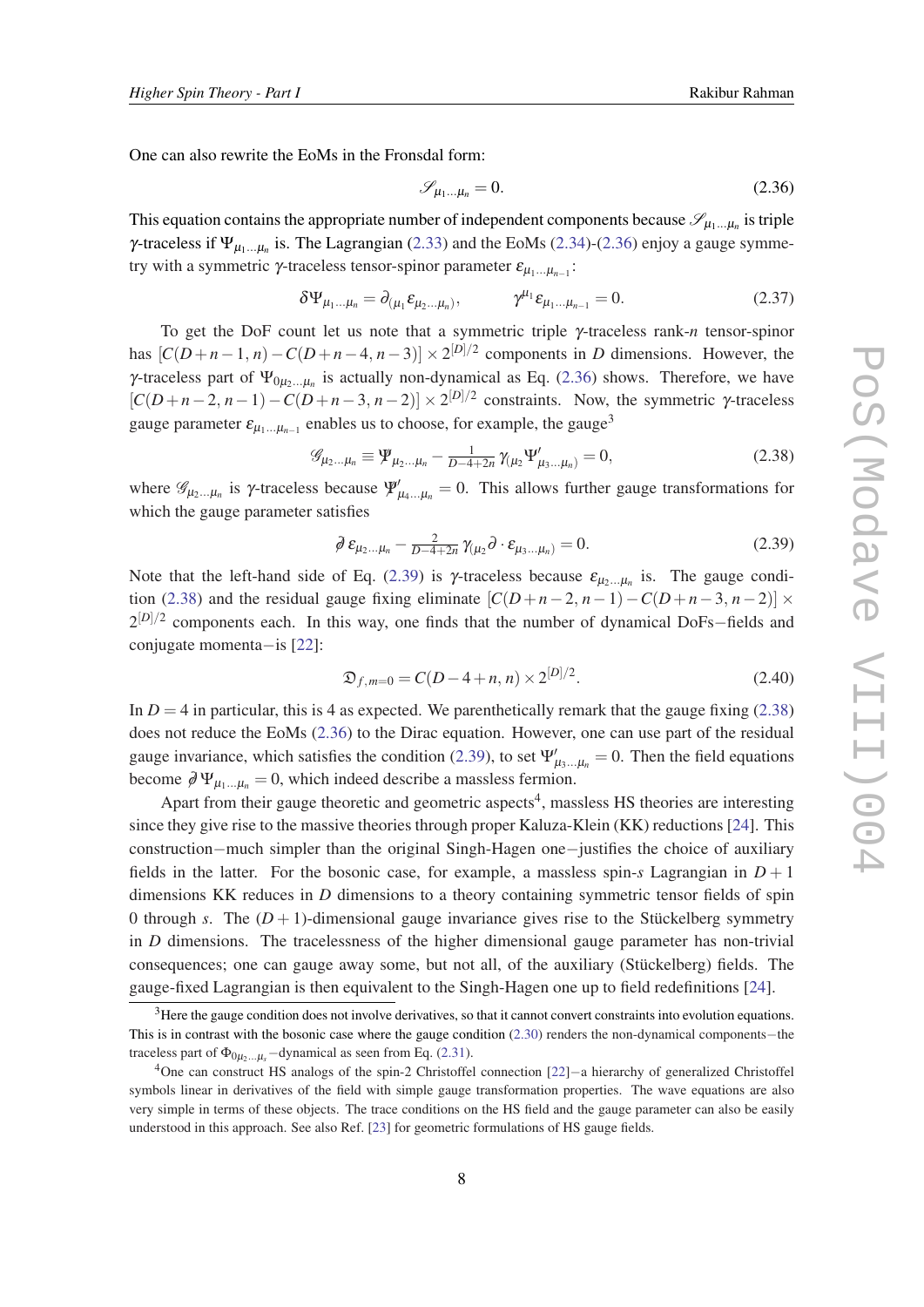<span id="page-7-0"></span>One can also rewrite the EoMs in the Fronsdal form:

$$
\mathscr{S}_{\mu_1\ldots\mu_n} = 0. \tag{2.36}
$$

This equation contains the appropriate number of independent components because  $\mathscr{S}_{\mu_1...\mu_n}$  is triple  $\gamma$ -traceless if  $\Psi_{\mu_1...\mu_n}$  is. The Lagrangian [\(2.33](#page-6-0)) and the EoMs [\(2.34](#page-6-0))-(2.36) enjoy a gauge symmetry with a symmetric  $\gamma$ -traceless tensor-spinor parameter  $\varepsilon_{\mu_1...\mu_{n-1}}$ :

$$
\delta\Psi_{\mu_1...\mu_n} = \partial_{(\mu_1} \varepsilon_{\mu_2...\mu_n)}, \qquad \gamma^{\mu_1} \varepsilon_{\mu_1...\mu_{n-1}} = 0.
$$
 (2.37)

To get the DoF count let us note that a symmetric triple γ-traceless rank-*n* tensor-spinor has  $[C(D+n-1,n)-C(D+n-4,n-3)] \times 2^{[D]/2}$  components in *D* dimensions. However, the  $γ$ -traceless part of  $Ψ_{0μ_2...μ_n}$  is actually non-dynamical as Eq. (2.36) shows. Therefore, we have  $[C(D+n-2, n-1)-C(D+n-3, n-2)] \times 2^{[D]/2}$  constraints. Now, the symmetric  $\gamma$ -traceless gauge parameter  $\varepsilon_{\mu_1...\mu_{n-1}}$  enables us to choose, for example, the gauge<sup>3</sup>

$$
\mathscr{G}_{\mu_2...\mu_n} \equiv \Psi_{\mu_2...\mu_n} - \frac{1}{D-4+2n} \gamma_{(\mu_2} \Psi'_{\mu_3...\mu_n)} = 0, \qquad (2.38)
$$

where  $\mathscr{G}_{\mu_2...\mu_n}$  is  $\gamma$ -traceless because  $\Psi'_{\mu_4...\mu_n}=0$ . This allows further gauge transformations for which the gauge parameter satisfies

$$
\partial \varepsilon_{\mu_2...\mu_n} - \frac{2}{D-4+2n} \gamma_{(\mu_2} \partial \cdot \varepsilon_{\mu_3...\mu_n)} = 0. \tag{2.39}
$$

Note that the left-hand side of Eq. (2.39) is  $\gamma$ -traceless because  $\varepsilon_{\mu_2...\mu_n}$  is. The gauge condition (2.38) and the residual gauge fixing eliminate  $[C(D+n-2, n-1)-C(D+n-3, n-2)] \times$ 2<sup>[D]/2</sup> components each. In this way, one finds that the number of dynamical DoFs–fields and conjugate momenta−is [\[22](#page-29-0)]:

$$
\mathfrak{D}_{f,m=0} = C(D-4+n, n) \times 2^{[D]/2}.
$$
 (2.40)

In  $D = 4$  in particular, this is 4 as expected. We parenthetically remark that the gauge fixing (2.38) does not reduce the EoMs (2.36) to the Dirac equation. However, one can use part of the residual gauge invariance, which satisfies the condition (2.39), to set  $\Psi'_{\mu_3...\mu_n} = 0$ . Then the field equations become  $\partial \Psi_{\mu_1...\mu_n} = 0$ , which indeed describe a massless fermion.

Apart from their gauge theoretic and geometric aspects<sup>4</sup>, massless HS theories are interesting since they give rise to the massive theories through proper Kaluza-Klein (KK) reductions [\[24\]](#page-29-0). This construction−much simpler than the original Singh-Hagen one−justifies the choice of auxiliary fields in the latter. For the bosonic case, for example, a massless spin- $s$  Lagrangian in  $D+1$ dimensions KK reduces in *D* dimensions to a theory containing symmetric tensor fields of spin 0 through *s*. The  $(D+1)$ -dimensional gauge invariance gives rise to the Stückelberg symmetry in *D* dimensions. The tracelessness of the higher dimensional gauge parameter has non-trivial consequences; one can gauge away some, but not all, of the auxiliary (Stückelberg) fields. The gauge-fixed Lagrangian is then equivalent to the Singh-Hagen one up to field redefinitions [[24\]](#page-29-0).

 $<sup>3</sup>$  Here the gauge condition does not involve derivatives, so that it cannot convert constraints into evolution equations.</sup> This is in contrast with the bosonic case where the gauge condition [\(2.30\)](#page-6-0) renders the non-dynamical components−the traceless part of  $\Phi_{0\mu_2\ldots\mu_s}$  –dynamical as seen from Eq. [\(2.31](#page-6-0)).

<sup>4</sup>One can construct HS analogs of the spin-2 Christoffel connection [\[22](#page-29-0)]−a hierarchy of generalized Christoffel symbols linear in derivatives of the field with simple gauge transformation properties. The wave equations are also very simple in terms of these objects. The trace conditions on the HS field and the gauge parameter can also be easily understood in this approach. See also Ref. [\[23\]](#page-29-0) for geometric formulations of HS gauge fields.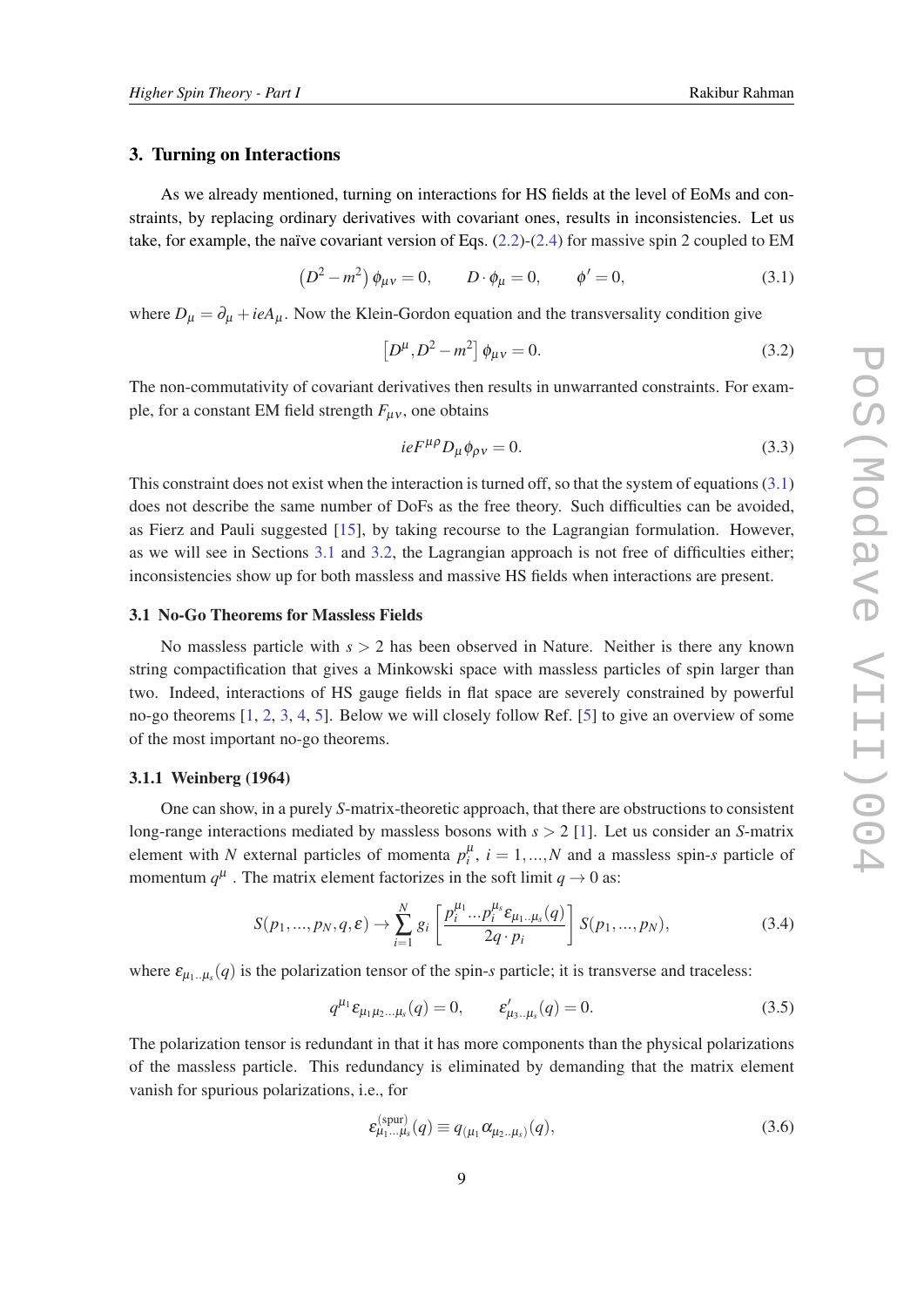#### <span id="page-8-0"></span>3. Turning on Interactions

As we already mentioned, turning on interactions for HS fields at the level of EoMs and constraints, by replacing ordinary derivatives with covariant ones, results in inconsistencies. Let us take, for example, the naïve covariant version of Eqs.  $(2.2)-(2.4)$  $(2.2)-(2.4)$  $(2.2)-(2.4)$  $(2.2)-(2.4)$  for massive spin 2 coupled to EM

$$
(D2 – m2) \phi_{\mu\nu} = 0, \qquad D \cdot \phi_{\mu} = 0, \qquad \phi' = 0,
$$
 (3.1)

where  $D_{\mu} = \partial_{\mu} + ieA_{\mu}$ . Now the Klein-Gordon equation and the transversality condition give

$$
\[D^{\mu}, D^2 - m^2\] \phi_{\mu\nu} = 0. \tag{3.2}
$$

The non-commutativity of covariant derivatives then results in unwarranted constraints. For example, for a constant EM field strength  $F_{\mu\nu}$ , one obtains

$$
ieF^{\mu\rho}D_{\mu}\phi_{\rho\nu}=0.\tag{3.3}
$$

This constraint does not exist when the interaction is turned off, so that the system of equations (3.1) does not describe the same number of DoFs as the free theory. Such difficulties can be avoided, as Fierz and Pauli suggested [[15\]](#page-29-0), by taking recourse to the Lagrangian formulation. However, as we will see in Sections 3.1 and [3.2,](#page-11-0) the Lagrangian approach is not free of difficulties either; inconsistencies show up for both massless and massive HS fields when interactions are present.

## 3.1 No-Go Theorems for Massless Fields

No massless particle with *s* > 2 has been observed in Nature. Neither is there any known string compactification that gives a Minkowski space with massless particles of spin larger than two. Indeed, interactions of HS gauge fields in flat space are severely constrained by powerful no-go theorems [\[1,](#page-28-0) [2,](#page-28-0) [3](#page-28-0), [4](#page-28-0), [5](#page-28-0)]. Below we will closely follow Ref. [[5](#page-28-0)] to give an overview of some of the most important no-go theorems.

#### 3.1.1 Weinberg (1964)

One can show, in a purely *S*-matrix-theoretic approach, that there are obstructions to consistent long-range interactions mediated by massless bosons with *s* > 2 [\[1\]](#page-28-0). Let us consider an *S*-matrix element with *N* external particles of momenta  $p_i^{\mu}$ ,  $i = 1,...,N$  and a massless spin-*s* particle of momentum  $q^{\mu}$ . The matrix element factorizes in the soft limit  $q \to 0$  as:

$$
S(p_1, ..., p_N, q, \varepsilon) \to \sum_{i=1}^N g_i \left[ \frac{p_i^{\mu_1} ... p_i^{\mu_s} \varepsilon_{\mu_1 ... \mu_s} (q)}{2q \cdot p_i} \right] S(p_1, ..., p_N), \tag{3.4}
$$

where  $\varepsilon_{\mu_1...\mu_s}(q)$  is the polarization tensor of the spin-*s* particle; it is transverse and traceless:

$$
q^{\mu_1} \varepsilon_{\mu_1 \mu_2 \dots \mu_s}(q) = 0, \qquad \varepsilon'_{\mu_3 \dots \mu_s}(q) = 0. \tag{3.5}
$$

The polarization tensor is redundant in that it has more components than the physical polarizations of the massless particle. This redundancy is eliminated by demanding that the matrix element vanish for spurious polarizations, i.e., for

$$
\varepsilon_{\mu_1\ldots\mu_s}^{(\text{spur})}(q) \equiv q_{(\mu_1}\alpha_{\mu_2\ldots\mu_s)}(q),\tag{3.6}
$$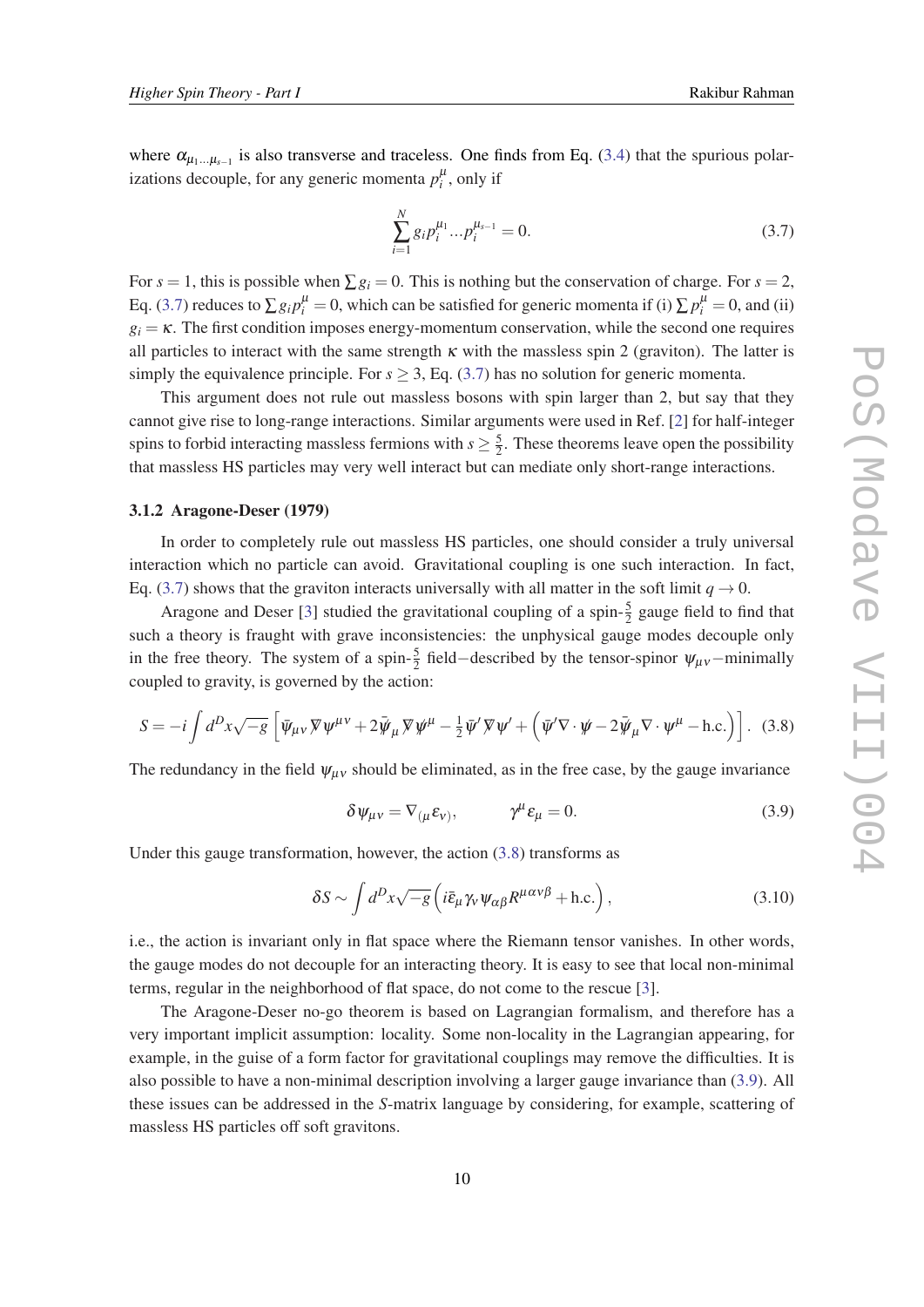where  $\alpha_{\mu_1...\mu_{s-1}}$  is also transverse and traceless. One finds from Eq. [\(3.4\)](#page-8-0) that the spurious polarizations decouple, for any generic momenta  $p_i^{\mu}$ , only if

$$
\sum_{i=1}^{N} g_i p_i^{\mu_1} \dots p_i^{\mu_{s-1}} = 0.
$$
\n(3.7)

For  $s = 1$ , this is possible when  $\sum g_i = 0$ . This is nothing but the conservation of charge. For  $s = 2$ , Eq. (3.7) reduces to  $\sum g_i p_i^{\mu} = 0$ , which can be satisfied for generic momenta if (i)  $\sum p_i^{\mu} = 0$ , and (ii)  $g_i = \kappa$ . The first condition imposes energy-momentum conservation, while the second one requires all particles to interact with the same strength  $\kappa$  with the massless spin 2 (graviton). The latter is simply the equivalence principle. For  $s \geq 3$ , Eq. (3.7) has no solution for generic momenta.

This argument does not rule out massless bosons with spin larger than 2, but say that they cannot give rise to long-range interactions. Similar arguments were used in Ref. [[2](#page-28-0)] for half-integer spins to forbid interacting massless fermions with  $s \geq \frac{5}{2}$  $\frac{5}{2}$ . These theorems leave open the possibility that massless HS particles may very well interact but can mediate only short-range interactions.

#### 3.1.2 Aragone-Deser (1979)

In order to completely rule out massless HS particles, one should consider a truly universal interaction which no particle can avoid. Gravitational coupling is one such interaction. In fact, Eq. (3.7) shows that the graviton interacts universally with all matter in the soft limit  $q \to 0$ .

Aragone and Deser [[3](#page-28-0)] studied the gravitational coupling of a spin- $\frac{5}{2}$  gauge field to find that such a theory is fraught with grave inconsistencies: the unphysical gauge modes decouple only in the free theory. The system of a spin- $\frac{5}{2}$  field–described by the tensor-spinor  $\psi_{\mu\nu}$ –minimally coupled to gravity, is governed by the action:

$$
S = -i \int d^D x \sqrt{-g} \left[ \bar{\psi}_{\mu\nu} \nabla \psi^{\mu\nu} + 2 \bar{\psi}_{\mu} \nabla \psi^{\mu} - \frac{1}{2} \bar{\psi}^{\prime} \nabla \psi^{\prime} + \left( \bar{\psi}^{\prime} \nabla \cdot \psi - 2 \bar{\psi}_{\mu} \nabla \cdot \psi^{\mu} - \text{h.c.} \right) \right].
$$
 (3.8)

The redundancy in the field  $\psi_{\mu\nu}$  should be eliminated, as in the free case, by the gauge invariance

$$
\delta \psi_{\mu\nu} = \nabla_{(\mu} \varepsilon_{\nu)}, \qquad \gamma^{\mu} \varepsilon_{\mu} = 0. \tag{3.9}
$$

Under this gauge transformation, however, the action  $(3.8)$  transforms as

$$
\delta S \sim \int d^D x \sqrt{-g} \left( i \bar{\varepsilon}_{\mu} \gamma_{\nu} \psi_{\alpha\beta} R^{\mu \alpha \nu \beta} + \text{h.c.} \right), \tag{3.10}
$$

i.e., the action is invariant only in flat space where the Riemann tensor vanishes. In other words, the gauge modes do not decouple for an interacting theory. It is easy to see that local non-minimal terms, regular in the neighborhood of flat space, do not come to the rescue [\[3\]](#page-28-0).

The Aragone-Deser no-go theorem is based on Lagrangian formalism, and therefore has a very important implicit assumption: locality. Some non-locality in the Lagrangian appearing, for example, in the guise of a form factor for gravitational couplings may remove the difficulties. It is also possible to have a non-minimal description involving a larger gauge invariance than (3.9). All these issues can be addressed in the *S*-matrix language by considering, for example, scattering of massless HS particles off soft gravitons.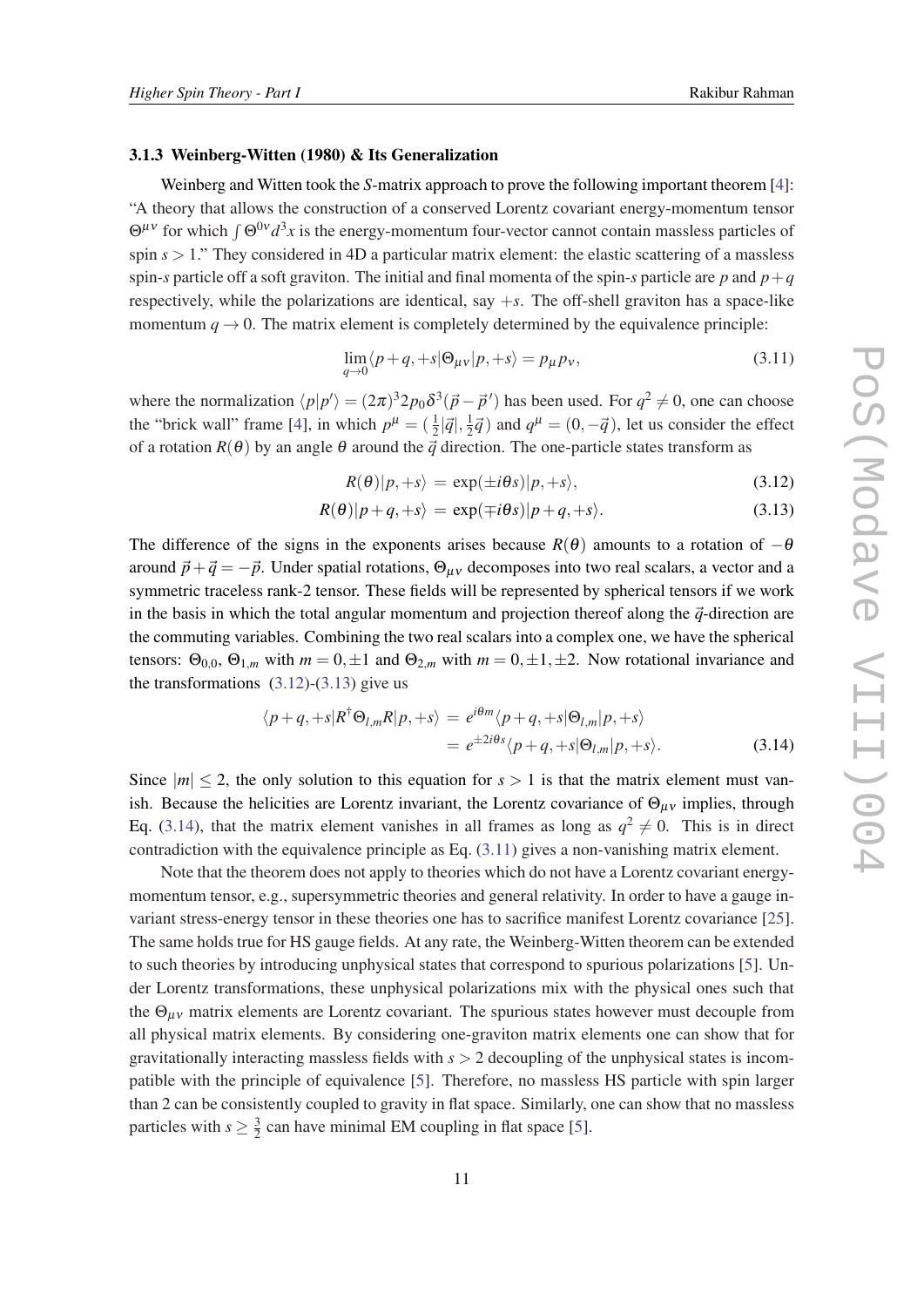#### 3.1.3 Weinberg-Witten (1980) & Its Generalization

Weinberg and Witten took the *S*-matrix approach to prove the following important theorem [[4](#page-28-0)]: "A theory that allows the construction of a conserved Lorentz covariant energy-momentum tensor  $\Theta^{\mu\nu}$  for which  $\int \Theta^{0\nu} d^3x$  is the energy-momentum four-vector cannot contain massless particles of spin  $s > 1$ ." They considered in 4D a particular matrix element: the elastic scattering of a massless spin-*s* particle off a soft graviton. The initial and final momenta of the spin-*s* particle are *p* and  $p+q$ respectively, while the polarizations are identical, say +*s*. The off-shell graviton has a space-like momentum  $q \rightarrow 0$ . The matrix element is completely determined by the equivalence principle:

$$
\lim_{q \to 0} \langle p+q, +s | \Theta_{\mu\nu} | p, +s \rangle = p_{\mu} p_{\nu},\tag{3.11}
$$

where the normalization  $\langle p|p'\rangle = (2\pi)^3 2p_0 \delta^3(\vec{p}-\vec{p}')$  has been used. For  $q^2 \neq 0$ , one can choose the "brick wall" frame [\[4\]](#page-28-0), in which  $p^{\mu} = (\frac{1}{2}|\vec{q}|, \frac{1}{2})$  $\frac{1}{2}\vec{q}$ ) and  $q^{\mu} = (0, -\vec{q})$ , let us consider the effect of a rotation  $R(\theta)$  by an angle  $\theta$  around the  $\vec{q}$  direction. The one-particle states transform as

$$
R(\theta)|p, +s\rangle = \exp(\pm i\theta s)|p, +s\rangle, \qquad (3.12)
$$

$$
R(\theta)|p+q, +s\rangle = \exp(\mp i\theta s)|p+q, +s\rangle. \tag{3.13}
$$

The difference of the signs in the exponents arises because  $R(\theta)$  amounts to a rotation of  $-\theta$ around  $\vec{p}+\vec{q}=-\vec{p}$ . Under spatial rotations,  $\Theta_{\mu\nu}$  decomposes into two real scalars, a vector and a symmetric traceless rank-2 tensor. These fields will be represented by spherical tensors if we work in the basis in which the total angular momentum and projection thereof along the  $\vec{q}$ -direction are the commuting variables. Combining the two real scalars into a complex one, we have the spherical tensors:  $\Theta_{0,0}$ ,  $\Theta_{1,m}$  with  $m = 0, \pm 1$  and  $\Theta_{2,m}$  with  $m = 0, \pm 1, \pm 2$ . Now rotational invariance and the transformations  $(3.12)-(3.13)$  give us

$$
\langle p+q, +s | R^{\dagger} \Theta_{l,m} R | p, +s \rangle = e^{i\theta m} \langle p+q, +s | \Theta_{l,m} | p, +s \rangle
$$
  
= 
$$
e^{\pm 2i\theta s} \langle p+q, +s | \Theta_{l,m} | p, +s \rangle.
$$
 (3.14)

Since  $|m| \leq 2$ , the only solution to this equation for  $s > 1$  is that the matrix element must vanish. Because the helicities are Lorentz invariant, the Lorentz covariance of  $\Theta_{\mu\nu}$  implies, through Eq. (3.14), that the matrix element vanishes in all frames as long as  $q^2 \neq 0$ . This is in direct contradiction with the equivalence principle as Eq. (3.11) gives a non-vanishing matrix element.

Note that the theorem does not apply to theories which do not have a Lorentz covariant energymomentum tensor, e.g., supersymmetric theories and general relativity. In order to have a gauge invariant stress-energy tensor in these theories one has to sacrifice manifest Lorentz covariance [[25\]](#page-29-0). The same holds true for HS gauge fields. At any rate, the Weinberg-Witten theorem can be extended to such theories by introducing unphysical states that correspond to spurious polarizations [[5](#page-28-0)]. Under Lorentz transformations, these unphysical polarizations mix with the physical ones such that the  $\Theta_{\mu\nu}$  matrix elements are Lorentz covariant. The spurious states however must decouple from all physical matrix elements. By considering one-graviton matrix elements one can show that for gravitationally interacting massless fields with  $s > 2$  decoupling of the unphysical states is incompatible with the principle of equivalence [\[5\]](#page-28-0). Therefore, no massless HS particle with spin larger than 2 can be consistently coupled to gravity in flat space. Similarly, one can show that no massless particles with  $s \geq \frac{3}{2}$  $\frac{3}{2}$  can have minimal EM coupling in flat space [\[5\]](#page-28-0).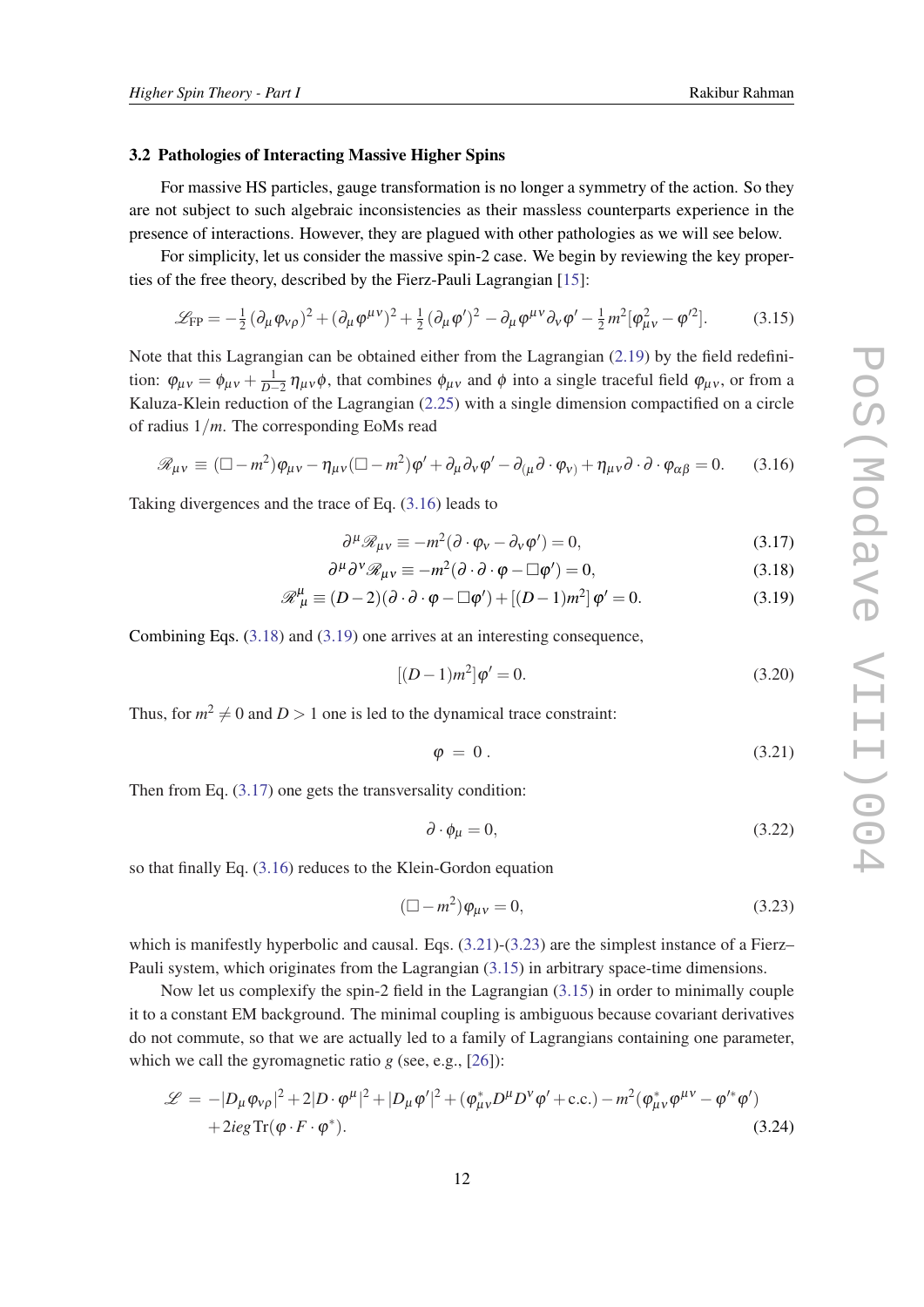# <span id="page-11-0"></span>3.2 Pathologies of Interacting Massive Higher Spins

For massive HS particles, gauge transformation is no longer a symmetry of the action. So they are not subject to such algebraic inconsistencies as their massless counterparts experience in the presence of interactions. However, they are plagued with other pathologies as we will see below.

For simplicity, let us consider the massive spin-2 case. We begin by reviewing the key properties of the free theory, described by the Fierz-Pauli Lagrangian [[15\]](#page-29-0):

$$
\mathcal{L}_{FP} = -\frac{1}{2} (\partial_{\mu} \varphi_{\nu\rho})^2 + (\partial_{\mu} \varphi^{\mu\nu})^2 + \frac{1}{2} (\partial_{\mu} \varphi')^2 - \partial_{\mu} \varphi^{\mu\nu} \partial_{\nu} \varphi' - \frac{1}{2} m^2 [\varphi_{\mu\nu}^2 - \varphi'^2].
$$
 (3.15)

Note that this Lagrangian can be obtained either from the Lagrangian [\(2.19](#page-4-0)) by the field redefinition:  $\varphi_{\mu\nu} = \varphi_{\mu\nu} + \frac{1}{D-2} \eta_{\mu\nu} \varphi$ , that combines  $\varphi_{\mu\nu}$  and  $\varphi$  into a single traceful field  $\varphi_{\mu\nu}$ , or from a Kaluza-Klein reduction of the Lagrangian ([2.25\)](#page-5-0) with a single dimension compactified on a circle of radius 1/*m*. The corresponding EoMs read

$$
\mathcal{R}_{\mu\nu} \equiv (\Box - m^2) \varphi_{\mu\nu} - \eta_{\mu\nu} (\Box - m^2) \varphi' + \partial_{\mu} \partial_{\nu} \varphi' - \partial_{(\mu} \partial \cdot \varphi_{\nu)} + \eta_{\mu\nu} \partial \cdot \partial \cdot \varphi_{\alpha\beta} = 0. \quad (3.16)
$$

Taking divergences and the trace of Eq. (3.16) leads to

$$
\partial^{\mu} \mathcal{R}_{\mu\nu} \equiv -m^2 (\partial \cdot \varphi_{\nu} - \partial_{\nu} \varphi') = 0, \qquad (3.17)
$$

$$
\partial^{\mu} \partial^{\nu} \mathcal{R}_{\mu\nu} \equiv -m^2 (\partial \cdot \partial \cdot \varphi - \Box \varphi') = 0, \tag{3.18}
$$

$$
\mathcal{R}^{\mu}_{\mu} \equiv (D-2)(\partial \cdot \partial \cdot \varphi - \Box \varphi') + [(D-1)m^2] \varphi' = 0.
$$
 (3.19)

Combining Eqs. (3.18) and (3.19) one arrives at an interesting consequence,

$$
[(D-1)m^2]\varphi' = 0.
$$
\n(3.20)

Thus, for  $m^2 \neq 0$  and  $D > 1$  one is led to the dynamical trace constraint:

$$
\varphi = 0. \tag{3.21}
$$

Then from Eq. (3.17) one gets the transversality condition:

$$
\partial \cdot \phi_{\mu} = 0, \tag{3.22}
$$

so that finally Eq. (3.16) reduces to the Klein-Gordon equation

$$
(\Box - m^2)\varphi_{\mu\nu} = 0, \qquad (3.23)
$$

which is manifestly hyperbolic and causal. Eqs.  $(3.21)$ - $(3.23)$  are the simplest instance of a Fierz– Pauli system, which originates from the Lagrangian (3.15) in arbitrary space-time dimensions.

Now let us complexify the spin-2 field in the Lagrangian (3.15) in order to minimally couple it to a constant EM background. The minimal coupling is ambiguous because covariant derivatives do not commute, so that we are actually led to a family of Lagrangians containing one parameter, which we call the gyromagnetic ratio *g* (see, e.g., [\[26](#page-29-0)]):

$$
\mathcal{L} = -|D_{\mu}\varphi_{\nu\rho}|^2 + 2|D \cdot \varphi^{\mu}|^2 + |D_{\mu}\varphi'|^2 + (\varphi_{\mu\nu}^* D^{\mu} D^{\nu} \varphi' + \text{c.c.}) - m^2 (\varphi_{\mu\nu}^* \varphi^{\mu\nu} - \varphi'^* \varphi') + 2ieg \text{Tr}(\varphi \cdot F \cdot \varphi^*).
$$
\n(3.24)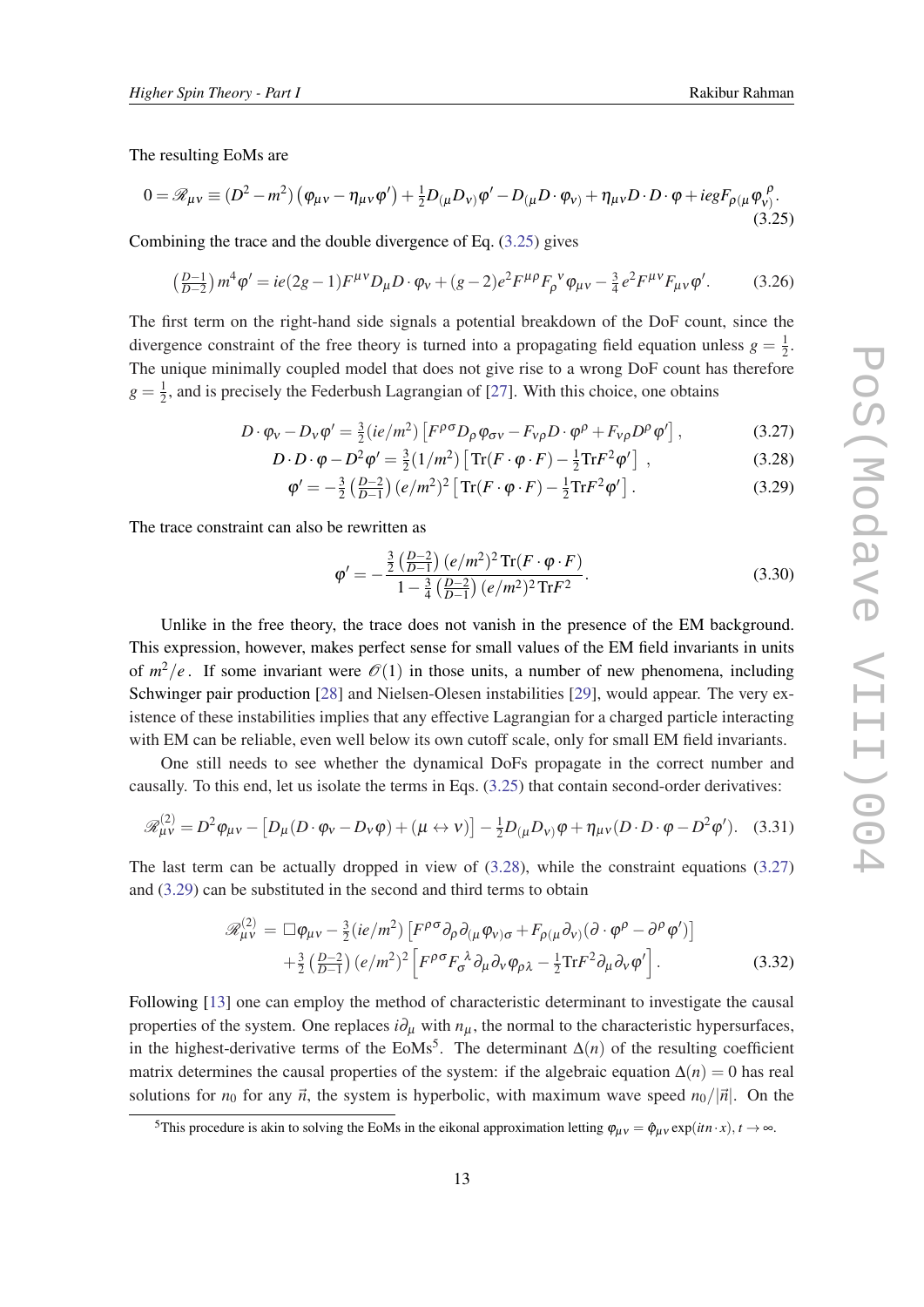<span id="page-12-0"></span>The resulting EoMs are

$$
0 = \mathscr{R}_{\mu\nu} \equiv (D^2 - m^2) \left( \varphi_{\mu\nu} - \eta_{\mu\nu} \varphi' \right) + \frac{1}{2} D_{(\mu} D_{\nu)} \varphi' - D_{(\mu} D \cdot \varphi_{\nu)} + \eta_{\mu\nu} D \cdot D \cdot \varphi + i e g F_{\rho(\mu} \varphi_{\nu)}^{\rho}.
$$
\n(3.25)

Combining the trace and the double divergence of Eq. (3.25) gives

$$
\left(\frac{D-1}{D-2}\right)m^4\varphi' = ie(2g-1)F^{\mu\nu}D_{\mu}D\cdot\varphi_{\nu} + (g-2)e^2F^{\mu\rho}F_{\rho}{}^{\nu}\varphi_{\mu\nu} - \frac{3}{4}e^2F^{\mu\nu}F_{\mu\nu}\varphi'.\tag{3.26}
$$

The first term on the right-hand side signals a potential breakdown of the DoF count, since the divergence constraint of the free theory is turned into a propagating field equation unless  $g = \frac{1}{2}$  $rac{1}{2}$ . The unique minimally coupled model that does not give rise to a wrong DoF count has therefore  $g = \frac{1}{2}$  $\frac{1}{2}$ , and is precisely the Federbush Lagrangian of [\[27](#page-29-0)]. With this choice, one obtains

$$
D \cdot \varphi_{v} - D_{v} \varphi' = \frac{3}{2} (ie/m^{2}) \left[ F^{\rho \sigma} D_{\rho} \varphi_{\sigma v} - F_{v\rho} D \cdot \varphi^{\rho} + F_{v\rho} D^{\rho} \varphi' \right],
$$
(3.27)

$$
D \cdot D \cdot \varphi - D^2 \varphi' = \frac{3}{2} (1/m^2) \left[ \text{Tr}(F \cdot \varphi \cdot F) - \frac{1}{2} \text{Tr} F^2 \varphi' \right] , \qquad (3.28)
$$

$$
\varphi' = -\frac{3}{2} \left( \frac{D-2}{D-1} \right) (e/m^2)^2 \left[ \text{Tr}(F \cdot \varphi \cdot F) - \frac{1}{2} \text{Tr} F^2 \varphi' \right]. \tag{3.29}
$$

The trace constraint can also be rewritten as

$$
\varphi' = -\frac{\frac{3}{2} \left( \frac{D-2}{D-1} \right) (e/m^2)^2 \text{Tr}(F \cdot \varphi \cdot F)}{1 - \frac{3}{4} \left( \frac{D-2}{D-1} \right) (e/m^2)^2 \text{Tr} F^2}.
$$
\n(3.30)

Unlike in the free theory, the trace does not vanish in the presence of the EM background. This expression, however, makes perfect sense for small values of the EM field invariants in units of  $m^2/e$ . If some invariant were  $\mathcal{O}(1)$  in those units, a number of new phenomena, including Schwinger pair production [[28\]](#page-30-0) and Nielsen-Olesen instabilities [\[29](#page-30-0)], would appear. The very existence of these instabilities implies that any effective Lagrangian for a charged particle interacting with EM can be reliable, even well below its own cutoff scale, only for small EM field invariants.

One still needs to see whether the dynamical DoFs propagate in the correct number and causally. To this end, let us isolate the terms in Eqs. (3.25) that contain second-order derivatives:

$$
\mathscr{R}^{(2)}_{\mu\nu} = D^2 \varphi_{\mu\nu} - \left[ D_{\mu} (D \cdot \varphi_{\nu} - D_{\nu} \varphi) + (\mu \leftrightarrow \nu) \right] - \frac{1}{2} D_{(\mu} D_{\nu)} \varphi + \eta_{\mu\nu} (D \cdot D \cdot \varphi - D^2 \varphi'). \quad (3.31)
$$

The last term can be actually dropped in view of  $(3.28)$ , while the constraint equations  $(3.27)$ and (3.29) can be substituted in the second and third terms to obtain

$$
\mathcal{R}_{\mu\nu}^{(2)} = \Box \varphi_{\mu\nu} - \frac{3}{2} (ie/m^2) \left[ F^{\rho\sigma} \partial_{\rho} \partial_{(\mu} \varphi_{\nu)\sigma} + F_{\rho(\mu} \partial_{\nu)} (\partial \cdot \varphi^{\rho} - \partial^{\rho} \varphi') \right] + \frac{3}{2} \left( \frac{D-2}{D-1} \right) (e/m^2)^2 \left[ F^{\rho\sigma} F_{\sigma}^{\ \lambda} \partial_{\mu} \partial_{\nu} \varphi_{\rho\lambda} - \frac{1}{2} \text{Tr} F^2 \partial_{\mu} \partial_{\nu} \varphi' \right].
$$
 (3.32)

Following [[13](#page-29-0)] one can employ the method of characteristic determinant to investigate the causal properties of the system. One replaces  $i\partial_\mu$  with  $n_\mu$ , the normal to the characteristic hypersurfaces, in the highest-derivative terms of the EoMs<sup>5</sup>. The determinant  $\Delta(n)$  of the resulting coefficient matrix determines the causal properties of the system: if the algebraic equation  $\Delta(n) = 0$  has real solutions for  $n_0$  for any  $\vec{n}$ , the system is hyperbolic, with maximum wave speed  $n_0/|\vec{n}|$ . On the

<sup>&</sup>lt;sup>5</sup>This procedure is akin to solving the EoMs in the eikonal approximation letting  $\varphi_{\mu\nu} = \hat{\varphi}_{\mu\nu} \exp(int \cdot x), t \to \infty$ .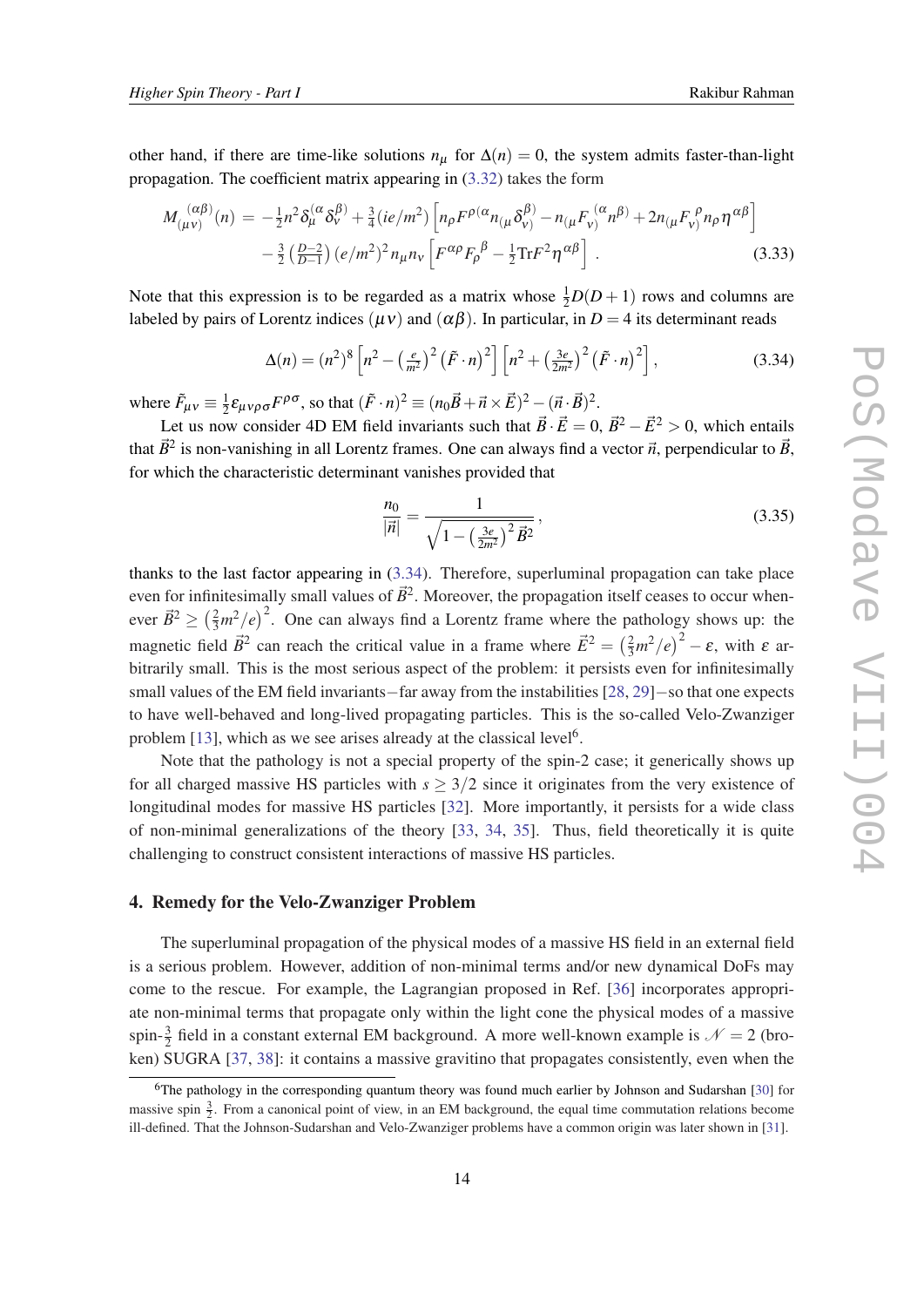<span id="page-13-0"></span>other hand, if there are time-like solutions  $n<sub>µ</sub>$  for  $\Delta(n) = 0$ , the system admits faster-than-light propagation. The coefficient matrix appearing in [\(3.32\)](#page-12-0) takes the form

$$
M_{(\mu\nu)}^{(\alpha\beta)}(n) = -\frac{1}{2}n^2\delta_{\mu}^{(\alpha}\delta_{\nu}^{\beta)} + \frac{3}{4}(ie/m^2)\left[n_{\rho}F^{\rho(\alpha}n_{(\mu}\delta_{\nu)}^{\beta)} - n_{(\mu}F_{\nu)}^{(\alpha}n^{\beta)} + 2n_{(\mu}F_{\nu)}^{\rho}n_{\rho}\eta^{\alpha\beta}\right] - \frac{3}{2}\left(\frac{D-2}{D-1}\right)(e/m^2)^2n_{\mu}n_{\nu}\left[F^{\alpha\rho}F_{\rho}^{\beta} - \frac{1}{2}\text{Tr}F^2\eta^{\alpha\beta}\right].
$$
 (3.33)

Note that this expression is to be regarded as a matrix whose  $\frac{1}{2}D(D+1)$  rows and columns are labeled by pairs of Lorentz indices ( $\mu$ ν) and ( $\alpha$  $\beta$ ). In particular, in *D* = 4 its determinant reads

$$
\Delta(n) = (n^2)^8 \left[ n^2 - \left( \frac{e}{m^2} \right)^2 \left( \tilde{F} \cdot n \right)^2 \right] \left[ n^2 + \left( \frac{3e}{2m^2} \right)^2 \left( \tilde{F} \cdot n \right)^2 \right],\tag{3.34}
$$

where  $\tilde{F}_{\mu\nu} \equiv \frac{1}{2}$  $\frac{1}{2}\varepsilon_{\mu\nu\rho\sigma}F^{\rho\sigma}$ , so that  $(\tilde{F}\cdot n)^2 \equiv (n_0\vec{B}+\vec{n}\times\vec{E})^2-(\vec{n}\cdot\vec{B})^2$ .

Let us now consider 4D EM field invariants such that  $\vec{B} \cdot \vec{E} = 0$ ,  $\vec{B}^2 - \vec{E}^2 > 0$ , which entails that  $\vec{B}^2$  is non-vanishing in all Lorentz frames. One can always find a vector  $\vec{n}$ , perpendicular to  $\vec{B}$ , for which the characteristic determinant vanishes provided that

$$
\frac{n_0}{|\vec{n}|} = \frac{1}{\sqrt{1 - \left(\frac{3e}{2m^2}\right)^2 \vec{B}^2}},\tag{3.35}
$$

thanks to the last factor appearing in  $(3.34)$ . Therefore, superluminal propagation can take place even for infinitesimally small values of  $\vec{B}^2$ . Moreover, the propagation itself ceases to occur whenever  $\vec{B}^2 \geq \left(\frac{2}{3}m^2/e\right)^2$ . One can always find a Lorentz frame where the pathology shows up: the magnetic field  $\vec{B}^2$  can reach the critical value in a frame where  $\vec{E}^2 = \left(\frac{2}{3}m^2/e\right)^2 - \varepsilon$ , with  $\varepsilon$  arbitrarily small. This is the most serious aspect of the problem: it persists even for infinitesimally small values of the EM field invariants−far away from the instabilities [[28,](#page-30-0) [29\]](#page-30-0)−so that one expects to have well-behaved and long-lived propagating particles. This is the so-called Velo-Zwanziger problem [\[13\]](#page-29-0), which as we see arises already at the classical level<sup>6</sup>.

Note that the pathology is not a special property of the spin-2 case; it generically shows up for all charged massive HS particles with  $s \geq 3/2$  since it originates from the very existence of longitudinal modes for massive HS particles [\[32\]](#page-30-0). More importantly, it persists for a wide class of non-minimal generalizations of the theory [[33,](#page-30-0) [34,](#page-30-0) [35\]](#page-30-0). Thus, field theoretically it is quite challenging to construct consistent interactions of massive HS particles.

## 4. Remedy for the Velo-Zwanziger Problem

The superluminal propagation of the physical modes of a massive HS field in an external field is a serious problem. However, addition of non-minimal terms and/or new dynamical DoFs may come to the rescue. For example, the Lagrangian proposed in Ref. [[36\]](#page-30-0) incorporates appropriate non-minimal terms that propagate only within the light cone the physical modes of a massive spin- $\frac{3}{2}$  field in a constant external EM background. A more well-known example is  $\mathcal{N} = 2$  (broken) SUGRA [\[37,](#page-30-0) [38](#page-30-0)]: it contains a massive gravitino that propagates consistently, even when the

<sup>&</sup>lt;sup>6</sup>The pathology in the corresponding quantum theory was found much earlier by Johnson and Sudarshan [[30\]](#page-30-0) for massive spin  $\frac{3}{2}$ . From a canonical point of view, in an EM background, the equal time commutation relations become ill-defined. That the Johnson-Sudarshan and Velo-Zwanziger problems have a common origin was later shown in [\[31](#page-30-0)].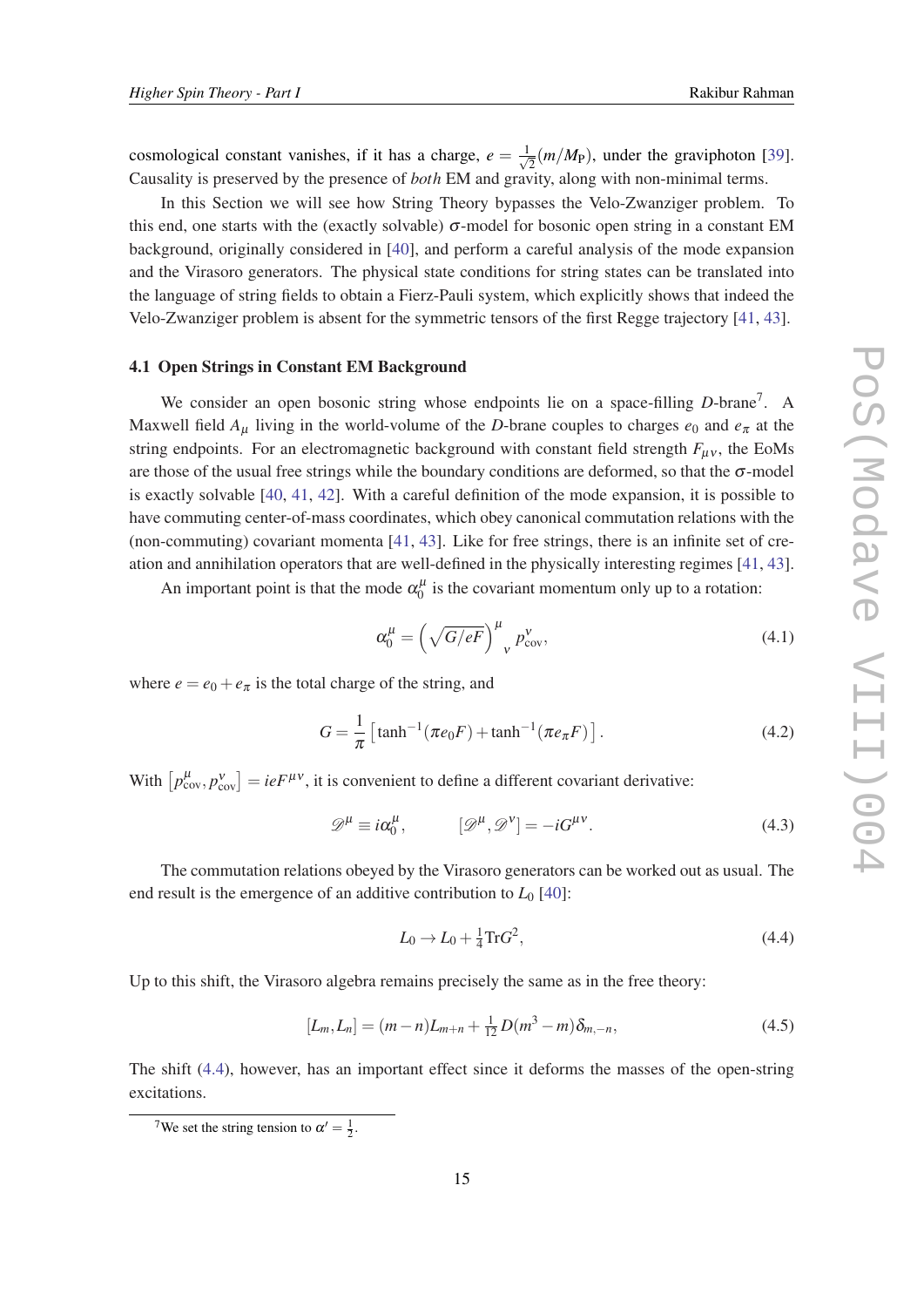<span id="page-14-0"></span>cosmological constant vanishes, if it has a charge,  $e = \frac{1}{\sqrt{2}}$  $\overline{Z}$  (*m*/*M*<sub>P</sub>), under the graviphoton [[39\]](#page-30-0). Causality is preserved by the presence of *both* EM and gravity, along with non-minimal terms.

In this Section we will see how String Theory bypasses the Velo-Zwanziger problem. To this end, one starts with the (exactly solvable)  $\sigma$ -model for bosonic open string in a constant EM background, originally considered in [[40\]](#page-30-0), and perform a careful analysis of the mode expansion and the Virasoro generators. The physical state conditions for string states can be translated into the language of string fields to obtain a Fierz-Pauli system, which explicitly shows that indeed the Velo-Zwanziger problem is absent for the symmetric tensors of the first Regge trajectory [\[41,](#page-30-0) [43](#page-30-0)].

#### 4.1 Open Strings in Constant EM Background

We consider an open bosonic string whose endpoints lie on a space-filling *D*-brane<sup>7</sup>. A Maxwell field  $A_\mu$  living in the world-volume of the *D*-brane couples to charges  $e_0$  and  $e_\pi$  at the string endpoints. For an electromagnetic background with constant field strength  $F_{\mu\nu}$ , the EoMs are those of the usual free strings while the boundary conditions are deformed, so that the  $\sigma$ -model is exactly solvable [\[40](#page-30-0), [41](#page-30-0), [42\]](#page-30-0). With a careful definition of the mode expansion, it is possible to have commuting center-of-mass coordinates, which obey canonical commutation relations with the (non-commuting) covariant momenta [[41,](#page-30-0) [43](#page-30-0)]. Like for free strings, there is an infinite set of creation and annihilation operators that are well-defined in the physically interesting regimes [[41](#page-30-0), [43\]](#page-30-0).

An important point is that the mode  $\alpha_0^{\mu}$  $\int_0^\mu$  is the covariant momentum only up to a rotation:

$$
\alpha_0^{\mu} = \left(\sqrt{G/eF}\right)^{\mu}{}_v p_{\text{cov}}^{\nu},\tag{4.1}
$$

where  $e = e_0 + e_\pi$  is the total charge of the string, and

$$
G = \frac{1}{\pi} \left[ \tanh^{-1}(\pi e_0 F) + \tanh^{-1}(\pi e_\pi F) \right].
$$
 (4.2)

With  $[p^{\mu}_{cov}, p^{\nu}_{cov}] = ieF^{\mu\nu}$ , it is convenient to define a different covariant derivative:

$$
\mathscr{D}^{\mu} \equiv i\alpha_0^{\mu}, \qquad [\mathscr{D}^{\mu}, \mathscr{D}^{\nu}] = -iG^{\mu\nu}.
$$
 (4.3)

The commutation relations obeyed by the Virasoro generators can be worked out as usual. The end result is the emergence of an additive contribution to  $L_0$  [[40\]](#page-30-0):

$$
L_0 \to L_0 + \frac{1}{4} \text{Tr} G^2,\tag{4.4}
$$

Up to this shift, the Virasoro algebra remains precisely the same as in the free theory:

$$
[L_m, L_n] = (m - n)L_{m+n} + \frac{1}{12}D(m^3 - m)\delta_{m, -n},
$$
\n(4.5)

The shift (4.4), however, has an important effect since it deforms the masses of the open-string excitations.

<sup>&</sup>lt;sup>7</sup>We set the string tension to  $\alpha' = \frac{1}{2}$ .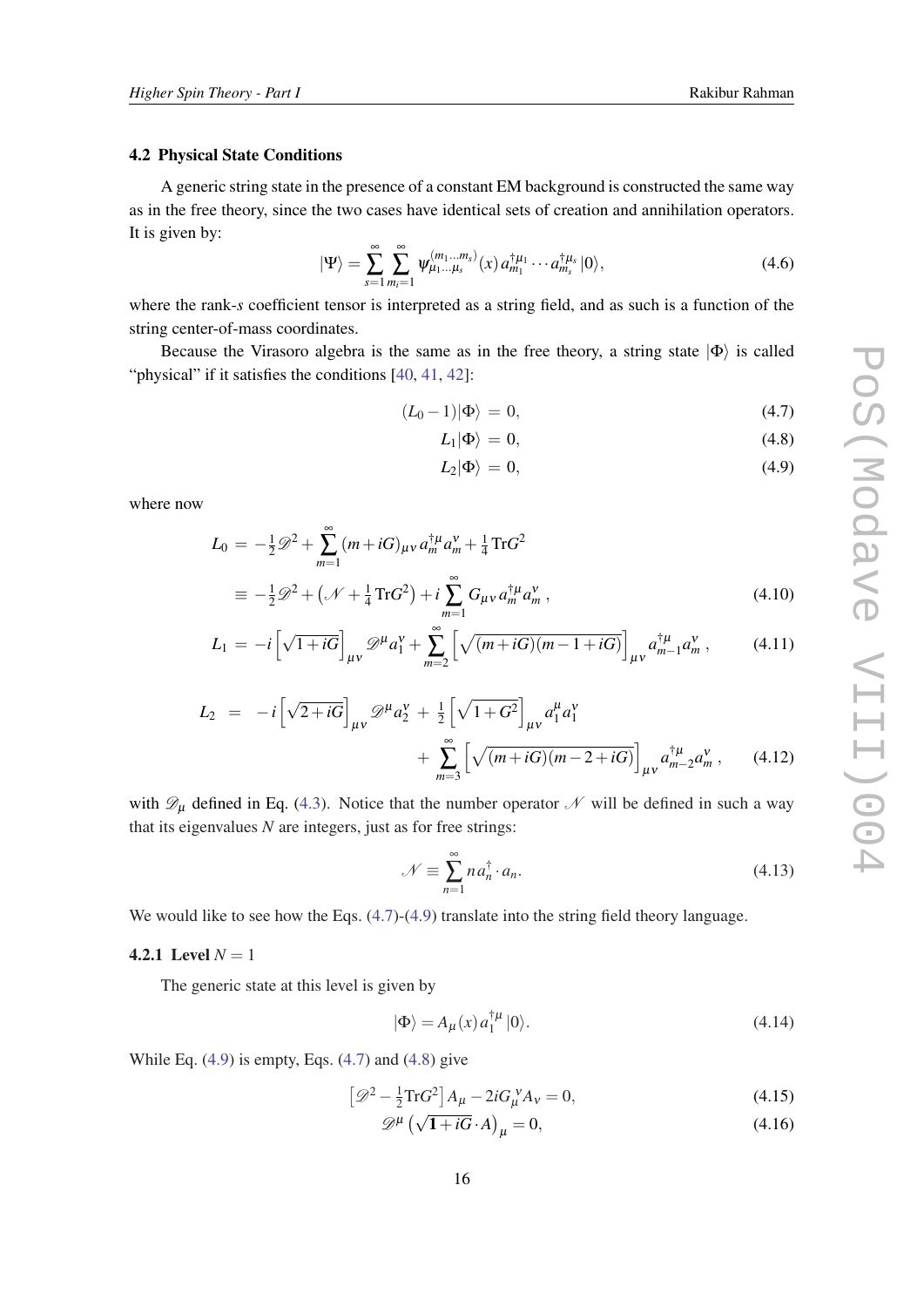## <span id="page-15-0"></span>4.2 Physical State Conditions

A generic string state in the presence of a constant EM background is constructed the same way as in the free theory, since the two cases have identical sets of creation and annihilation operators. It is given by:

$$
|\Psi\rangle = \sum_{s=1}^{\infty} \sum_{m_i=1}^{\infty} \psi_{\mu_1...\mu_s}^{(m_1...m_s)}(x) a_{m_1}^{\dagger \mu_1} \cdots a_{m_s}^{\dagger \mu_s} |0\rangle, \tag{4.6}
$$

where the rank-*s* coefficient tensor is interpreted as a string field, and as such is a function of the string center-of-mass coordinates.

Because the Virasoro algebra is the same as in the free theory, a string state  $|\Phi\rangle$  is called "physical" if it satisfies the conditions [\[40](#page-30-0), [41,](#page-30-0) [42](#page-30-0)]:

$$
(L_0 - 1)|\Phi\rangle = 0,\t\t(4.7)
$$

$$
L_1|\Phi\rangle = 0,\t\t(4.8)
$$

$$
L_2|\Phi\rangle = 0,\t\t(4.9)
$$

where now

$$
L_0 = -\frac{1}{2}\mathscr{D}^2 + \sum_{m=1}^{\infty} (m + iG)_{\mu\nu} a_m^{\dagger\mu} a_m^{\nu} + \frac{1}{4} \text{Tr} G^2
$$
  

$$
\equiv -\frac{1}{2}\mathscr{D}^2 + (\mathscr{N} + \frac{1}{4} \text{Tr} G^2) + i \sum_{m=1}^{\infty} G_{\mu\nu} a_m^{\dagger\mu} a_m^{\nu}, \qquad (4.10)
$$

$$
L_1 = -i \left[ \sqrt{1 + iG} \right]_{\mu\nu} \mathscr{D}^{\mu} a_1^{\nu} + \sum_{m=2}^{\infty} \left[ \sqrt{(m + iG)(m - 1 + iG)} \right]_{\mu\nu} a_{m-1}^{\dagger \mu} a_m^{\nu}, \tag{4.11}
$$

$$
L_2 = -i \left[ \sqrt{2 + iG} \right]_{\mu\nu} \mathscr{D}^{\mu} a_2^{\nu} + \frac{1}{2} \left[ \sqrt{1 + G^2} \right]_{\mu\nu} a_1^{\mu} a_1^{\nu} + \sum_{m=3}^{\infty} \left[ \sqrt{(m + iG)(m - 2 + iG)} \right]_{\mu\nu} a_m^{\dagger \mu} a_m^{\nu}, \qquad (4.12)
$$

with  $\mathscr{D}_{\mu}$  defined in Eq. [\(4.3\)](#page-14-0). Notice that the number operator  $\mathscr N$  will be defined in such a way that its eigenvalues *N* are integers, just as for free strings:

$$
\mathcal{N} \equiv \sum_{n=1}^{\infty} n a_n^{\dagger} \cdot a_n. \tag{4.13}
$$

We would like to see how the Eqs.  $(4.7)-(4.9)$  translate into the string field theory language.

#### 4.2.1 Level  $N = 1$

The generic state at this level is given by

$$
|\Phi\rangle = A_{\mu}(x) a_1^{\dagger \mu} |0\rangle. \tag{4.14}
$$

While Eq.  $(4.9)$  is empty, Eqs.  $(4.7)$  and  $(4.8)$  give

$$
\left[\mathcal{D}^2 - \frac{1}{2}\text{Tr}G^2\right]A_\mu - 2iG_\mu^V A_V = 0,\tag{4.15}
$$

$$
\mathscr{D}^{\mu} \left( \sqrt{1 + iG} \cdot A \right)_{\mu} = 0, \tag{4.16}
$$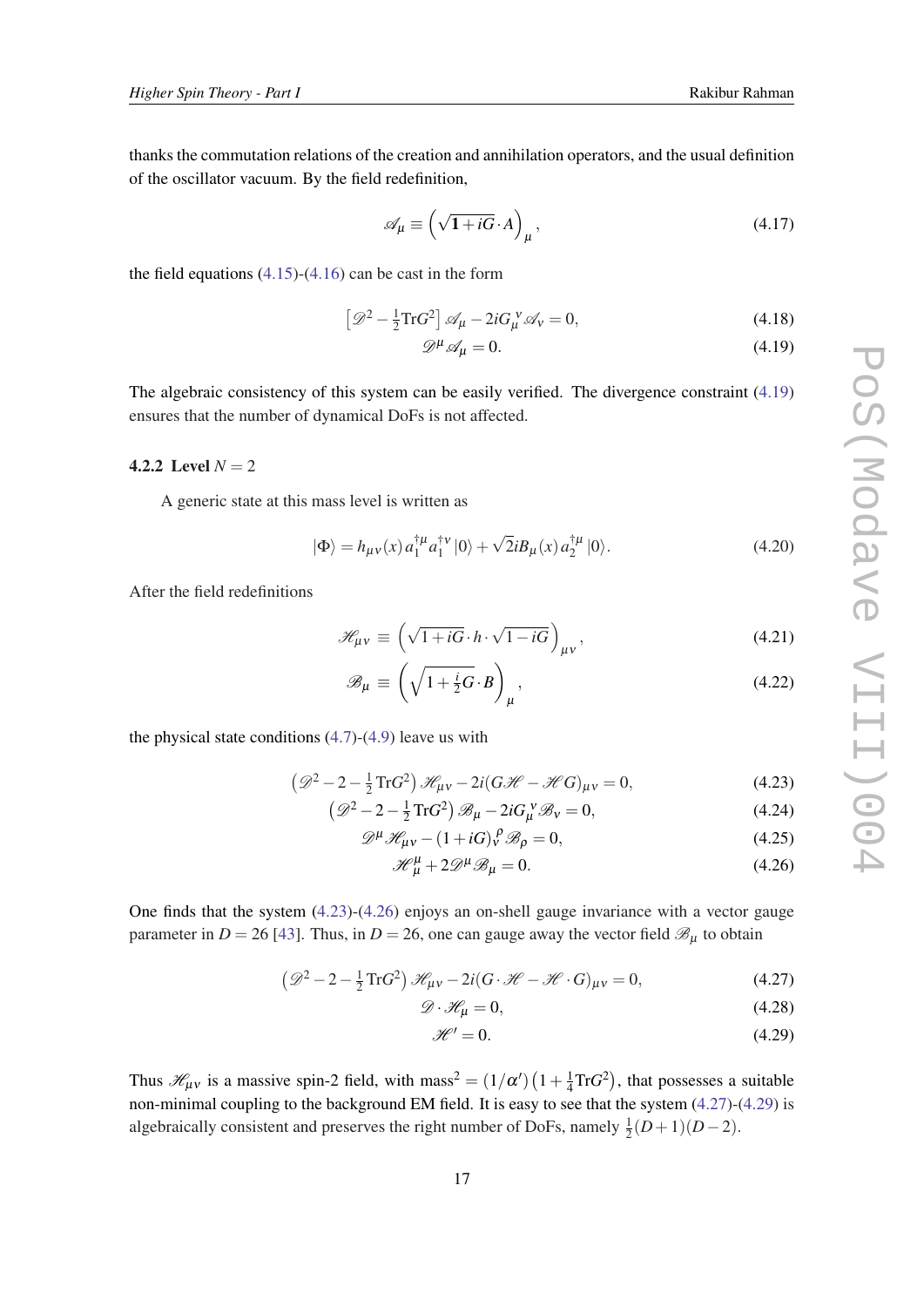thanks the commutation relations of the creation and annihilation operators, and the usual definition of the oscillator vacuum. By the field redefinition,

$$
\mathscr{A}_{\mu} \equiv \left(\sqrt{1+iG} \cdot A\right)_{\mu},\tag{4.17}
$$

the field equations  $(4.15)-(4.16)$  $(4.15)-(4.16)$  $(4.15)-(4.16)$  $(4.15)-(4.16)$  can be cast in the form

$$
\left[\mathcal{D}^2 - \frac{1}{2}\text{Tr}G^2\right]\mathcal{A}_\mu - 2iG_\mu^V\mathcal{A}_V = 0,\tag{4.18}
$$

$$
\mathscr{D}^{\mu}\mathscr{A}_{\mu} = 0. \tag{4.19}
$$

The algebraic consistency of this system can be easily verified. The divergence constraint (4.19) ensures that the number of dynamical DoFs is not affected.

## 4.2.2 Level  $N = 2$

A generic state at this mass level is written as

$$
|\Phi\rangle = h_{\mu\nu}(x) a_1^{\dagger \mu} a_1^{\dagger \nu} |0\rangle + \sqrt{2}i B_{\mu}(x) a_2^{\dagger \mu} |0\rangle.
$$
 (4.20)

After the field redefinitions

$$
\mathcal{H}_{\mu\nu} \equiv \left(\sqrt{1+iG} \cdot h \cdot \sqrt{1-iG}\right)_{\mu\nu},\tag{4.21}
$$

$$
\mathscr{B}_{\mu} \equiv \left(\sqrt{1 + \frac{i}{2}G} \cdot B\right)_{\mu},\tag{4.22}
$$

the physical state conditions  $(4.7)-(4.9)$  $(4.7)-(4.9)$  $(4.7)-(4.9)$  $(4.7)-(4.9)$  $(4.7)-(4.9)$  leave us with

$$
\left(\mathcal{D}^2 - 2 - \frac{1}{2}\operatorname{Tr}G^2\right)\mathcal{H}_{\mu\nu} - 2i(G\mathcal{H} - \mathcal{H}G)_{\mu\nu} = 0,\tag{4.23}
$$

$$
\left(\mathcal{D}^2 - 2 - \frac{1}{2}\operatorname{Tr}G^2\right)\mathcal{B}_{\mu} - 2iG_{\mu}^{\ \nu}\mathcal{B}_{\nu} = 0, \tag{4.24}
$$

$$
\mathcal{D}^{\mu}\mathcal{H}_{\mu\nu} - (1 + iG)_{\nu}^{\rho}\mathcal{B}_{\rho} = 0, \qquad (4.25)
$$

$$
\mathcal{H}^{\mu}_{\mu} + 2\mathcal{D}^{\mu}\mathcal{B}_{\mu} = 0. \tag{4.26}
$$

One finds that the system (4.23)-(4.26) enjoys an on-shell gauge invariance with a vector gauge parameter in  $D = 26$  [\[43](#page-30-0)]. Thus, in  $D = 26$ , one can gauge away the vector field  $\mathcal{B}_{\mu}$  to obtain

$$
\left(\mathcal{D}^2 - 2 - \frac{1}{2}\text{Tr}G^2\right)\mathcal{H}_{\mu\nu} - 2i(G\cdot\mathcal{H} - \mathcal{H}\cdot G)_{\mu\nu} = 0,\tag{4.27}
$$

$$
\mathcal{D} \cdot \mathcal{H}_{\mu} = 0,\tag{4.28}
$$

$$
\mathcal{H}' = 0.\tag{4.29}
$$

Thus  $\mathcal{H}_{\mu\nu}$  is a massive spin-2 field, with mass<sup>2</sup> =  $(1/\alpha')$   $(1+\frac{1}{4})$  $\frac{1}{4} Tr G^2$ ), that possesses a suitable non-minimal coupling to the background EM field. It is easy to see that the system (4.27)-(4.29) is algebraically consistent and preserves the right number of DoFs, namely  $\frac{1}{2}(D+1)(D-2)$ .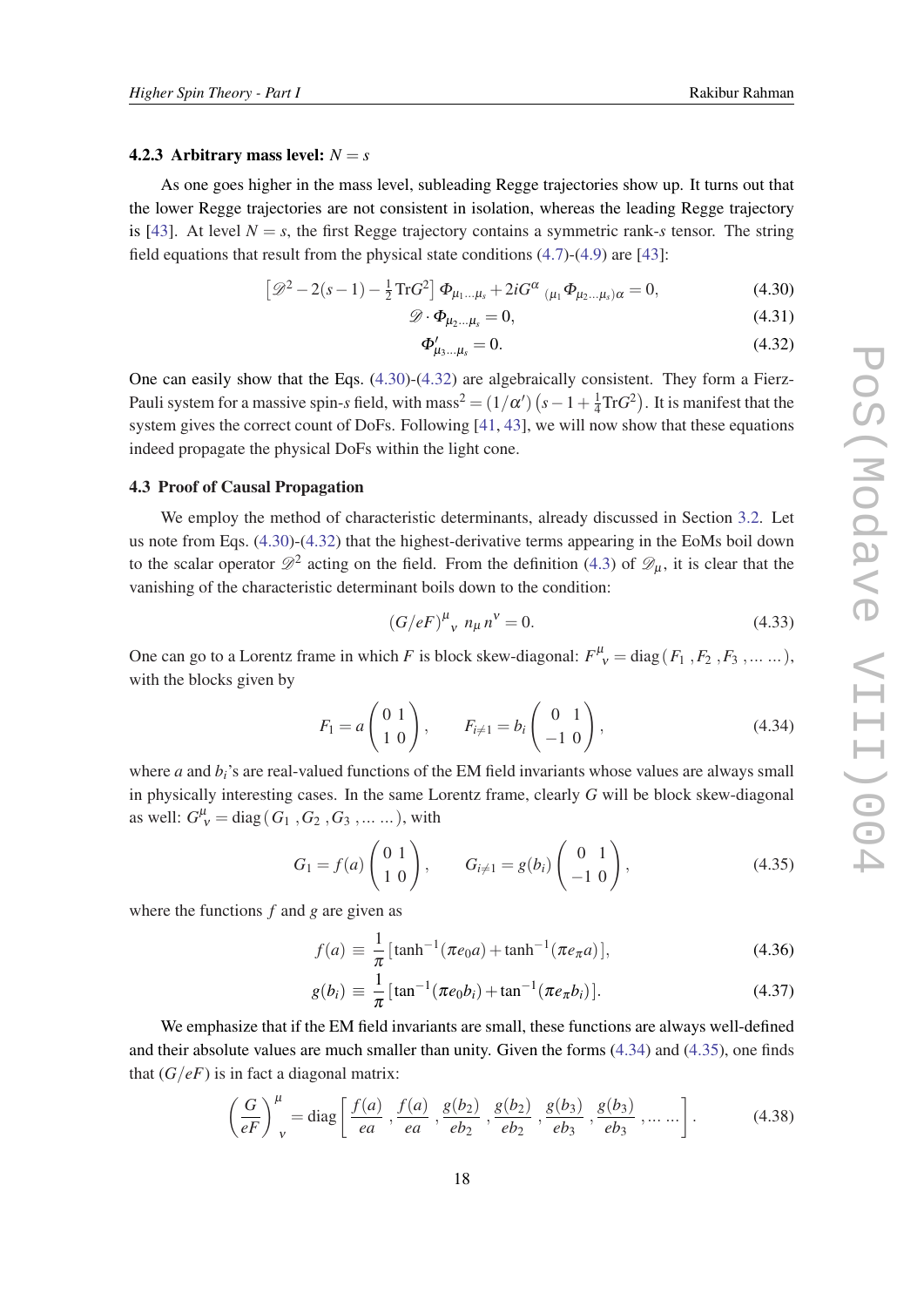#### <span id="page-17-0"></span>4.2.3 Arbitrary mass level:  $N = s$

As one goes higher in the mass level, subleading Regge trajectories show up. It turns out that the lower Regge trajectories are not consistent in isolation, whereas the leading Regge trajectory is [[43\]](#page-30-0). At level  $N = s$ , the first Regge trajectory contains a symmetric rank-*s* tensor. The string field equations that result from the physical state conditions ([4.7](#page-15-0))-[\(4.9\)](#page-15-0) are [[43\]](#page-30-0):

$$
\left[\mathcal{D}^2 - 2(s-1) - \frac{1}{2}\operatorname{Tr}G^2\right]\Phi_{\mu_1...\mu_s} + 2iG^{\alpha}{}_{(\mu_1}\Phi_{\mu_2...\mu_s)\alpha} = 0, \tag{4.30}
$$

$$
\mathscr{D} \cdot \Phi_{\mu_2 \dots \mu_s} = 0,\tag{4.31}
$$

$$
\Phi'_{\mu_3...\mu_s} = 0. \tag{4.32}
$$

One can easily show that the Eqs. (4.30)-(4.32) are algebraically consistent. They form a Fierz-Pauli system for a massive spin-*s* field, with mass<sup>2</sup> =  $(1/\alpha')$   $(s-1+\frac{1}{4})$  $\frac{1}{4} Tr G^2$ ). It is manifest that the system gives the correct count of DoFs. Following [[41,](#page-30-0) [43](#page-30-0)], we will now show that these equations indeed propagate the physical DoFs within the light cone.

## 4.3 Proof of Causal Propagation

We employ the method of characteristic determinants, already discussed in Section [3.2](#page-11-0). Let us note from Eqs. (4.30)-(4.32) that the highest-derivative terms appearing in the EoMs boil down to the scalar operator  $\mathscr{D}^2$  acting on the field. From the definition ([4.3\)](#page-14-0) of  $\mathscr{D}_{\mu}$ , it is clear that the vanishing of the characteristic determinant boils down to the condition:

$$
(G/eF)^{\mu}{}_{\nu} n_{\mu} n^{\nu} = 0.
$$
 (4.33)

One can go to a Lorentz frame in which *F* is block skew-diagonal:  $F^{\mu}_{\ \nu} = \text{diag}(F_1, F_2, F_3, \dots \dots)$ , with the blocks given by

$$
F_1 = a \begin{pmatrix} 0 & 1 \\ 1 & 0 \end{pmatrix}, \qquad F_{i \neq 1} = b_i \begin{pmatrix} 0 & 1 \\ -1 & 0 \end{pmatrix}, \tag{4.34}
$$

where  $a$  and  $b_i$ 's are real-valued functions of the EM field invariants whose values are always small in physically interesting cases. In the same Lorentz frame, clearly *G* will be block skew-diagonal as well:  $G_V^{\mu} = \text{diag}(G_1, G_2, G_3, \dots \dots)$ , with

$$
G_1 = f(a) \begin{pmatrix} 0 & 1 \\ 1 & 0 \end{pmatrix}, \qquad G_{i \neq 1} = g(b_i) \begin{pmatrix} 0 & 1 \\ -1 & 0 \end{pmatrix}, \tag{4.35}
$$

where the functions *f* and *g* are given as

$$
f(a) \equiv \frac{1}{\pi} \left[ \tanh^{-1}(\pi e_0 a) + \tanh^{-1}(\pi e_\pi a) \right],
$$
 (4.36)

$$
g(b_i) \equiv \frac{1}{\pi} \left[ \tan^{-1} (\pi e_0 b_i) + \tan^{-1} (\pi e_\pi b_i) \right]. \tag{4.37}
$$

We emphasize that if the EM field invariants are small, these functions are always well-defined and their absolute values are much smaller than unity. Given the forms (4.34) and (4.35), one finds that  $(G/eF)$  is in fact a diagonal matrix:

$$
\left(\frac{G}{eF}\right)^{\mu}_{\nu} = \text{diag}\left[\frac{f(a)}{ea}, \frac{f(a)}{ea}, \frac{g(b_2)}{eb_2}, \frac{g(b_2)}{eb_2}, \frac{g(b_3)}{eb_3}, \frac{g(b_3)}{eb_3}, \dots \dots \right].
$$
 (4.38)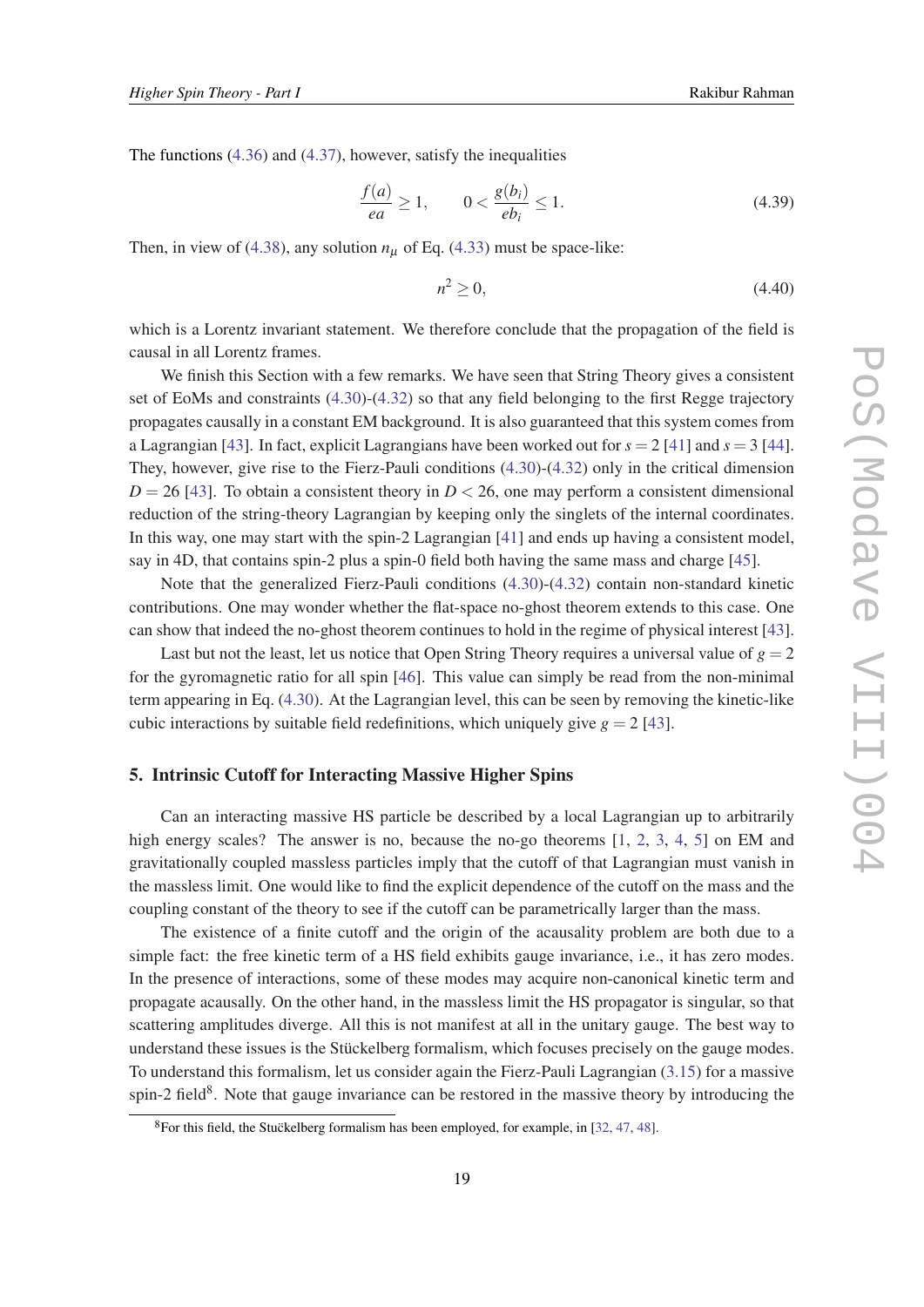<span id="page-18-0"></span>The functions ([4.36](#page-17-0)) and ([4.37\)](#page-17-0), however, satisfy the inequalities

$$
\frac{f(a)}{ea} \ge 1, \qquad 0 < \frac{g(b_i)}{eb_i} \le 1. \tag{4.39}
$$

Then, in view of ([4.38\)](#page-17-0), any solution  $n<sub>\mu</sub>$  of Eq. [\(4.33](#page-17-0)) must be space-like:

$$
n^2 \ge 0,\tag{4.40}
$$

which is a Lorentz invariant statement. We therefore conclude that the propagation of the field is causal in all Lorentz frames.

We finish this Section with a few remarks. We have seen that String Theory gives a consistent set of EoMs and constraints ([4.30\)](#page-17-0)-([4.32\)](#page-17-0) so that any field belonging to the first Regge trajectory propagates causally in a constant EM background. It is also guaranteed that this system comes from a Lagrangian [\[43](#page-30-0)]. In fact, explicit Lagrangians have been worked out for *s* = 2 [\[41](#page-30-0)] and *s* = 3 [[44\]](#page-31-0). They, however, give rise to the Fierz-Pauli conditions [\(4.30](#page-17-0))-[\(4.32](#page-17-0)) only in the critical dimension  $D = 26$  [[43\]](#page-30-0). To obtain a consistent theory in  $D < 26$ , one may perform a consistent dimensional reduction of the string-theory Lagrangian by keeping only the singlets of the internal coordinates. In this way, one may start with the spin-2 Lagrangian [\[41\]](#page-30-0) and ends up having a consistent model, say in 4D, that contains spin-2 plus a spin-0 field both having the same mass and charge [\[45](#page-31-0)].

Note that the generalized Fierz-Pauli conditions ([4.30\)](#page-17-0)-([4.32\)](#page-17-0) contain non-standard kinetic contributions. One may wonder whether the flat-space no-ghost theorem extends to this case. One can show that indeed the no-ghost theorem continues to hold in the regime of physical interest [[43\]](#page-30-0).

Last but not the least, let us notice that Open String Theory requires a universal value of  $g = 2$ for the gyromagnetic ratio for all spin [\[46\]](#page-31-0). This value can simply be read from the non-minimal term appearing in Eq. [\(4.30](#page-17-0)). At the Lagrangian level, this can be seen by removing the kinetic-like cubic interactions by suitable field redefinitions, which uniquely give  $g = 2$  [[43\]](#page-30-0).

## 5. Intrinsic Cutoff for Interacting Massive Higher Spins

Can an interacting massive HS particle be described by a local Lagrangian up to arbitrarily high energy scales? The answer is no, because the no-go theorems [\[1,](#page-28-0) [2,](#page-28-0) [3](#page-28-0), [4,](#page-28-0) [5\]](#page-28-0) on EM and gravitationally coupled massless particles imply that the cutoff of that Lagrangian must vanish in the massless limit. One would like to find the explicit dependence of the cutoff on the mass and the coupling constant of the theory to see if the cutoff can be parametrically larger than the mass.

The existence of a finite cutoff and the origin of the acausality problem are both due to a simple fact: the free kinetic term of a HS field exhibits gauge invariance, i.e., it has zero modes. In the presence of interactions, some of these modes may acquire non-canonical kinetic term and propagate acausally. On the other hand, in the massless limit the HS propagator is singular, so that scattering amplitudes diverge. All this is not manifest at all in the unitary gauge. The best way to understand these issues is the Stückelberg formalism, which focuses precisely on the gauge modes. To understand this formalism, let us consider again the Fierz-Pauli Lagrangian [\(3.15\)](#page-11-0) for a massive spin-2 field<sup>8</sup>. Note that gauge invariance can be restored in the massive theory by introducing the

 $8$ For this field, the Stuckelberg formalism has been employed, for example, in [[32,](#page-30-0) [47](#page-31-0), [48\]](#page-31-0).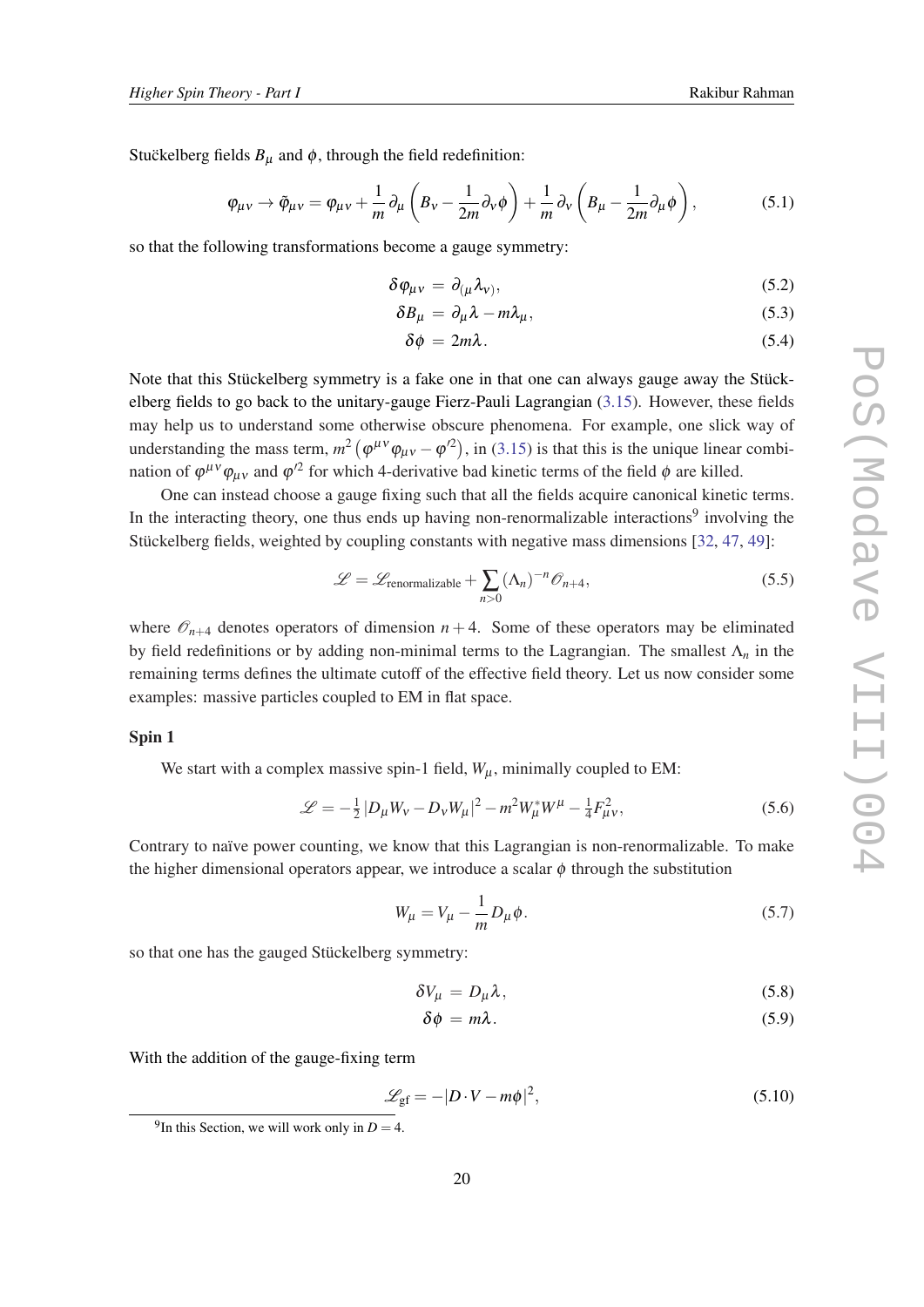<span id="page-19-0"></span>Stuckelberg fields  $B_{\mu}$  and  $\phi$ , through the field redefinition:

$$
\varphi_{\mu\nu} \to \tilde{\varphi}_{\mu\nu} = \varphi_{\mu\nu} + \frac{1}{m} \partial_{\mu} \left( B_{\nu} - \frac{1}{2m} \partial_{\nu} \phi \right) + \frac{1}{m} \partial_{\nu} \left( B_{\mu} - \frac{1}{2m} \partial_{\mu} \phi \right), \tag{5.1}
$$

so that the following transformations become a gauge symmetry:

$$
\delta \varphi_{\mu\nu} = \partial_{(\mu} \lambda_{\nu)}, \tag{5.2}
$$

$$
\delta B_{\mu} = \partial_{\mu} \lambda - m \lambda_{\mu}, \qquad (5.3)
$$

$$
\delta \phi = 2m\lambda. \tag{5.4}
$$

Note that this Stückelberg symmetry is a fake one in that one can always gauge away the Stückelberg fields to go back to the unitary-gauge Fierz-Pauli Lagrangian [\(3.15](#page-11-0)). However, these fields may help us to understand some otherwise obscure phenomena. For example, one slick way of understanding the mass term,  $m^2 (\varphi^{\mu\nu} \varphi_{\mu\nu} - \varphi^{\prime 2})$ , in [\(3.15](#page-11-0)) is that this is the unique linear combination of  $\varphi^{\mu\nu}\varphi_{\mu\nu}$  and  $\varphi'^2$  for which 4-derivative bad kinetic terms of the field  $\varphi$  are killed.

One can instead choose a gauge fixing such that all the fields acquire canonical kinetic terms. In the interacting theory, one thus ends up having non-renormalizable interactions<sup>9</sup> involving the Stückelberg fields, weighted by coupling constants with negative mass dimensions [\[32](#page-30-0), [47,](#page-31-0) [49\]](#page-31-0):

$$
\mathcal{L} = \mathcal{L}_{\text{renormalizable}} + \sum_{n>0} (\Lambda_n)^{-n} \mathcal{O}_{n+4},
$$
\n(5.5)

where  $\mathcal{O}_{n+4}$  denotes operators of dimension  $n+4$ . Some of these operators may be eliminated by field redefinitions or by adding non-minimal terms to the Lagrangian. The smallest Λ*<sup>n</sup>* in the remaining terms defines the ultimate cutoff of the effective field theory. Let us now consider some examples: massive particles coupled to EM in flat space.

## Spin 1

We start with a complex massive spin-1 field,  $W_{\mu}$ , minimally coupled to EM:

$$
\mathcal{L} = -\frac{1}{2} |D_{\mu} W_{\nu} - D_{\nu} W_{\mu}|^2 - m^2 W_{\mu}^* W^{\mu} - \frac{1}{4} F_{\mu \nu}^2, \tag{5.6}
$$

Contrary to naïve power counting, we know that this Lagrangian is non-renormalizable. To make the higher dimensional operators appear, we introduce a scalar  $\phi$  through the substitution

$$
W_{\mu} = V_{\mu} - \frac{1}{m} D_{\mu} \phi. \tag{5.7}
$$

so that one has the gauged Stückelberg symmetry:

$$
\delta V_{\mu} = D_{\mu} \lambda, \tag{5.8}
$$

$$
\delta \phi = m \lambda. \tag{5.9}
$$

With the addition of the gauge-fixing term

$$
\mathcal{L}_{\rm gf} = -|D \cdot V - m\phi|^2,\tag{5.10}
$$

<sup>&</sup>lt;sup>9</sup>In this Section, we will work only in  $D = 4$ .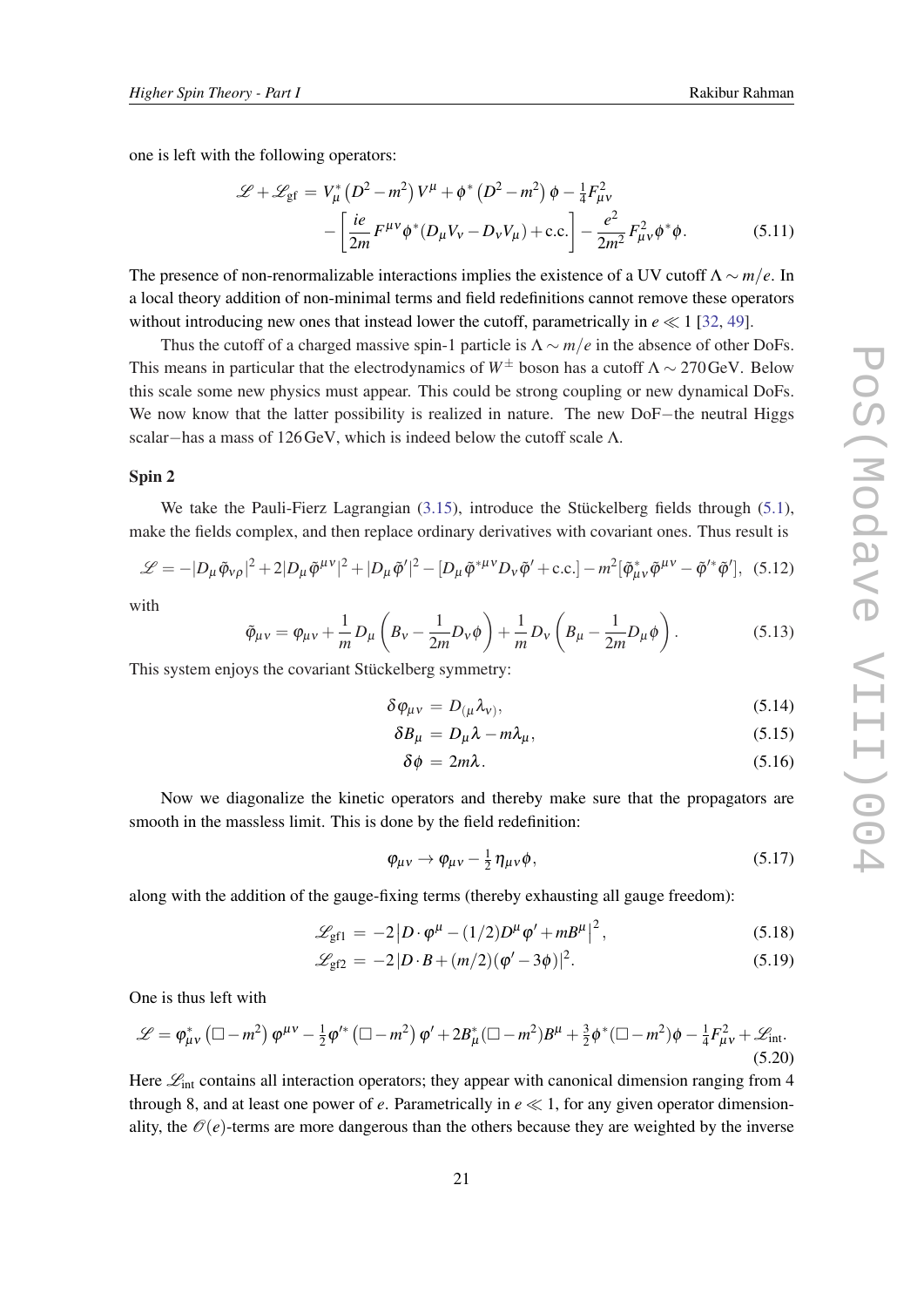<span id="page-20-0"></span>one is left with the following operators:

$$
\mathcal{L} + \mathcal{L}_{gf} = V_{\mu}^{*} (D^{2} - m^{2}) V^{\mu} + \phi^{*} (D^{2} - m^{2}) \phi - \frac{1}{4} F_{\mu V}^{2}
$$

$$
- \left[ \frac{ie}{2m} F^{\mu \nu} \phi^{*} (D_{\mu} V_{\nu} - D_{\nu} V_{\mu}) + \text{c.c.} \right] - \frac{e^{2}}{2m^{2}} F_{\mu \nu}^{2} \phi^{*} \phi. \tag{5.11}
$$

The presence of non-renormalizable interactions implies the existence of a UV cutoff  $\Lambda \sim m/e$ . In a local theory addition of non-minimal terms and field redefinitions cannot remove these operators without introducing new ones that instead lower the cutoff, parametrically in  $e \ll 1$  [\[32](#page-30-0), [49\]](#page-31-0).

Thus the cutoff of a charged massive spin-1 particle is  $\Lambda \sim m/e$  in the absence of other DoFs. This means in particular that the electrodynamics of  $W^{\pm}$  boson has a cutoff  $\Lambda \sim 270 \text{GeV}$ . Below this scale some new physics must appear. This could be strong coupling or new dynamical DoFs. We now know that the latter possibility is realized in nature. The new DoF−the neutral Higgs scalar−has a mass of 126GeV, which is indeed below the cutoff scale Λ.

#### Spin 2

We take the Pauli-Fierz Lagrangian ([3.15\)](#page-11-0), introduce the Stückelberg fields through ([5.1\)](#page-19-0), make the fields complex, and then replace ordinary derivatives with covariant ones. Thus result is

$$
\mathcal{L} = -|D_{\mu}\tilde{\phi}_{\nu\rho}|^2 + 2|D_{\mu}\tilde{\phi}^{\mu\nu}|^2 + |D_{\mu}\tilde{\phi}'|^2 - [D_{\mu}\tilde{\phi}^{*\mu\nu}D_{\nu}\tilde{\phi}' + \text{c.c.}] - m^2[\tilde{\phi}^*_{\mu\nu}\tilde{\phi}^{\mu\nu} - \tilde{\phi}'^*\tilde{\phi}'], \quad (5.12)
$$

with

$$
\tilde{\varphi}_{\mu\nu} = \varphi_{\mu\nu} + \frac{1}{m} D_{\mu} \left( B_{\nu} - \frac{1}{2m} D_{\nu} \phi \right) + \frac{1}{m} D_{\nu} \left( B_{\mu} - \frac{1}{2m} D_{\mu} \phi \right). \tag{5.13}
$$

This system enjoys the covariant Stückelberg symmetry:

$$
\delta \varphi_{\mu\nu} = D_{(\mu} \lambda_{\nu)},\tag{5.14}
$$

$$
\delta B_{\mu} = D_{\mu} \lambda - m \lambda_{\mu}, \qquad (5.15)
$$

$$
\delta \phi = 2m\lambda. \tag{5.16}
$$

Now we diagonalize the kinetic operators and thereby make sure that the propagators are smooth in the massless limit. This is done by the field redefinition:

$$
\varphi_{\mu\nu} \to \varphi_{\mu\nu} - \frac{1}{2} \eta_{\mu\nu} \phi, \qquad (5.17)
$$

along with the addition of the gauge-fixing terms (thereby exhausting all gauge freedom):

$$
\mathcal{L}_{\text{gf1}} = -2 \left| D \cdot \varphi^{\mu} - (1/2) D^{\mu} \varphi' + m B^{\mu} \right|^{2}, \tag{5.18}
$$

$$
\mathcal{L}_{\text{gf2}} = -2|D \cdot B + (m/2)(\varphi' - 3\phi)|^2. \tag{5.19}
$$

One is thus left with

$$
\mathcal{L} = \varphi_{\mu\nu}^* \left( \Box - m^2 \right) \varphi^{\mu\nu} - \frac{1}{2} \varphi'^* \left( \Box - m^2 \right) \varphi' + 2B_\mu^* \left( \Box - m^2 \right) B^\mu + \frac{3}{2} \varphi^* \left( \Box - m^2 \right) \varphi - \frac{1}{4} F_{\mu\nu}^2 + \mathcal{L}_{int}.
$$
\n(5.20)

Here  $\mathcal{L}_{int}$  contains all interaction operators; they appear with canonical dimension ranging from 4 through 8, and at least one power of *e*. Parametrically in  $e \ll 1$ , for any given operator dimensionality, the  $\mathcal{O}(e)$ -terms are more dangerous than the others because they are weighted by the inverse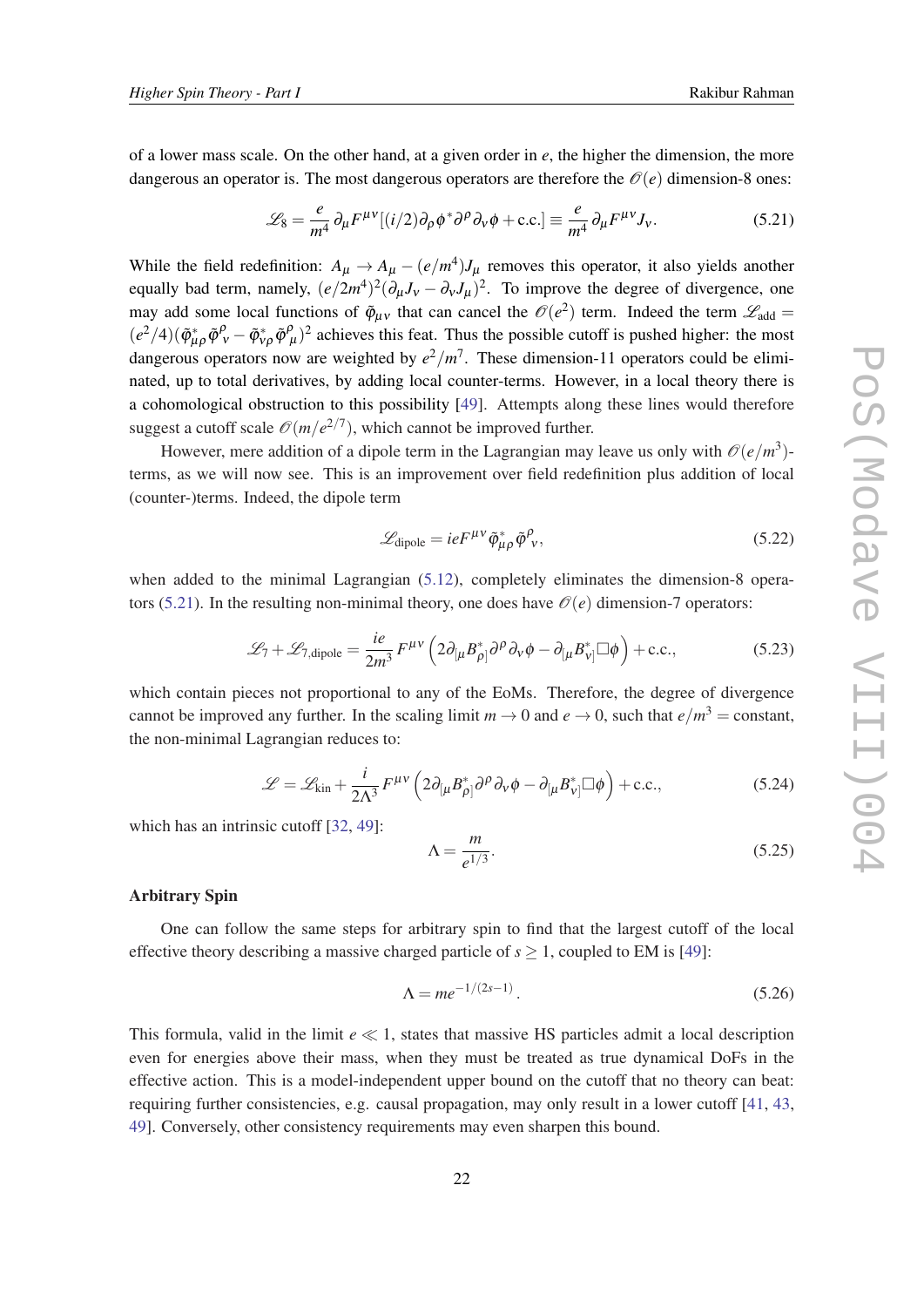$$
\mathcal{L}_8 = \frac{e}{m^4} \partial_\mu F^{\mu\nu} [(i/2) \partial_\rho \phi^* \partial^\rho \partial_\nu \phi + \text{c.c.}] \equiv \frac{e}{m^4} \partial_\mu F^{\mu\nu} J_\nu. \tag{5.21}
$$

<span id="page-21-0"></span>While the field redefinition:  $A_{\mu} \rightarrow A_{\mu} - (e/m^4)J_{\mu}$  removes this operator, it also yields another equally bad term, namely,  $(e/2m^4)^2(\partial_\mu J_\nu - \partial_\nu J_\mu)^2$ . To improve the degree of divergence, one may add some local functions of  $\tilde{\varphi}_{\mu\nu}$  that can cancel the  $\mathcal{O}(e^2)$  term. Indeed the term  $\mathcal{L}_{\text{add}} =$  $(e^2/4)(\tilde{\varphi}^*_{\mu\rho}\tilde{\varphi}^{\rho}_{\nu} - \tilde{\varphi}^*_{\nu\rho}\tilde{\varphi}^{\rho}_{\mu})^2$  achieves this feat. Thus the possible cutoff is pushed higher: the most dangerous operators now are weighted by  $e^2/m^7$ . These dimension-11 operators could be eliminated, up to total derivatives, by adding local counter-terms. However, in a local theory there is a cohomological obstruction to this possibility [[49\]](#page-31-0). Attempts along these lines would therefore suggest a cutoff scale  $\mathcal{O}(m/e^{2/7})$ , which cannot be improved further.

However, mere addition of a dipole term in the Lagrangian may leave us only with  $\mathcal{O}(e/m^3)$ terms, as we will now see. This is an improvement over field redefinition plus addition of local (counter-)terms. Indeed, the dipole term

$$
\mathcal{L}_{\text{dipole}} = i e F^{\mu \nu} \tilde{\varphi}_{\mu \rho}^* \tilde{\varphi}_{\nu}^{\rho},\tag{5.22}
$$

when added to the minimal Lagrangian [\(5.12](#page-20-0)), completely eliminates the dimension-8 operators (5.21). In the resulting non-minimal theory, one does have  $\mathcal{O}(e)$  dimension-7 operators:

$$
\mathcal{L}_7 + \mathcal{L}_{7,\text{dipole}} = \frac{ie}{2m^3} F^{\mu\nu} \left( 2\partial_{\mu} B_{\rho}^* \right) \partial^{\rho} \partial_{\nu} \phi - \partial_{\mu} B_{\nu}^* \Box \phi \right) + \text{c.c.},\tag{5.23}
$$

which contain pieces not proportional to any of the EoMs. Therefore, the degree of divergence cannot be improved any further. In the scaling limit  $m \to 0$  and  $e \to 0$ , such that  $e/m^3 = \text{constant}$ , the non-minimal Lagrangian reduces to:

$$
\mathcal{L} = \mathcal{L}_{kin} + \frac{i}{2\Lambda^3} F^{\mu\nu} \left( 2\partial_{\mu} B_{\rho\parallel}^* \partial^{\rho} \partial_{\nu} \phi - \partial_{\mu} B_{\nu\parallel}^* \Box \phi \right) + \text{c.c.},\tag{5.24}
$$

which has an intrinsic cutoff [[32,](#page-30-0) [49\]](#page-31-0):

$$
\Lambda = \frac{m}{e^{1/3}}.\tag{5.25}
$$

# Arbitrary Spin

One can follow the same steps for arbitrary spin to find that the largest cutoff of the local effective theory describing a massive charged particle of  $s \ge 1$ , coupled to EM is [\[49](#page-31-0)]:

$$
\Lambda = me^{-1/(2s-1)}.
$$
\n(5.26)

This formula, valid in the limit  $e \ll 1$ , states that massive HS particles admit a local description even for energies above their mass, when they must be treated as true dynamical DoFs in the effective action. This is a model-independent upper bound on the cutoff that no theory can beat: requiring further consistencies, e.g. causal propagation, may only result in a lower cutoff [[41,](#page-30-0) [43](#page-30-0), [49](#page-31-0)]. Conversely, other consistency requirements may even sharpen this bound.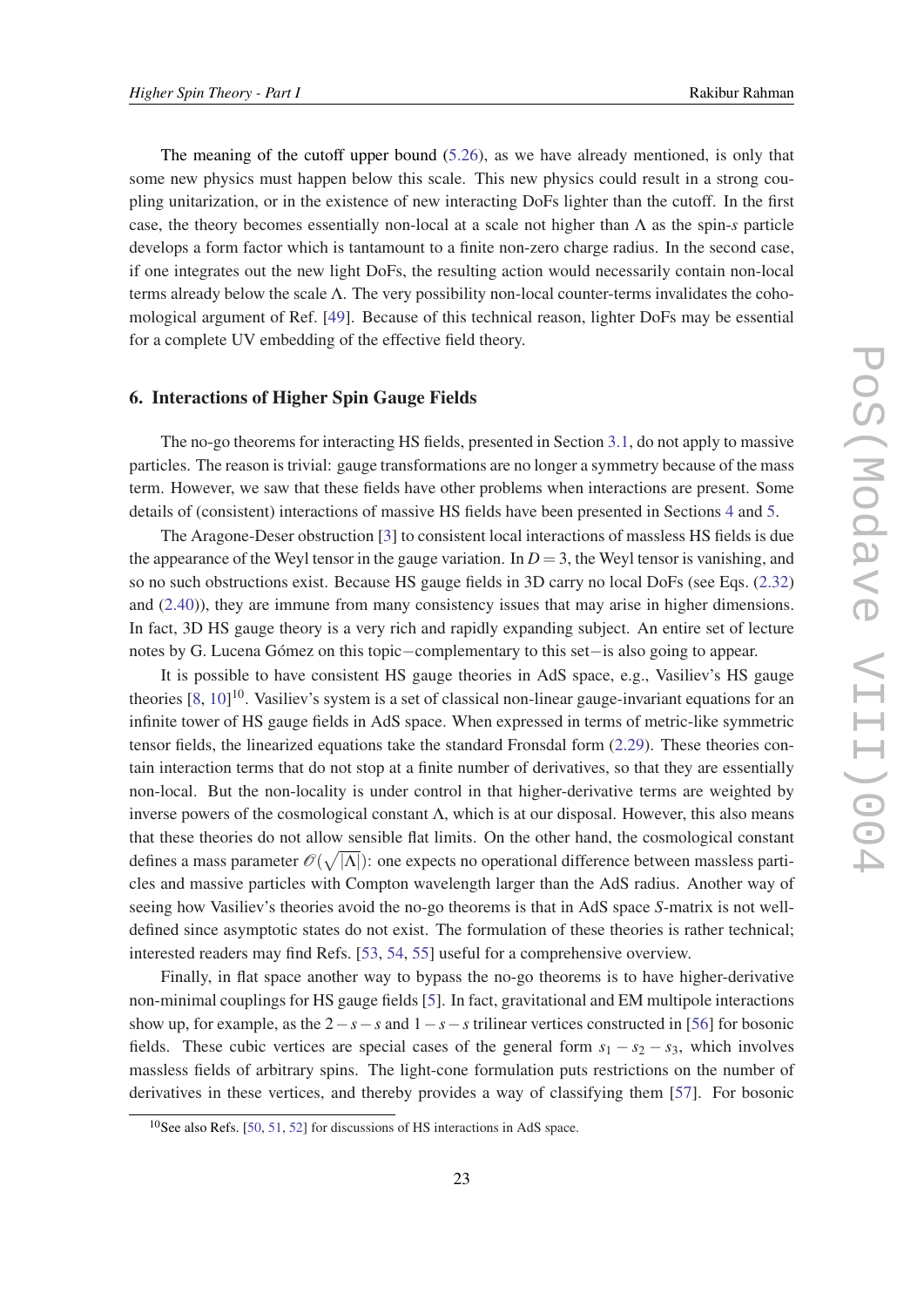<span id="page-22-0"></span>The meaning of the cutoff upper bound  $(5.26)$  $(5.26)$ , as we have already mentioned, is only that some new physics must happen below this scale. This new physics could result in a strong coupling unitarization, or in the existence of new interacting DoFs lighter than the cutoff. In the first case, the theory becomes essentially non-local at a scale not higher than Λ as the spin-*s* particle develops a form factor which is tantamount to a finite non-zero charge radius. In the second case, if one integrates out the new light DoFs, the resulting action would necessarily contain non-local terms already below the scale  $\Lambda$ . The very possibility non-local counter-terms invalidates the cohomological argument of Ref. [[49](#page-31-0)]. Because of this technical reason, lighter DoFs may be essential for a complete UV embedding of the effective field theory.

## 6. Interactions of Higher Spin Gauge Fields

The no-go theorems for interacting HS fields, presented in Section [3.1](#page-8-0), do not apply to massive particles. The reason is trivial: gauge transformations are no longer a symmetry because of the mass term. However, we saw that these fields have other problems when interactions are present. Some details of (consistent) interactions of massive HS fields have been presented in Sections [4](#page-13-0) and [5.](#page-18-0)

The Aragone-Deser obstruction [\[3\]](#page-28-0) to consistent local interactions of massless HS fields is due the appearance of the Weyl tensor in the gauge variation. In  $D = 3$ , the Weyl tensor is vanishing, and so no such obstructions exist. Because HS gauge fields in 3D carry no local DoFs (see Eqs. [\(2.32](#page-6-0)) and ([2.40](#page-7-0))), they are immune from many consistency issues that may arise in higher dimensions. In fact, 3D HS gauge theory is a very rich and rapidly expanding subject. An entire set of lecture notes by G. Lucena Gómez on this topic−complementary to this set−is also going to appear.

It is possible to have consistent HS gauge theories in AdS space, e.g., Vasiliev's HS gauge theories [\[8,](#page-28-0) [10\]](#page-28-0)<sup>10</sup>. Vasiliev's system is a set of classical non-linear gauge-invariant equations for an infinite tower of HS gauge fields in AdS space. When expressed in terms of metric-like symmetric tensor fields, the linearized equations take the standard Fronsdal form [\(2.29](#page-6-0)). These theories contain interaction terms that do not stop at a finite number of derivatives, so that they are essentially non-local. But the non-locality is under control in that higher-derivative terms are weighted by inverse powers of the cosmological constant  $\Lambda$ , which is at our disposal. However, this also means that these theories do not allow sensible flat limits. On the other hand, the cosmological constant defines a mass parameter  $\mathscr{O}(\sqrt{|\Lambda|})$ : one expects no operational difference between massless particles and massive particles with Compton wavelength larger than the AdS radius. Another way of seeing how Vasiliev's theories avoid the no-go theorems is that in AdS space *S*-matrix is not welldefined since asymptotic states do not exist. The formulation of these theories is rather technical; interested readers may find Refs. [[53,](#page-31-0) [54](#page-31-0), [55\]](#page-31-0) useful for a comprehensive overview.

Finally, in flat space another way to bypass the no-go theorems is to have higher-derivative non-minimal couplings for HS gauge fields [[5\]](#page-28-0). In fact, gravitational and EM multipole interactions show up, for example, as the 2−*s*−*s* and 1−*s*−*s* trilinear vertices constructed in [[56\]](#page-31-0) for bosonic fields. These cubic vertices are special cases of the general form  $s_1 - s_2 - s_3$ , which involves massless fields of arbitrary spins. The light-cone formulation puts restrictions on the number of derivatives in these vertices, and thereby provides a way of classifying them [\[57\]](#page-31-0). For bosonic

<sup>10</sup>See also Refs. [\[50](#page-31-0), [51,](#page-31-0) [52](#page-31-0)] for discussions of HS interactions in AdS space.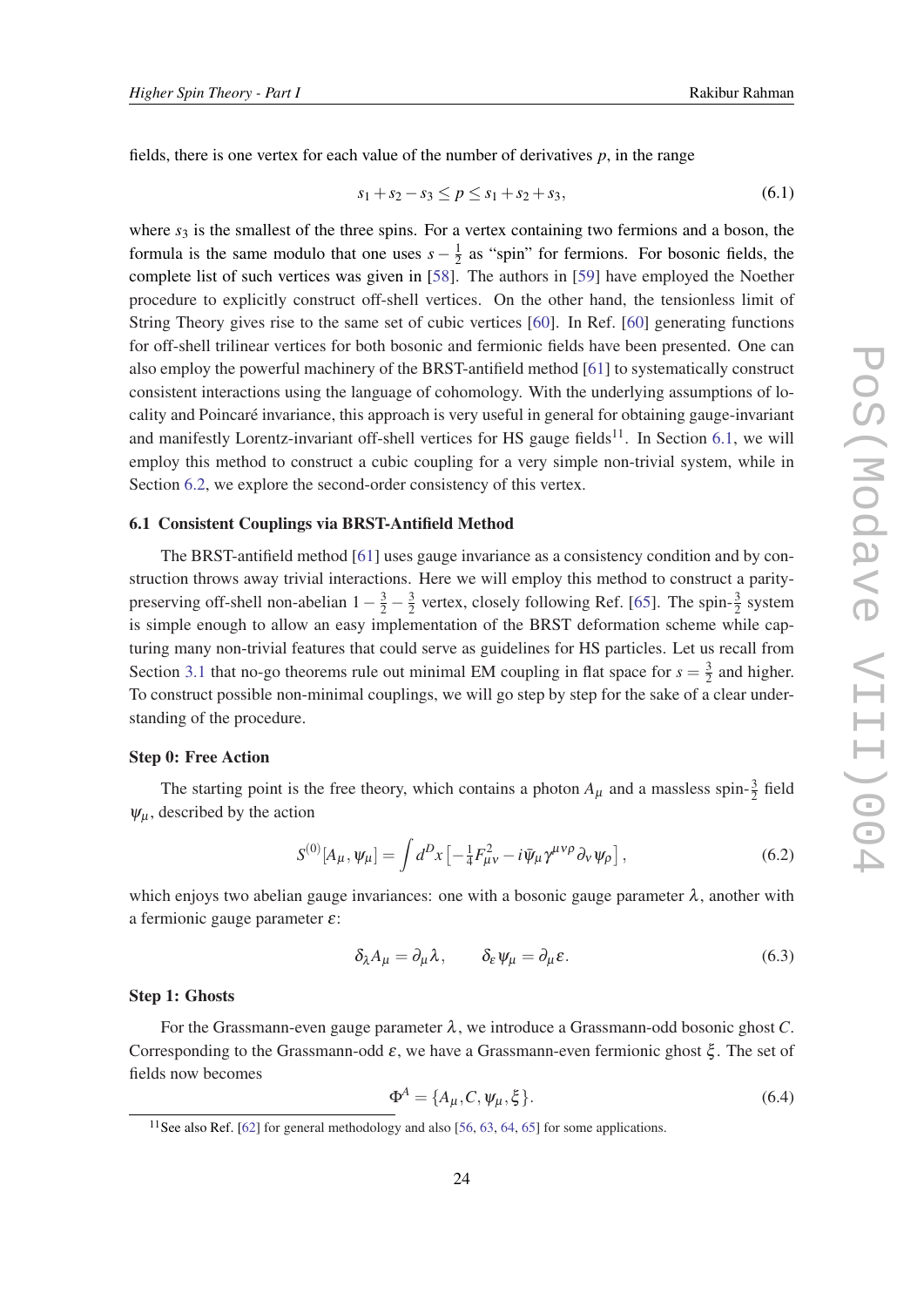<span id="page-23-0"></span>fields, there is one vertex for each value of the number of derivatives *p*, in the range

$$
s_1 + s_2 - s_3 \le p \le s_1 + s_2 + s_3,\tag{6.1}
$$

where  $s_3$  is the smallest of the three spins. For a vertex containing two fermions and a boson, the formula is the same modulo that one uses  $s - \frac{1}{2}$  $\frac{1}{2}$  as "spin" for fermions. For bosonic fields, the complete list of such vertices was given in [[58\]](#page-32-0). The authors in [[59](#page-32-0)] have employed the Noether procedure to explicitly construct off-shell vertices. On the other hand, the tensionless limit of String Theory gives rise to the same set of cubic vertices [\[60](#page-32-0)]. In Ref. [[60\]](#page-32-0) generating functions for off-shell trilinear vertices for both bosonic and fermionic fields have been presented. One can also employ the powerful machinery of the BRST-antifield method [[61\]](#page-32-0) to systematically construct consistent interactions using the language of cohomology. With the underlying assumptions of locality and Poincaré invariance, this approach is very useful in general for obtaining gauge-invariant and manifestly Lorentz-invariant off-shell vertices for HS gauge fields<sup>11</sup>. In Section 6.1, we will employ this method to construct a cubic coupling for a very simple non-trivial system, while in Section [6.2](#page-27-0), we explore the second-order consistency of this vertex.

#### 6.1 Consistent Couplings via BRST-Antifield Method

The BRST-antifield method [\[61](#page-32-0)] uses gauge invariance as a consistency condition and by construction throws away trivial interactions. Here we will employ this method to construct a paritypreserving off-shell non-abelian  $1 - \frac{3}{2} - \frac{3}{2}$  $\frac{3}{2}$  vertex, closely following Ref. [[65\]](#page-32-0). The spin- $\frac{3}{2}$  system is simple enough to allow an easy implementation of the BRST deformation scheme while capturing many non-trivial features that could serve as guidelines for HS particles. Let us recall from Section [3.1](#page-8-0) that no-go theorems rule out minimal EM coupling in flat space for  $s = \frac{3}{2}$  $\frac{3}{2}$  and higher. To construct possible non-minimal couplings, we will go step by step for the sake of a clear understanding of the procedure.

#### Step 0: Free Action

The starting point is the free theory, which contains a photon  $A_{\mu}$  and a massless spin- $\frac{3}{2}$  field  $\psi_{\mu}$ , described by the action

$$
S^{(0)}[A_{\mu}, \psi_{\mu}] = \int d^D x \left[ -\frac{1}{4} F_{\mu\nu}^2 - i \bar{\psi}_{\mu} \gamma^{\mu\nu\rho} \partial_{\nu} \psi_{\rho} \right],
$$
 (6.2)

which enjoys two abelian gauge invariances: one with a bosonic gauge parameter  $\lambda$ , another with a fermionic gauge parameter ε:

$$
\delta_{\lambda} A_{\mu} = \partial_{\mu} \lambda, \qquad \delta_{\varepsilon} \psi_{\mu} = \partial_{\mu} \varepsilon. \tag{6.3}
$$

#### Step 1: Ghosts

For the Grassmann-even gauge parameter  $\lambda$ , we introduce a Grassmann-odd bosonic ghost *C*. Corresponding to the Grassmann-odd  $\varepsilon$ , we have a Grassmann-even fermionic ghost  $\xi$ . The set of fields now becomes

$$
\Phi^A = \{A_\mu, C, \psi_\mu, \xi\}.
$$
\n
$$
(6.4)
$$

<sup>&</sup>lt;sup>11</sup>See also Ref. [[62\]](#page-32-0) for general methodology and also [[56,](#page-31-0) [63](#page-32-0), [64,](#page-32-0) [65](#page-32-0)] for some applications.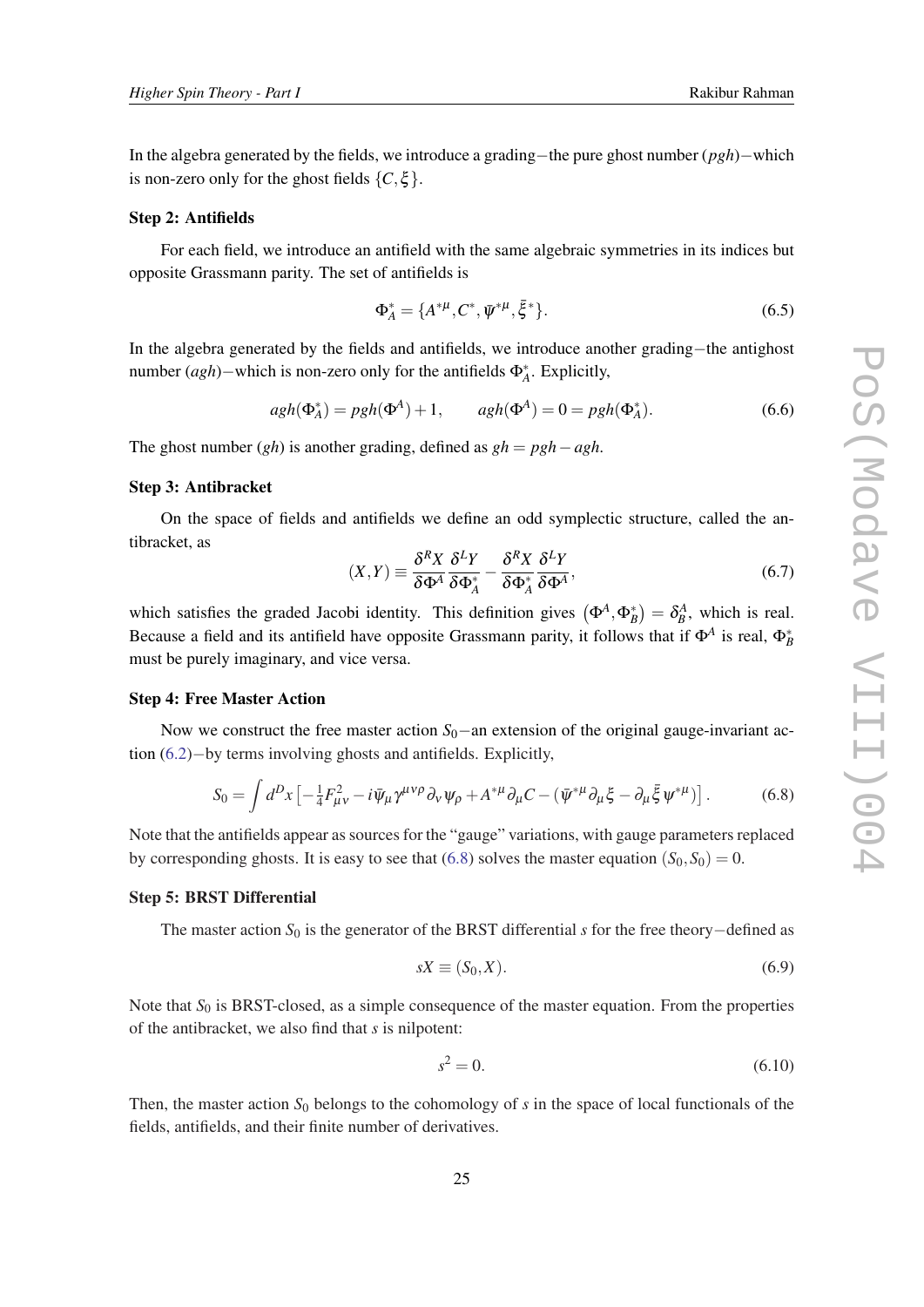In the algebra generated by the fields, we introduce a grading−the pure ghost number (*pgh*)−which is non-zero only for the ghost fields  $\{C, \xi\}$ .

#### Step 2: Antifields

For each field, we introduce an antifield with the same algebraic symmetries in its indices but opposite Grassmann parity. The set of antifields is

$$
\Phi_A^* = \{A^{*\mu}, C^*, \bar{\psi}^{*\mu}, \bar{\xi}^*\}.
$$
\n(6.5)

In the algebra generated by the fields and antifields, we introduce another grading−the antighost number (*agh*)−which is non-zero only for the antifields Φ<sup>∗</sup> *A* . Explicitly,

$$
agh(\Phi_A^*) = pgh(\Phi^A) + 1, \qquad agh(\Phi^A) = 0 = pgh(\Phi_A^*).
$$
 (6.6)

The ghost number (*gh*) is another grading, defined as *gh* = *pgh*−*agh*.

# Step 3: Antibracket

On the space of fields and antifields we define an odd symplectic structure, called the antibracket, as

$$
(X,Y) \equiv \frac{\delta^R X}{\delta \Phi^A} \frac{\delta^L Y}{\delta \Phi_A^*} - \frac{\delta^R X}{\delta \Phi_A^*} \frac{\delta^L Y}{\delta \Phi^A},\tag{6.7}
$$

which satisfies the graded Jacobi identity. This definition gives  $(\Phi^A, \Phi^*_B) = \delta^A_B$ , which is real. Because a field and its antifield have opposite Grassmann parity, it follows that if  $\Phi^A$  is real,  $\Phi_B^*$ must be purely imaginary, and vice versa.

#### Step 4: Free Master Action

Now we construct the free master action *S*<sub>0</sub>−an extension of the original gauge-invariant action ([6.2](#page-23-0))−by terms involving ghosts and antifields. Explicitly,

$$
S_0 = \int d^D x \left[ -\frac{1}{4} F_{\mu\nu}^2 - i \bar{\psi}_\mu \gamma^{\mu\nu\rho} \partial_\nu \psi_\rho + A^{*\mu} \partial_\mu C - (\bar{\psi}^{*\mu} \partial_\mu \xi - \partial_\mu \bar{\xi} \psi^{*\mu}) \right]. \tag{6.8}
$$

Note that the antifields appear as sources for the "gauge" variations, with gauge parameters replaced by corresponding ghosts. It is easy to see that (6.8) solves the master equation  $(S_0, S_0) = 0$ .

## Step 5: BRST Differential

The master action *S*<sup>0</sup> is the generator of the BRST differential *s* for the free theory−defined as

$$
sX \equiv (S_0, X). \tag{6.9}
$$

Note that  $S_0$  is BRST-closed, as a simple consequence of the master equation. From the properties of the antibracket, we also find that *s* is nilpotent:

$$
s^2 = 0.\t(6.10)
$$

Then, the master action  $S_0$  belongs to the cohomology of *s* in the space of local functionals of the fields, antifields, and their finite number of derivatives.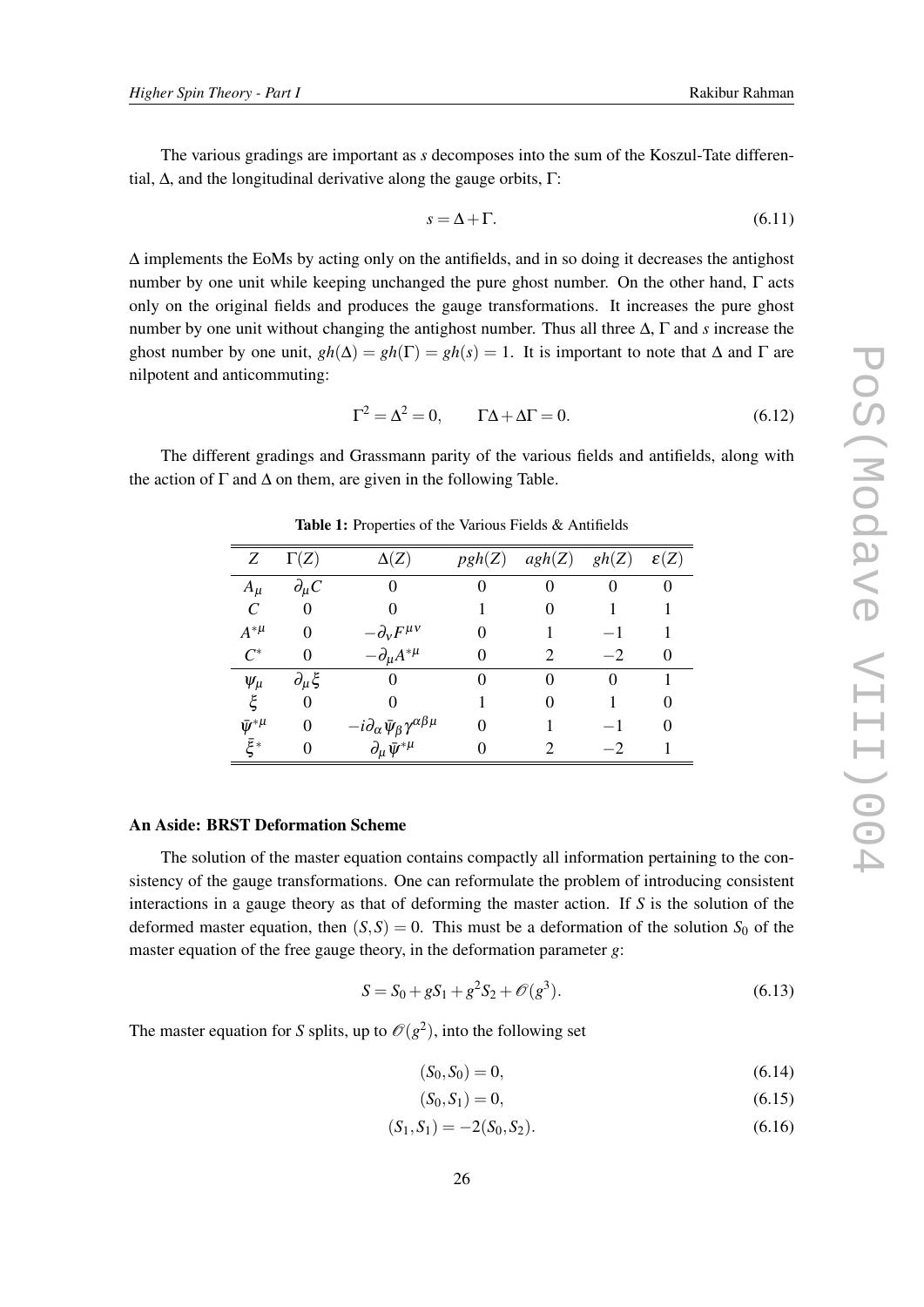<span id="page-25-0"></span>The various gradings are important as *s* decomposes into the sum of the Koszul-Tate differential,  $Δ$ , and the longitudinal derivative along the gauge orbits, Γ:

$$
s = \Delta + \Gamma. \tag{6.11}
$$

∆ implements the EoMs by acting only on the antifields, and in so doing it decreases the antighost number by one unit while keeping unchanged the pure ghost number. On the other hand, Γ acts only on the original fields and produces the gauge transformations. It increases the pure ghost number by one unit without changing the antighost number. Thus all three ∆, Γ and *s* increase the ghost number by one unit,  $gh(\Delta) = gh(\Gamma) = gh(s) = 1$ . It is important to note that  $\Delta$  and  $\Gamma$  are nilpotent and anticommuting:

$$
\Gamma^2 = \Delta^2 = 0, \qquad \Gamma \Delta + \Delta \Gamma = 0. \tag{6.12}
$$

The different gradings and Grassmann parity of the various fields and antifields, along with the action of  $\Gamma$  and  $\Delta$  on them, are given in the following Table.

| Ζ                   | $\Gamma(Z)$        | $\Delta(Z)$                                                    | pgh(Z) | agh(Z) | gh(Z)             | $\varepsilon(Z)$ |
|---------------------|--------------------|----------------------------------------------------------------|--------|--------|-------------------|------------------|
| $A_{\mu}$           | $\partial_{\mu}C$  | 0                                                              |        |        | 0                 |                  |
| C                   | 0                  |                                                                |        |        |                   |                  |
| $A^{\ast \mu}$      | 0                  | $-d_vF^{\mu\nu}$                                               |        |        |                   |                  |
| $C^*$               | 0                  | $-\partial_{\mu}A^{*\mu}$                                      |        | 2      | $-2$              |                  |
| $\psi_\mu$          | $\partial_\mu \xi$ | 0                                                              |        | 0      | $\mathbf{\Omega}$ |                  |
| ξ                   | $\theta$           |                                                                |        |        |                   |                  |
| $\bar{\psi}^{*\mu}$ | $\theta$           | $-i \partial_\alpha \bar \psi_\beta \gamma^{\alpha \beta \mu}$ |        |        |                   |                  |
| ξ∗                  | 0                  | $\partial_\mu \bar{\psi}^{*\mu}$                               |        |        | $-2$              |                  |

Table 1: Properties of the Various Fields & Antifields

#### An Aside: BRST Deformation Scheme

The solution of the master equation contains compactly all information pertaining to the consistency of the gauge transformations. One can reformulate the problem of introducing consistent interactions in a gauge theory as that of deforming the master action. If *S* is the solution of the deformed master equation, then  $(S, S) = 0$ . This must be a deformation of the solution  $S_0$  of the master equation of the free gauge theory, in the deformation parameter *g*:

$$
S = S_0 + gS_1 + g^2S_2 + \mathcal{O}(g^3). \tag{6.13}
$$

The master equation for *S* splits, up to  $\mathcal{O}(g^2)$ , into the following set

$$
(S_0, S_0) = 0,\t(6.14)
$$

$$
(S_0, S_1) = 0,\t(6.15)
$$

$$
(S_1, S_1) = -2(S_0, S_2). \tag{6.16}
$$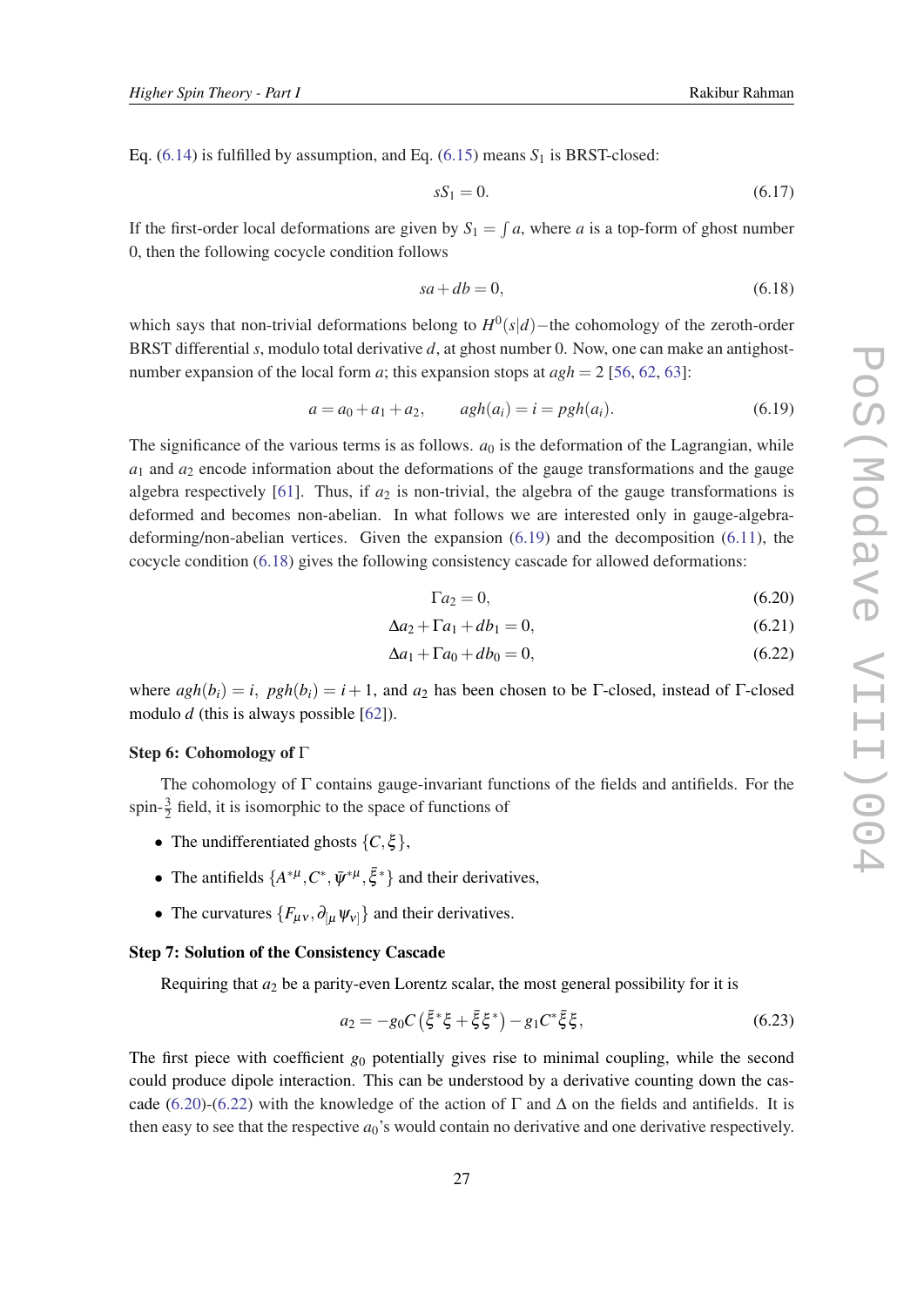<span id="page-26-0"></span>Eq.  $(6.14)$  $(6.14)$  is fulfilled by assumption, and Eq.  $(6.15)$  $(6.15)$  means  $S_1$  is BRST-closed:

$$
sS_1 = 0.\tag{6.17}
$$

If the first-order local deformations are given by  $S_1 = \int a$ , where *a* is a top-form of ghost number 0, then the following cocycle condition follows

$$
sa + db = 0,\tag{6.18}
$$

which says that non-trivial deformations belong to *H* 0 (*s*|*d*)−the cohomology of the zeroth-order BRST differential *s*, modulo total derivative *d*, at ghost number 0. Now, one can make an antighostnumber expansion of the local form *a*; this expansion stops at  $agh = 2$  [[56](#page-31-0), [62,](#page-32-0) [63](#page-32-0)]:

$$
a = a_0 + a_1 + a_2, \qquad \frac{a}{h}(a_i) = i = pgh(a_i). \tag{6.19}
$$

The significance of the various terms is as follows.  $a_0$  is the deformation of the Lagrangian, while  $a_1$  and  $a_2$  encode information about the deformations of the gauge transformations and the gauge algebra respectively [[61\]](#page-32-0). Thus, if  $a_2$  is non-trivial, the algebra of the gauge transformations is deformed and becomes non-abelian. In what follows we are interested only in gauge-algebradeforming/non-abelian vertices. Given the expansion (6.19) and the decomposition ([6.11\)](#page-25-0), the cocycle condition (6.18) gives the following consistency cascade for allowed deformations:

$$
\Gamma a_2 = 0,\tag{6.20}
$$

$$
\Delta a_2 + \Gamma a_1 + db_1 = 0,\tag{6.21}
$$

$$
\Delta a_1 + \Gamma a_0 + db_0 = 0,\tag{6.22}
$$

where  $agh(b_i) = i$ ,  $pgh(b_i) = i + 1$ , and  $a_2$  has been chosen to be Γ-closed, instead of Γ-closed modulo *d* (this is always possible [\[62](#page-32-0)]).

#### Step 6: Cohomology of Γ

The cohomology of  $\Gamma$  contains gauge-invariant functions of the fields and antifields. For the spin- $\frac{3}{2}$  field, it is isomorphic to the space of functions of

- The undifferentiated ghosts  $\{C, \xi\}$ ,
- The antifields  $\{A^{*\mu}, C^*, \bar{\psi}^{*\mu}, \bar{\xi}^*\}$  and their derivatives,
- The curvatures  $\{F_{\mu\nu}, \partial_{[\mu} \psi_{\nu]}\}\$  and their derivatives.

#### Step 7: Solution of the Consistency Cascade

Requiring that  $a_2$  be a parity-even Lorentz scalar, the most general possibility for it is

$$
a_2 = -g_0 C (\bar{\xi}^* \xi + \bar{\xi} \xi^*) - g_1 C^* \bar{\xi} \xi, \qquad (6.23)
$$

The first piece with coefficient *g*<sup>0</sup> potentially gives rise to minimal coupling, while the second could produce dipole interaction. This can be understood by a derivative counting down the cascade (6.20)-(6.22) with the knowledge of the action of  $\Gamma$  and  $\Delta$  on the fields and antifields. It is then easy to see that the respective  $a_0$ 's would contain no derivative and one derivative respectively.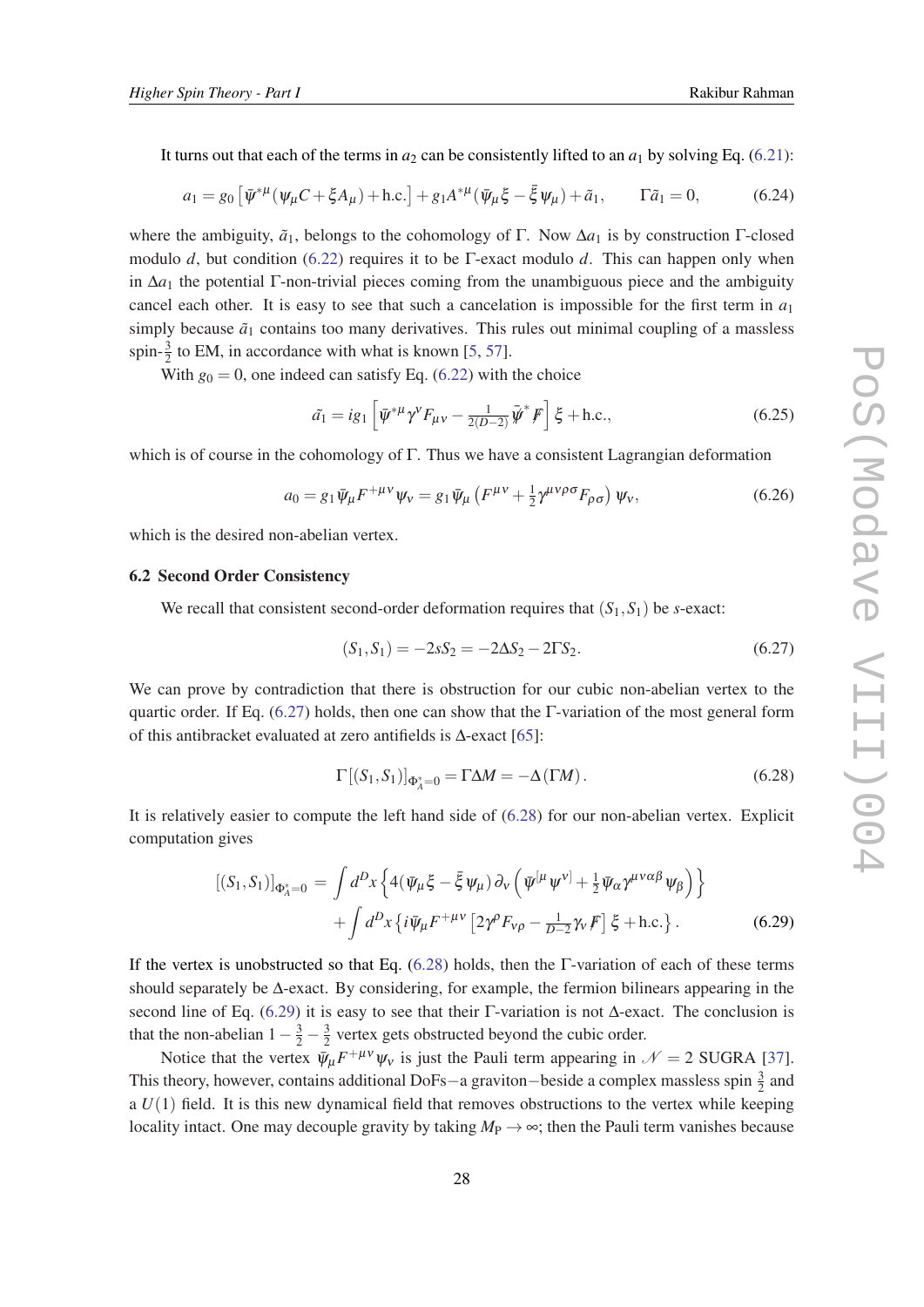<span id="page-27-0"></span>It turns out that each of the terms in  $a_2$  can be consistently lifted to an  $a_1$  by solving Eq. [\(6.21](#page-26-0)):

$$
a_1 = g_0 \left[ \bar{\psi}^{*\mu} (\psi_\mu C + \xi A_\mu) + \text{h.c.} \right] + g_1 A^{*\mu} (\bar{\psi}_\mu \xi - \bar{\xi} \psi_\mu) + \tilde{a}_1, \qquad \Gamma \tilde{a}_1 = 0, \tag{6.24}
$$

where the ambiguity,  $\tilde{a}_1$ , belongs to the cohomology of Γ. Now  $\Delta a_1$  is by construction Γ-closed modulo *d*, but condition ([6.22\)](#page-26-0) requires it to be Γ-exact modulo *d*. This can happen only when in  $\Delta a_1$  the potential Γ-non-trivial pieces coming from the unambiguous piece and the ambiguity cancel each other. It is easy to see that such a cancelation is impossible for the first term in  $a_1$ simply because  $\tilde{a}_1$  contains too many derivatives. This rules out minimal coupling of a massless spin- $\frac{3}{2}$  to EM, in accordance with what is known [\[5,](#page-28-0) [57\]](#page-31-0).

With  $g_0 = 0$ , one indeed can satisfy Eq. ([6.22\)](#page-26-0) with the choice

$$
\tilde{a}_1 = ig_1 \left[ \bar{\psi}^{\ast \mu} \gamma^{\nu} F_{\mu \nu} - \frac{1}{2(D-2)} \bar{\psi}^{\ast} F \right] \xi + \text{h.c.},\tag{6.25}
$$

which is of course in the cohomology of  $\Gamma$ . Thus we have a consistent Lagrangian deformation

$$
a_0 = g_1 \bar{\psi}_\mu F^{+\mu\nu} \psi_\nu = g_1 \bar{\psi}_\mu \left( F^{\mu\nu} + \frac{1}{2} \gamma^{\mu\nu\rho\sigma} F_{\rho\sigma} \right) \psi_\nu, \tag{6.26}
$$

which is the desired non-abelian vertex.

## 6.2 Second Order Consistency

We recall that consistent second-order deformation requires that  $(S_1, S_1)$  be *s*-exact:

$$
(S_1, S_1) = -2sS_2 = -2\Delta S_2 - 2\Gamma S_2. \tag{6.27}
$$

We can prove by contradiction that there is obstruction for our cubic non-abelian vertex to the quartic order. If Eq. (6.27) holds, then one can show that the Γ-variation of the most general form of this antibracket evaluated at zero antifields is ∆-exact [\[65\]](#page-32-0):

$$
\Gamma[(S_1, S_1)]_{\Phi_A^* = 0} = \Gamma \Delta M = -\Delta(\Gamma M). \tag{6.28}
$$

It is relatively easier to compute the left hand side of (6.28) for our non-abelian vertex. Explicit computation gives

$$
[(S_1, S_1)]_{\Phi_A^* = 0} = \int d^D x \left\{ 4(\bar{\psi}_\mu \xi - \bar{\xi} \psi_\mu) \partial_v \left( \bar{\psi}^{[\mu} \psi^{\nu]} + \frac{1}{2} \bar{\psi}_\alpha \gamma^{\mu \nu \alpha \beta} \psi_\beta \right) \right\} + \int d^D x \left\{ i \bar{\psi}_\mu F^{+\mu \nu} \left[ 2\gamma^\rho F_{\nu \rho} - \frac{1}{D-2} \gamma_\nu F \right] \xi + \text{h.c.} \right\}.
$$
 (6.29)

If the vertex is unobstructed so that Eq. (6.28) holds, then the Γ-variation of each of these terms should separately be ∆-exact. By considering, for example, the fermion bilinears appearing in the second line of Eq. (6.29) it is easy to see that their  $\Gamma$ -variation is not  $\Delta$ -exact. The conclusion is that the non-abelian  $1 - \frac{3}{2} - \frac{3}{2}$  $\frac{3}{2}$  vertex gets obstructed beyond the cubic order.

Notice that the vertex  $\bar{\psi}_{\mu} F^{+\mu\nu} \psi_{\nu}$  is just the Pauli term appearing in  $\mathcal{N} = 2$  SUGRA [[37\]](#page-30-0). This theory, however, contains additional DoFs—a graviton–beside a complex massless spin  $\frac{3}{2}$  and a  $U(1)$  field. It is this new dynamical field that removes obstructions to the vertex while keeping locality intact. One may decouple gravity by taking  $M_P \rightarrow \infty$ ; then the Pauli term vanishes because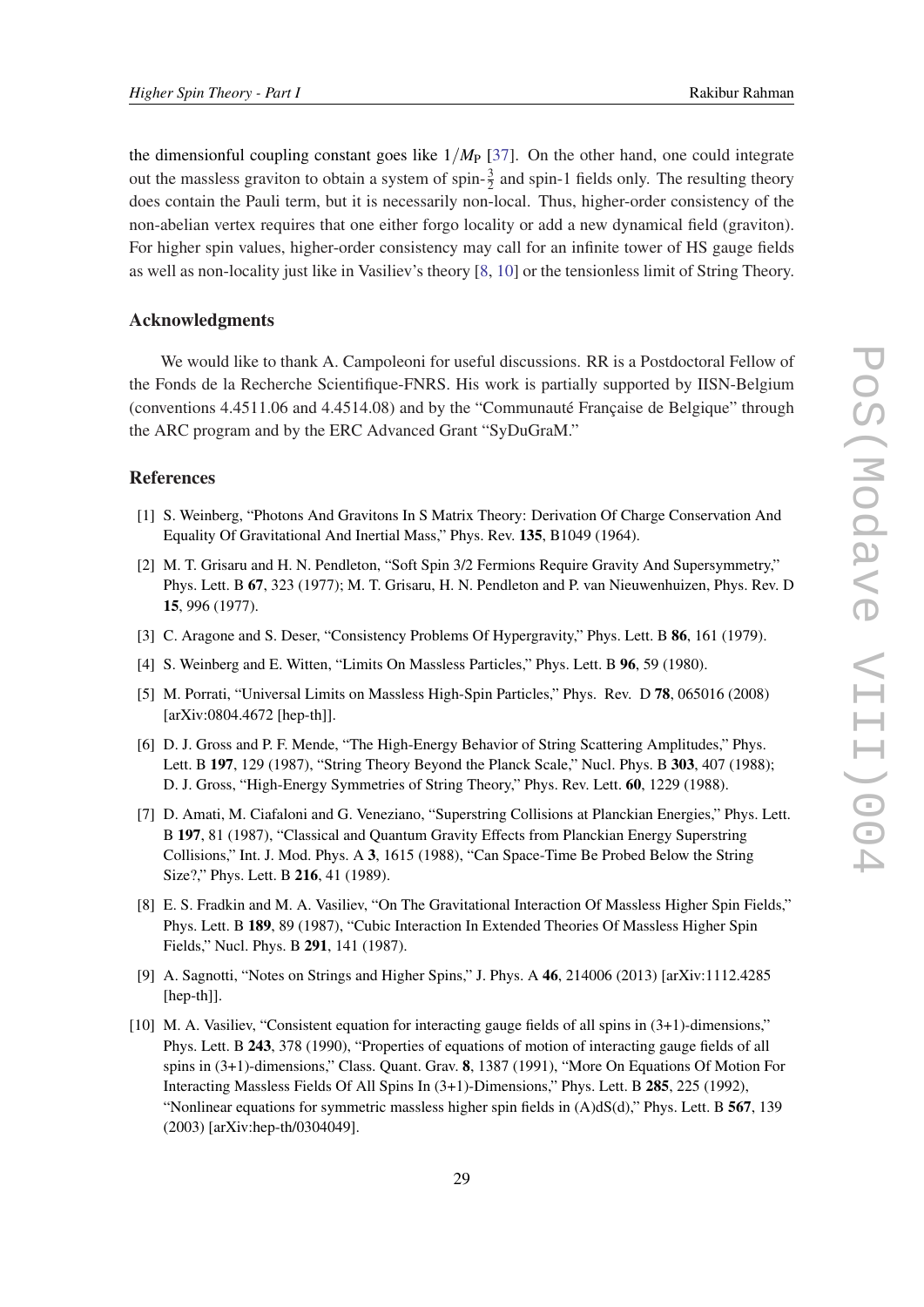<span id="page-28-0"></span>the dimensionful coupling constant goes like  $1/M_P$  [\[37](#page-30-0)]. On the other hand, one could integrate out the massless graviton to obtain a system of spin- $\frac{3}{2}$  and spin-1 fields only. The resulting theory does contain the Pauli term, but it is necessarily non-local. Thus, higher-order consistency of the non-abelian vertex requires that one either forgo locality or add a new dynamical field (graviton). For higher spin values, higher-order consistency may call for an infinite tower of HS gauge fields as well as non-locality just like in Vasiliev's theory [8, 10] or the tensionless limit of String Theory.

#### Acknowledgments

We would like to thank A. Campoleoni for useful discussions. RR is a Postdoctoral Fellow of the Fonds de la Recherche Scientifique-FNRS. His work is partially supported by IISN-Belgium (conventions 4.4511.06 and 4.4514.08) and by the "Communauté Française de Belgique" through the ARC program and by the ERC Advanced Grant "SyDuGraM."

#### References

- [1] S. Weinberg, "Photons And Gravitons In S Matrix Theory: Derivation Of Charge Conservation And Equality Of Gravitational And Inertial Mass," Phys. Rev. 135, B1049 (1964).
- [2] M. T. Grisaru and H. N. Pendleton, "Soft Spin 3/2 Fermions Require Gravity And Supersymmetry," Phys. Lett. B 67, 323 (1977); M. T. Grisaru, H. N. Pendleton and P. van Nieuwenhuizen, Phys. Rev. D 15, 996 (1977).
- [3] C. Aragone and S. Deser, "Consistency Problems Of Hypergravity," Phys. Lett. B 86, 161 (1979).
- [4] S. Weinberg and E. Witten, "Limits On Massless Particles," Phys. Lett. B 96, 59 (1980).
- [5] M. Porrati, "Universal Limits on Massless High-Spin Particles," Phys. Rev. D 78, 065016 (2008) [arXiv:0804.4672 [hep-th]].
- [6] D. J. Gross and P. F. Mende, "The High-Energy Behavior of String Scattering Amplitudes," Phys. Lett. B 197, 129 (1987), "String Theory Beyond the Planck Scale," Nucl. Phys. B 303, 407 (1988); D. J. Gross, "High-Energy Symmetries of String Theory," Phys. Rev. Lett. 60, 1229 (1988).
- [7] D. Amati, M. Ciafaloni and G. Veneziano, "Superstring Collisions at Planckian Energies," Phys. Lett. B 197, 81 (1987), "Classical and Quantum Gravity Effects from Planckian Energy Superstring Collisions," Int. J. Mod. Phys. A 3, 1615 (1988), "Can Space-Time Be Probed Below the String Size?," Phys. Lett. B 216, 41 (1989).
- [8] E. S. Fradkin and M. A. Vasiliev, "On The Gravitational Interaction Of Massless Higher Spin Fields," Phys. Lett. B 189, 89 (1987), "Cubic Interaction In Extended Theories Of Massless Higher Spin Fields," Nucl. Phys. B 291, 141 (1987).
- [9] A. Sagnotti, "Notes on Strings and Higher Spins," J. Phys. A 46, 214006 (2013) [arXiv:1112.4285 [hep-th]].
- [10] M. A. Vasiliev, "Consistent equation for interacting gauge fields of all spins in (3+1)-dimensions," Phys. Lett. B 243, 378 (1990), "Properties of equations of motion of interacting gauge fields of all spins in (3+1)-dimensions," Class. Quant. Grav. 8, 1387 (1991), "More On Equations Of Motion For Interacting Massless Fields Of All Spins In (3+1)-Dimensions," Phys. Lett. B 285, 225 (1992), "Nonlinear equations for symmetric massless higher spin fields in (A)dS(d)," Phys. Lett. B 567, 139 (2003) [arXiv:hep-th/0304049].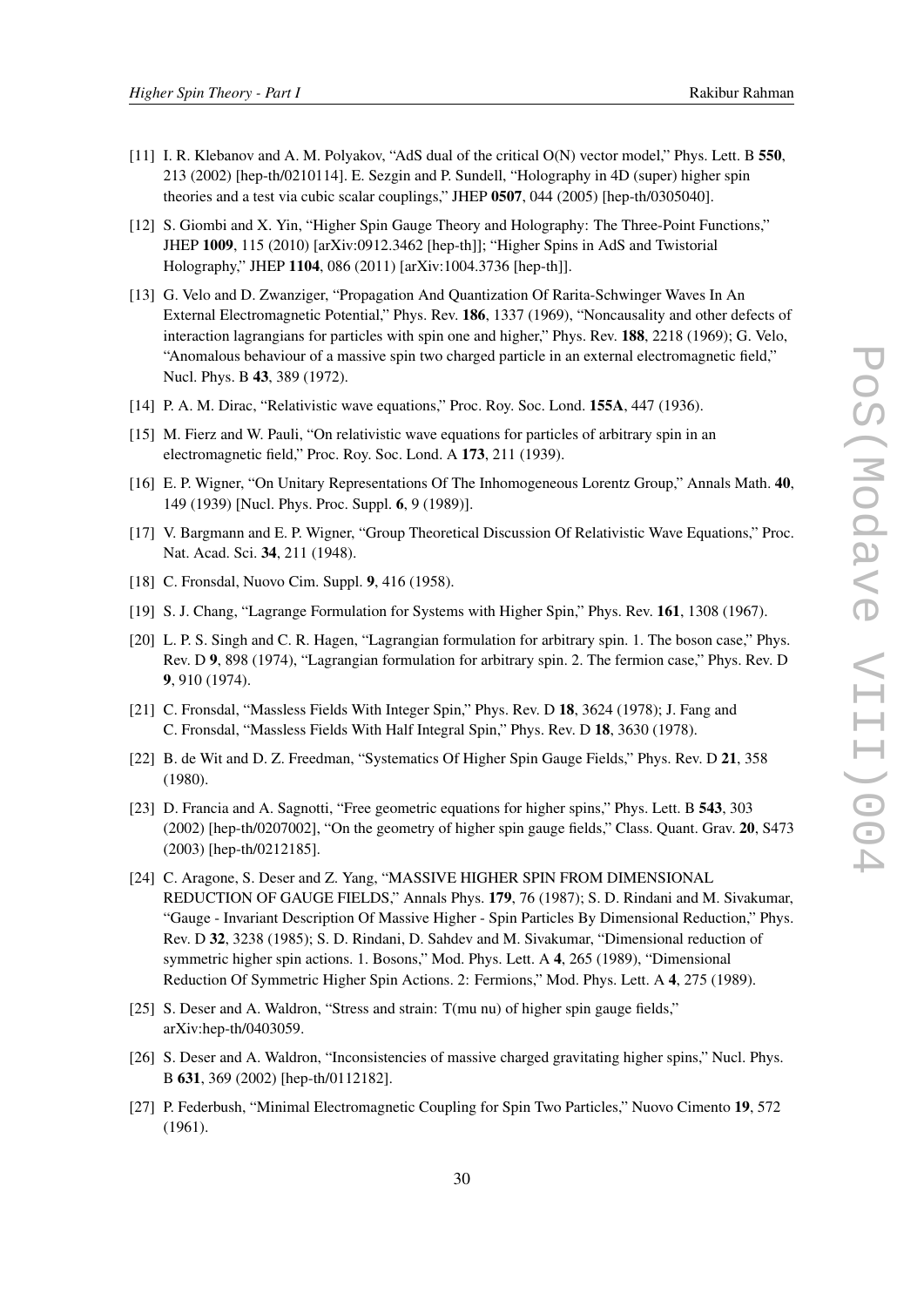- <span id="page-29-0"></span>[11] I. R. Klebanov and A. M. Polyakov, "AdS dual of the critical O(N) vector model," Phys. Lett. B 550, 213 (2002) [hep-th/0210114]. E. Sezgin and P. Sundell, "Holography in 4D (super) higher spin theories and a test via cubic scalar couplings," JHEP 0507, 044 (2005) [hep-th/0305040].
- [12] S. Giombi and X. Yin, "Higher Spin Gauge Theory and Holography: The Three-Point Functions," JHEP 1009, 115 (2010) [arXiv:0912.3462 [hep-th]]; "Higher Spins in AdS and Twistorial Holography," JHEP 1104, 086 (2011) [arXiv:1004.3736 [hep-th]].
- [13] G. Velo and D. Zwanziger, "Propagation And Quantization Of Rarita-Schwinger Waves In An External Electromagnetic Potential," Phys. Rev. 186, 1337 (1969), "Noncausality and other defects of interaction lagrangians for particles with spin one and higher," Phys. Rev. 188, 2218 (1969); G. Velo, "Anomalous behaviour of a massive spin two charged particle in an external electromagnetic field," Nucl. Phys. B 43, 389 (1972).
- [14] P. A. M. Dirac, "Relativistic wave equations," Proc. Roy. Soc. Lond. 155A, 447 (1936).
- [15] M. Fierz and W. Pauli, "On relativistic wave equations for particles of arbitrary spin in an electromagnetic field," Proc. Roy. Soc. Lond. A 173, 211 (1939).
- [16] E. P. Wigner, "On Unitary Representations Of The Inhomogeneous Lorentz Group," Annals Math. 40, 149 (1939) [Nucl. Phys. Proc. Suppl. 6, 9 (1989)].
- [17] V. Bargmann and E. P. Wigner, "Group Theoretical Discussion Of Relativistic Wave Equations," Proc. Nat. Acad. Sci. 34, 211 (1948).
- [18] C. Fronsdal, Nuovo Cim. Suppl. 9, 416 (1958).
- [19] S. J. Chang, "Lagrange Formulation for Systems with Higher Spin," Phys. Rev. 161, 1308 (1967).
- [20] L. P. S. Singh and C. R. Hagen, "Lagrangian formulation for arbitrary spin. 1. The boson case," Phys. Rev. D 9, 898 (1974), "Lagrangian formulation for arbitrary spin. 2. The fermion case," Phys. Rev. D 9, 910 (1974).
- [21] C. Fronsdal, "Massless Fields With Integer Spin," Phys. Rev. D 18, 3624 (1978); J. Fang and C. Fronsdal, "Massless Fields With Half Integral Spin," Phys. Rev. D 18, 3630 (1978).
- [22] B. de Wit and D. Z. Freedman, "Systematics Of Higher Spin Gauge Fields," Phys. Rev. D 21, 358 (1980).
- [23] D. Francia and A. Sagnotti, "Free geometric equations for higher spins," Phys. Lett. B 543, 303 (2002) [hep-th/0207002], "On the geometry of higher spin gauge fields," Class. Quant. Grav. 20, S473 (2003) [hep-th/0212185].
- [24] C. Aragone, S. Deser and Z. Yang, "MASSIVE HIGHER SPIN FROM DIMENSIONAL REDUCTION OF GAUGE FIELDS," Annals Phys. 179, 76 (1987); S. D. Rindani and M. Sivakumar, "Gauge - Invariant Description Of Massive Higher - Spin Particles By Dimensional Reduction," Phys. Rev. D 32, 3238 (1985); S. D. Rindani, D. Sahdev and M. Sivakumar, "Dimensional reduction of symmetric higher spin actions. 1. Bosons," Mod. Phys. Lett. A 4, 265 (1989), "Dimensional Reduction Of Symmetric Higher Spin Actions. 2: Fermions," Mod. Phys. Lett. A 4, 275 (1989).
- [25] S. Deser and A. Waldron, "Stress and strain: T(mu nu) of higher spin gauge fields," arXiv:hep-th/0403059.
- [26] S. Deser and A. Waldron, "Inconsistencies of massive charged gravitating higher spins," Nucl. Phys. B 631, 369 (2002) [hep-th/0112182].
- [27] P. Federbush, "Minimal Electromagnetic Coupling for Spin Two Particles," Nuovo Cimento 19, 572 (1961).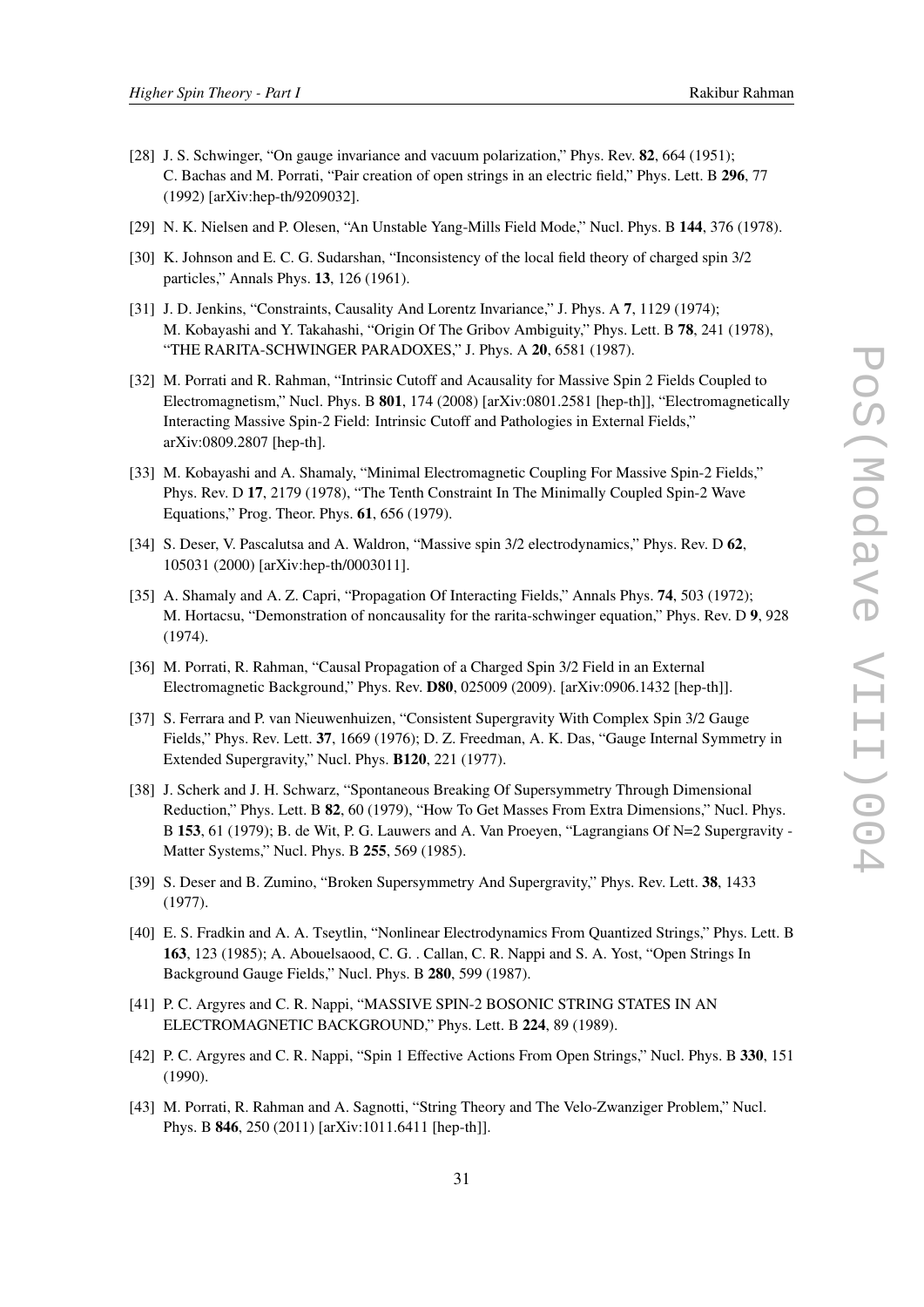- <span id="page-30-0"></span>[28] J. S. Schwinger, "On gauge invariance and vacuum polarization," Phys. Rev. 82, 664 (1951); C. Bachas and M. Porrati, "Pair creation of open strings in an electric field," Phys. Lett. B 296, 77 (1992) [arXiv:hep-th/9209032].
- [29] N. K. Nielsen and P. Olesen, "An Unstable Yang-Mills Field Mode," Nucl. Phys. B 144, 376 (1978).
- [30] K. Johnson and E. C. G. Sudarshan, "Inconsistency of the local field theory of charged spin 3/2 particles," Annals Phys. 13, 126 (1961).
- [31] J. D. Jenkins, "Constraints, Causality And Lorentz Invariance," J. Phys. A 7, 1129 (1974); M. Kobayashi and Y. Takahashi, "Origin Of The Gribov Ambiguity," Phys. Lett. B 78, 241 (1978), "THE RARITA-SCHWINGER PARADOXES," J. Phys. A 20, 6581 (1987).
- [32] M. Porrati and R. Rahman, "Intrinsic Cutoff and Acausality for Massive Spin 2 Fields Coupled to Electromagnetism," Nucl. Phys. B 801, 174 (2008) [arXiv:0801.2581 [hep-th]], "Electromagnetically Interacting Massive Spin-2 Field: Intrinsic Cutoff and Pathologies in External Fields," arXiv:0809.2807 [hep-th].
- [33] M. Kobayashi and A. Shamaly, "Minimal Electromagnetic Coupling For Massive Spin-2 Fields," Phys. Rev. D 17, 2179 (1978), "The Tenth Constraint In The Minimally Coupled Spin-2 Wave Equations," Prog. Theor. Phys. 61, 656 (1979).
- [34] S. Deser, V. Pascalutsa and A. Waldron, "Massive spin 3/2 electrodynamics," Phys. Rev. D 62, 105031 (2000) [arXiv:hep-th/0003011].
- [35] A. Shamaly and A. Z. Capri, "Propagation Of Interacting Fields," Annals Phys. 74, 503 (1972); M. Hortacsu, "Demonstration of noncausality for the rarita-schwinger equation," Phys. Rev. D 9, 928 (1974).
- [36] M. Porrati, R. Rahman, "Causal Propagation of a Charged Spin 3/2 Field in an External Electromagnetic Background," Phys. Rev. D80, 025009 (2009). [arXiv:0906.1432 [hep-th]].
- [37] S. Ferrara and P. van Nieuwenhuizen, "Consistent Supergravity With Complex Spin 3/2 Gauge Fields," Phys. Rev. Lett. 37, 1669 (1976); D. Z. Freedman, A. K. Das, "Gauge Internal Symmetry in Extended Supergravity," Nucl. Phys. B120, 221 (1977).
- [38] J. Scherk and J. H. Schwarz, "Spontaneous Breaking Of Supersymmetry Through Dimensional Reduction," Phys. Lett. B 82, 60 (1979), "How To Get Masses From Extra Dimensions," Nucl. Phys. B 153, 61 (1979); B. de Wit, P. G. Lauwers and A. Van Proeyen, "Lagrangians Of N=2 Supergravity - Matter Systems," Nucl. Phys. B 255, 569 (1985).
- [39] S. Deser and B. Zumino, "Broken Supersymmetry And Supergravity," Phys. Rev. Lett. 38, 1433 (1977).
- [40] E. S. Fradkin and A. A. Tseytlin, "Nonlinear Electrodynamics From Quantized Strings," Phys. Lett. B 163, 123 (1985); A. Abouelsaood, C. G. . Callan, C. R. Nappi and S. A. Yost, "Open Strings In Background Gauge Fields," Nucl. Phys. B 280, 599 (1987).
- [41] P. C. Argyres and C. R. Nappi, "MASSIVE SPIN-2 BOSONIC STRING STATES IN AN ELECTROMAGNETIC BACKGROUND," Phys. Lett. B 224, 89 (1989).
- [42] P. C. Argyres and C. R. Nappi, "Spin 1 Effective Actions From Open Strings," Nucl. Phys. B 330, 151 (1990).
- [43] M. Porrati, R. Rahman and A. Sagnotti, "String Theory and The Velo-Zwanziger Problem," Nucl. Phys. B 846, 250 (2011) [arXiv:1011.6411 [hep-th]].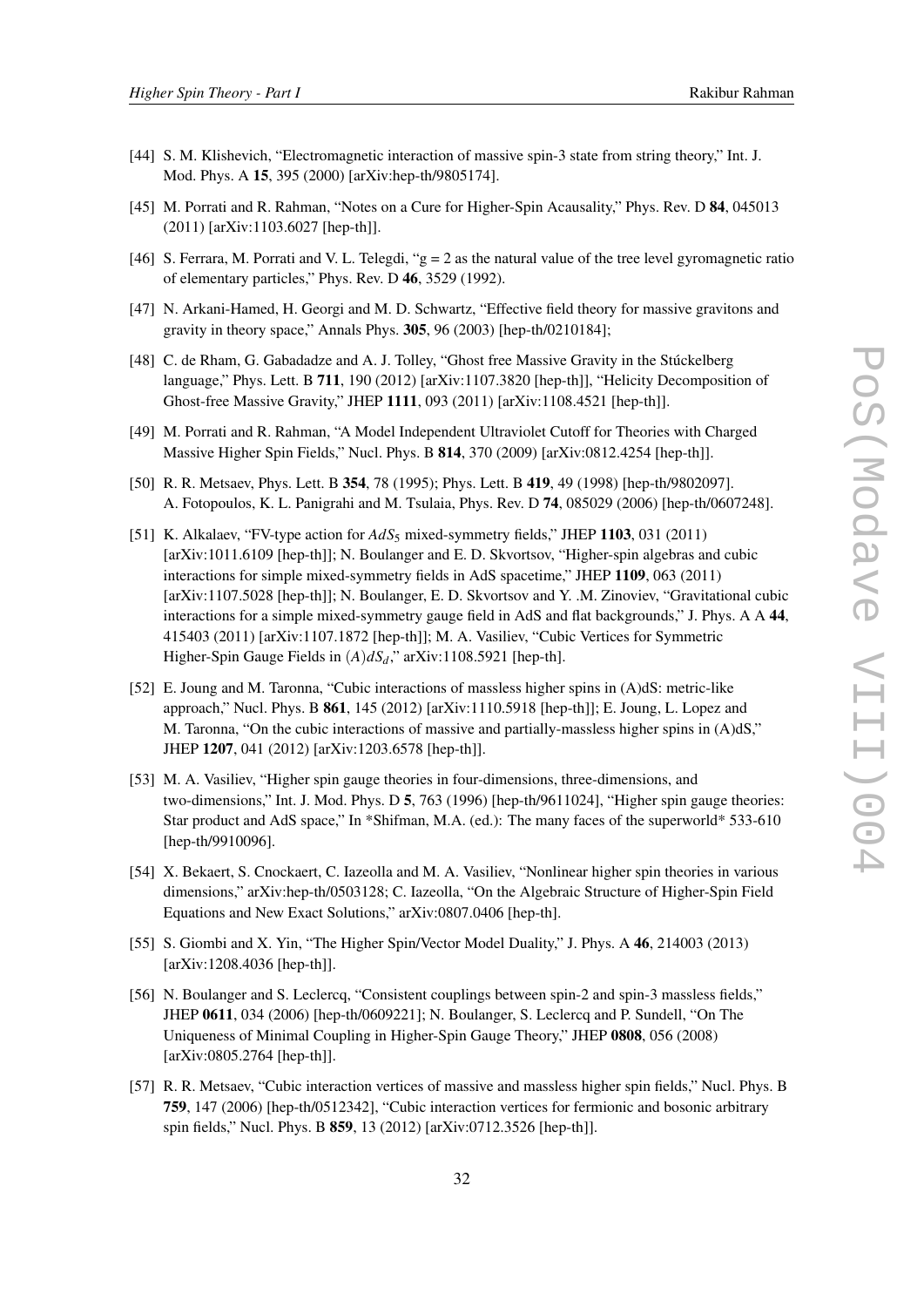- <span id="page-31-0"></span>[44] S. M. Klishevich, "Electromagnetic interaction of massive spin-3 state from string theory," Int. J. Mod. Phys. A 15, 395 (2000) [arXiv:hep-th/9805174].
- [45] M. Porrati and R. Rahman, "Notes on a Cure for Higher-Spin Acausality," Phys. Rev. D 84, 045013 (2011) [arXiv:1103.6027 [hep-th]].
- [46] S. Ferrara, M. Porrati and V. L. Telegdi, "g = 2 as the natural value of the tree level gyromagnetic ratio of elementary particles," Phys. Rev. D 46, 3529 (1992).
- [47] N. Arkani-Hamed, H. Georgi and M. D. Schwartz, "Effective field theory for massive gravitons and gravity in theory space," Annals Phys. 305, 96 (2003) [hep-th/0210184];
- [48] C. de Rham, G. Gabadadze and A. J. Tolley, "Ghost free Massive Gravity in the Stúckelberg language," Phys. Lett. B 711, 190 (2012) [arXiv:1107.3820 [hep-th]], "Helicity Decomposition of Ghost-free Massive Gravity," JHEP 1111, 093 (2011) [arXiv:1108.4521 [hep-th]].
- [49] M. Porrati and R. Rahman, "A Model Independent Ultraviolet Cutoff for Theories with Charged Massive Higher Spin Fields," Nucl. Phys. B 814, 370 (2009) [arXiv:0812.4254 [hep-th]].
- [50] R. R. Metsaev, Phys. Lett. B 354, 78 (1995); Phys. Lett. B 419, 49 (1998) [hep-th/9802097]. A. Fotopoulos, K. L. Panigrahi and M. Tsulaia, Phys. Rev. D 74, 085029 (2006) [hep-th/0607248].
- [51] K. Alkalaev, "FV-type action for *AdS*<sup>5</sup> mixed-symmetry fields," JHEP 1103, 031 (2011) [arXiv:1011.6109 [hep-th]]; N. Boulanger and E. D. Skvortsov, "Higher-spin algebras and cubic interactions for simple mixed-symmetry fields in AdS spacetime," JHEP 1109, 063 (2011) [arXiv:1107.5028 [hep-th]]; N. Boulanger, E. D. Skvortsov and Y. .M. Zinoviev, "Gravitational cubic interactions for a simple mixed-symmetry gauge field in AdS and flat backgrounds," J. Phys. A A 44, 415403 (2011) [arXiv:1107.1872 [hep-th]]; M. A. Vasiliev, "Cubic Vertices for Symmetric Higher-Spin Gauge Fields in (*A*)*dSd*," arXiv:1108.5921 [hep-th].
- [52] E. Joung and M. Taronna, "Cubic interactions of massless higher spins in (A)dS: metric-like approach," Nucl. Phys. B 861, 145 (2012) [arXiv:1110.5918 [hep-th]]; E. Joung, L. Lopez and M. Taronna, "On the cubic interactions of massive and partially-massless higher spins in (A)dS," JHEP 1207, 041 (2012) [arXiv:1203.6578 [hep-th]].
- [53] M. A. Vasiliev, "Higher spin gauge theories in four-dimensions, three-dimensions, and two-dimensions," Int. J. Mod. Phys. D 5, 763 (1996) [hep-th/9611024], "Higher spin gauge theories: Star product and AdS space," In \*Shifman, M.A. (ed.): The many faces of the superworld\* 533-610 [hep-th/9910096].
- [54] X. Bekaert, S. Cnockaert, C. Iazeolla and M. A. Vasiliev, "Nonlinear higher spin theories in various dimensions," arXiv:hep-th/0503128; C. Iazeolla, "On the Algebraic Structure of Higher-Spin Field Equations and New Exact Solutions," arXiv:0807.0406 [hep-th].
- [55] S. Giombi and X. Yin, "The Higher Spin/Vector Model Duality," J. Phys. A 46, 214003 (2013) [arXiv:1208.4036 [hep-th]].
- [56] N. Boulanger and S. Leclercq, "Consistent couplings between spin-2 and spin-3 massless fields," JHEP 0611, 034 (2006) [hep-th/0609221]; N. Boulanger, S. Leclercq and P. Sundell, "On The Uniqueness of Minimal Coupling in Higher-Spin Gauge Theory," JHEP 0808, 056 (2008) [arXiv:0805.2764 [hep-th]].
- [57] R. R. Metsaev, "Cubic interaction vertices of massive and massless higher spin fields," Nucl. Phys. B 759, 147 (2006) [hep-th/0512342], "Cubic interaction vertices for fermionic and bosonic arbitrary spin fields," Nucl. Phys. B 859, 13 (2012) [arXiv:0712.3526 [hep-th]].